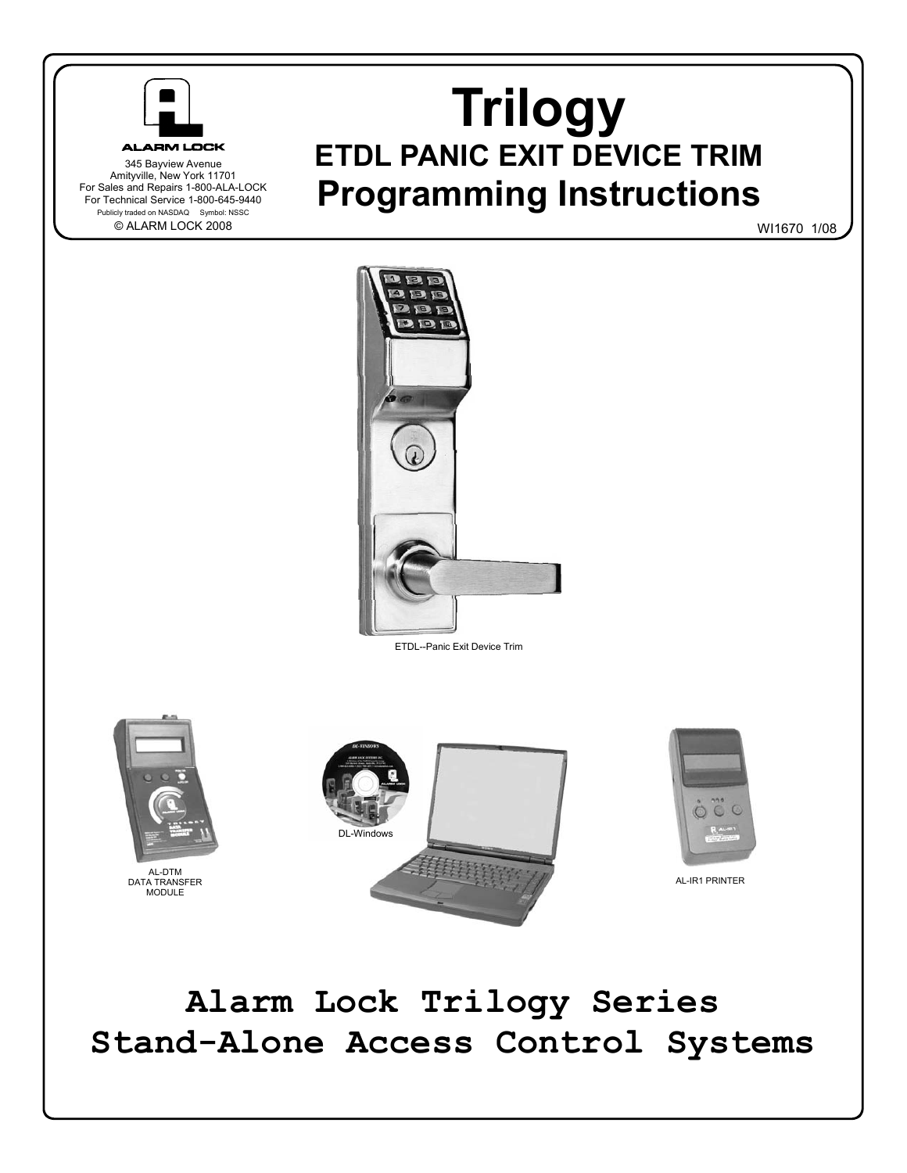

345 Bayview Avenue Amityville, New York 11701 For Sales and Repairs 1-800-ALA-LOCK For Technical Service 1-800-645-9440 Publicly traded on NASDAQ Symbol: NSSC © ALARM LOCK 2008

**Trilogy ETDL PANIC EXIT DEVICE TRIM Programming Instructions** 

WI1670 1/08



ETDL--Panic Exit Device Trim



# **Alarm Lock Trilogy Series Stand-Alone Access Control Systems**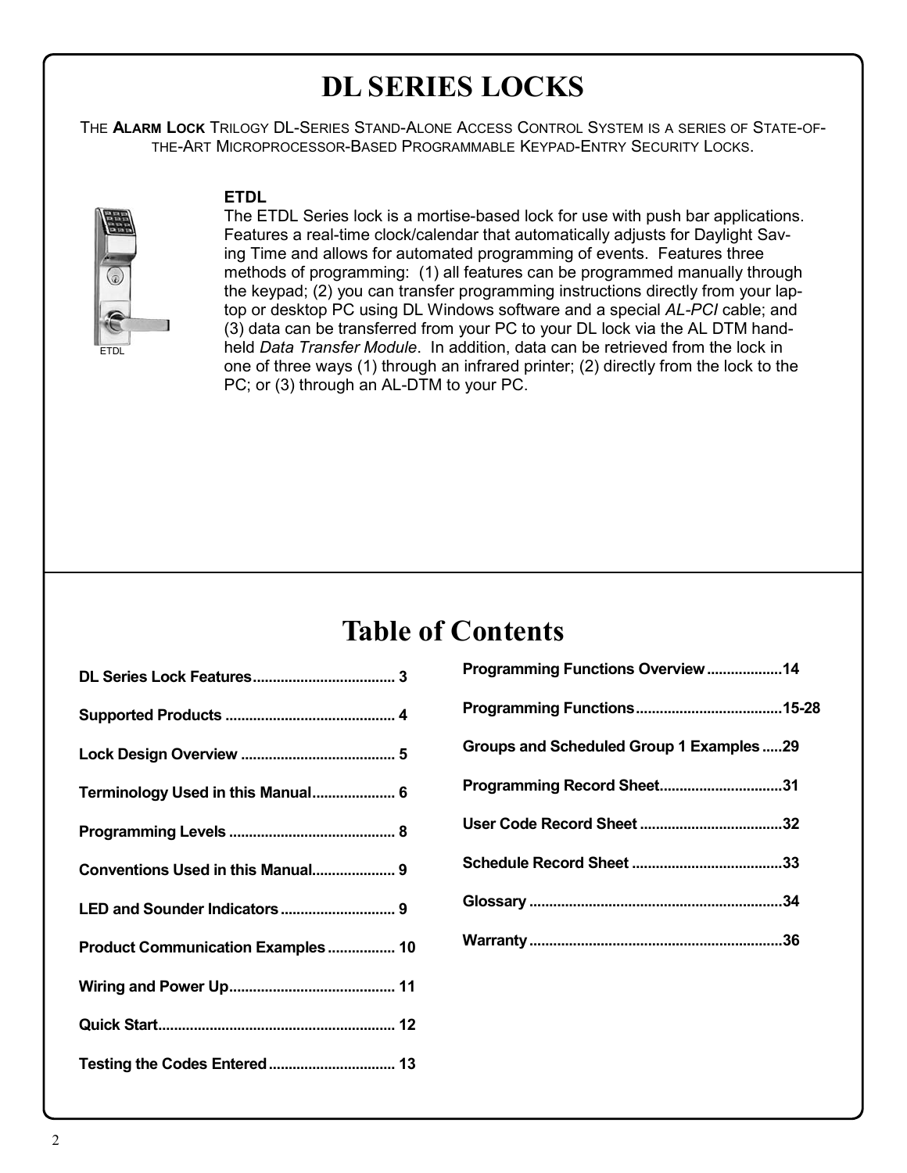# **DL SERIES LOCKS**

THE **ALARM LOCK** TRILOGY DL-SERIES STAND-ALONE ACCESS CONTROL SYSTEM IS A SERIES OF STATE-OF-THE-ART MICROPROCESSOR-BASED PROGRAMMABLE KEYPAD-ENTRY SECURITY LOCKS.



## **ETDL**

The ETDL Series lock is a mortise-based lock for use with push bar applications. Features a real-time clock/calendar that automatically adjusts for Daylight Saving Time and allows for automated programming of events. Features three methods of programming: (1) all features can be programmed manually through the keypad; (2) you can transfer programming instructions directly from your laptop or desktop PC using DL Windows software and a special *AL-PCI* cable; and (3) data can be transferred from your PC to your DL lock via the AL DTM handheld *Data Transfer Module*. In addition, data can be retrieved from the lock in one of three ways (1) through an infrared printer; (2) directly from the lock to the PC; or (3) through an AL-DTM to your PC.

## **Table of Contents**

| Terminology Used in this Manual 6 |
|-----------------------------------|
|                                   |
| Conventions Used in this Manual 9 |
|                                   |
| Product Communication Examples 10 |
|                                   |
|                                   |
|                                   |

| Programming Functions Overview14         |  |
|------------------------------------------|--|
|                                          |  |
| Groups and Scheduled Group 1 Examples 29 |  |
| Programming Record Sheet31               |  |
|                                          |  |
|                                          |  |
|                                          |  |
|                                          |  |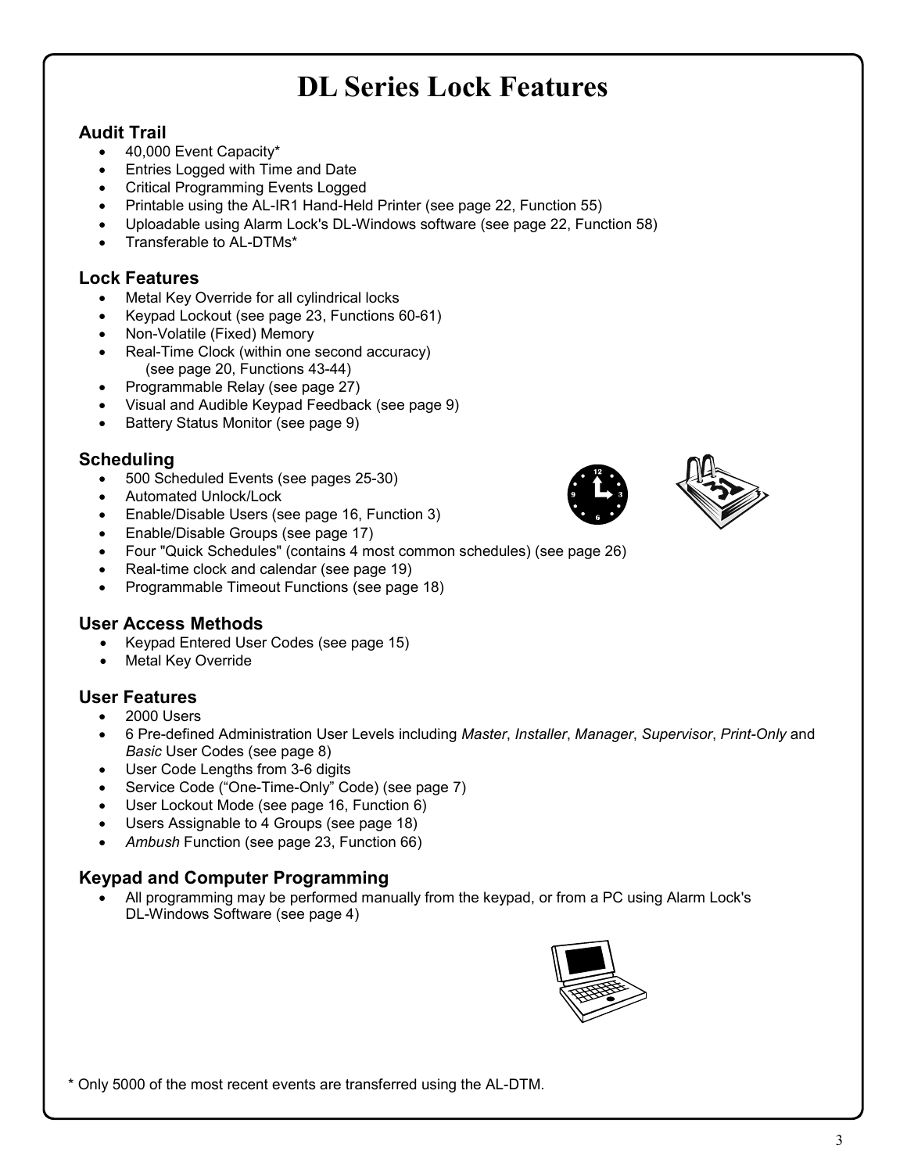# **DL Series Lock Features**

## **Audit Trail**

- 40,000 Event Capacity\*
- Entries Logged with Time and Date
- Critical Programming Events Logged
- Printable using the AL-IR1 Hand-Held Printer (see page 22, Function 55)
- Uploadable using Alarm Lock's DL-Windows software (see page 22, Function 58)
- Transferable to AL-DTMs\*

## **Lock Features**

- Metal Key Override for all cylindrical locks
- Keypad Lockout (see page 23, Functions 60-61)
- Non-Volatile (Fixed) Memory
- Real-Time Clock (within one second accuracy) (see page 20, Functions 43-44)
- Programmable Relay (see page 27)
- Visual and Audible Keypad Feedback (see page 9)
- Battery Status Monitor (see page 9)

## **Scheduling**

- 500 Scheduled Events (see pages 25-30)
- Automated Unlock/Lock
- Enable/Disable Users (see page 16, Function 3)
- Enable/Disable Groups (see page 17)
- Four "Quick Schedules" (contains 4 most common schedules) (see page 26)
- Real-time clock and calendar (see page 19)
- Programmable Timeout Functions (see page 18)

## **User Access Methods**

- Keypad Entered User Codes (see page 15)
- Metal Key Override

## **User Features**

- 2000 Users
- 6 Pre-defined Administration User Levels including *Master*, *Installer*, *Manager*, *Supervisor*, *Print-Only* and *Basic* User Codes (see page 8)
- User Code Lengths from 3-6 digits
- Service Code ("One-Time-Only" Code) (see page 7)
- User Lockout Mode (see page 16, Function 6)
- Users Assignable to 4 Groups (see page 18)
- *Ambush* Function (see page 23, Function 66)

## **Keypad and Computer Programming**

• All programming may be performed manually from the keypad, or from a PC using Alarm Lock's DL-Windows Software (see page 4)



\* Only 5000 of the most recent events are transferred using the AL-DTM.



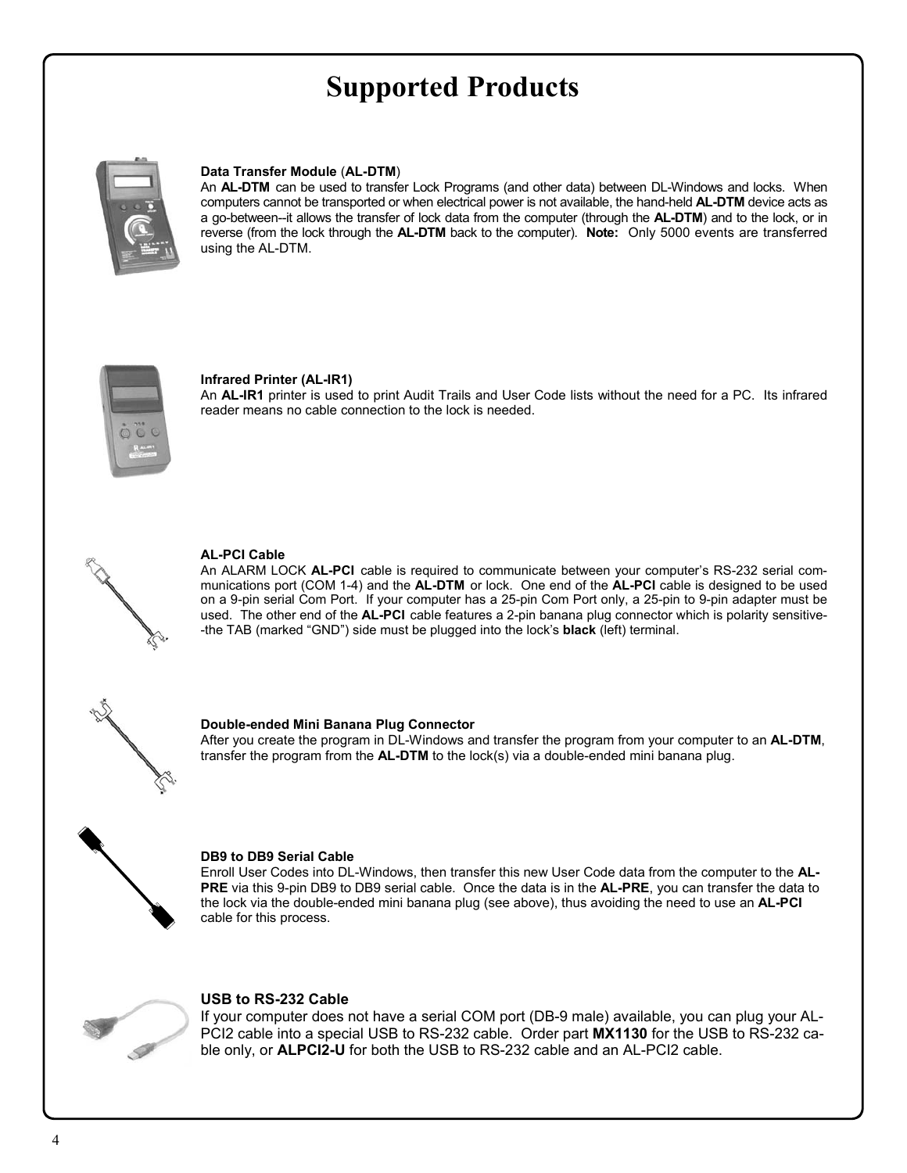# **Supported Products**



### **Data Transfer Module** (**AL-DTM**)

An **AL-DTM** can be used to transfer Lock Programs (and other data) between DL-Windows and locks. When computers cannot be transported or when electrical power is not available, the hand-held **AL-DTM** device acts as a go-between--it allows the transfer of lock data from the computer (through the **AL-DTM**) and to the lock, or in reverse (from the lock through the **AL-DTM** back to the computer). **Note:** Only 5000 events are transferred using the AL-DTM.



### **Infrared Printer (AL-IR1)**

An **AL-IR1** printer is used to print Audit Trails and User Code lists without the need for a PC. Its infrared reader means no cable connection to the lock is needed.



### **AL-PCI Cable**

An ALARM LOCK **AL-PCI** cable is required to communicate between your computer's RS-232 serial communications port (COM 1-4) and the **AL-DTM** or lock. One end of the **AL-PCI** cable is designed to be used on a 9-pin serial Com Port. If your computer has a 25-pin Com Port only, a 25-pin to 9-pin adapter must be used. The other end of the **AL-PCI** cable features a 2-pin banana plug connector which is polarity sensitive- -the TAB (marked "GND") side must be plugged into the lock's **black** (left) terminal.



#### **Double-ended Mini Banana Plug Connector**

After you create the program in DL-Windows and transfer the program from your computer to an **AL-DTM**, transfer the program from the **AL-DTM** to the lock(s) via a double-ended mini banana plug.



#### **DB9 to DB9 Serial Cable**

Enroll User Codes into DL-Windows, then transfer this new User Code data from the computer to the **AL-PRE** via this 9-pin DB9 to DB9 serial cable. Once the data is in the **AL-PRE**, you can transfer the data to the lock via the double-ended mini banana plug (see above), thus avoiding the need to use an **AL-PCI**  cable for this process.



### **USB to RS-232 Cable**

If your computer does not have a serial COM port (DB-9 male) available, you can plug your AL-PCI2 cable into a special USB to RS-232 cable. Order part **MX1130** for the USB to RS-232 cable only, or **ALPCI2-U** for both the USB to RS-232 cable and an AL-PCI2 cable.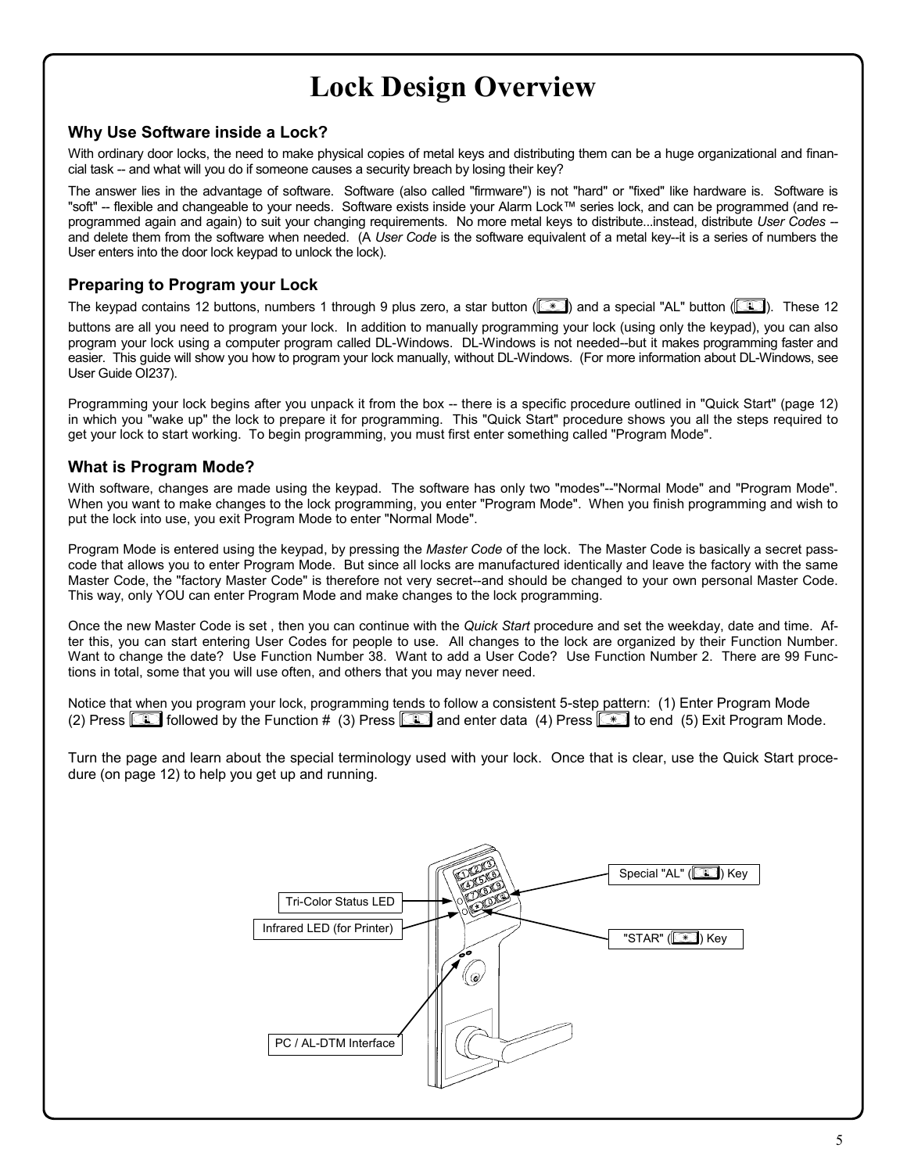# **Lock Design Overview**

## **Why Use Software inside a Lock?**

With ordinary door locks, the need to make physical copies of metal keys and distributing them can be a huge organizational and financial task -- and what will you do if someone causes a security breach by losing their key?

The answer lies in the advantage of software. Software (also called "firmware") is not "hard" or "fixed" like hardware is. Software is "soft" -- flexible and changeable to your needs. Software exists inside your Alarm Lock™ series lock, and can be programmed (and reprogrammed again and again) to suit your changing requirements. No more metal keys to distribute...instead, distribute *User Codes -*  and delete them from the software when needed. (A *User Code* is the software equivalent of a metal key--it is a series of numbers the User enters into the door lock keypad to unlock the lock).

## **Preparing to Program your Lock**

The keypad contains 12 buttons, numbers 1 through 9 plus zero, a star button ( $\mathbb{R}$ ) and a special "AL" button ( $\mathbb{R}$ ). These 12

buttons are all you need to program your lock. In addition to manually programming your lock (using only the keypad), you can also program your lock using a computer program called DL-Windows. DL-Windows is not needed--but it makes programming faster and easier. This guide will show you how to program your lock manually, without DL-Windows. (For more information about DL-Windows, see User Guide OI237).

Programming your lock begins after you unpack it from the box -- there is a specific procedure outlined in "Quick Start" (page 12) in which you "wake up" the lock to prepare it for programming. This "Quick Start" procedure shows you all the steps required to get your lock to start working. To begin programming, you must first enter something called "Program Mode".

## **What is Program Mode?**

With software, changes are made using the keypad. The software has only two "modes"--"Normal Mode" and "Program Mode". When you want to make changes to the lock programming, you enter "Program Mode". When you finish programming and wish to put the lock into use, you exit Program Mode to enter "Normal Mode".

Program Mode is entered using the keypad, by pressing the *Master Code* of the lock. The Master Code is basically a secret passcode that allows you to enter Program Mode. But since all locks are manufactured identically and leave the factory with the same Master Code, the "factory Master Code" is therefore not very secret--and should be changed to your own personal Master Code. This way, only YOU can enter Program Mode and make changes to the lock programming.

Once the new Master Code is set , then you can continue with the *Quick Start* procedure and set the weekday, date and time. After this, you can start entering User Codes for people to use. All changes to the lock are organized by their Function Number. Want to change the date? Use Function Number 38. Want to add a User Code? Use Function Number 2. There are 99 Functions in total, some that you will use often, and others that you may never need.

```
Notice that when you program your lock, programming tends to follow a consistent 5-step pattern: (1) Enter Program Mode 
(2) Press <b>ightarrow by the Function # (3) Press ightarrow and enter data (4) Press 3 to end (5) Exit Program Mode.
```
Turn the page and learn about the special terminology used with your lock. Once that is clear, use the Quick Start procedure (on page 12) to help you get up and running.

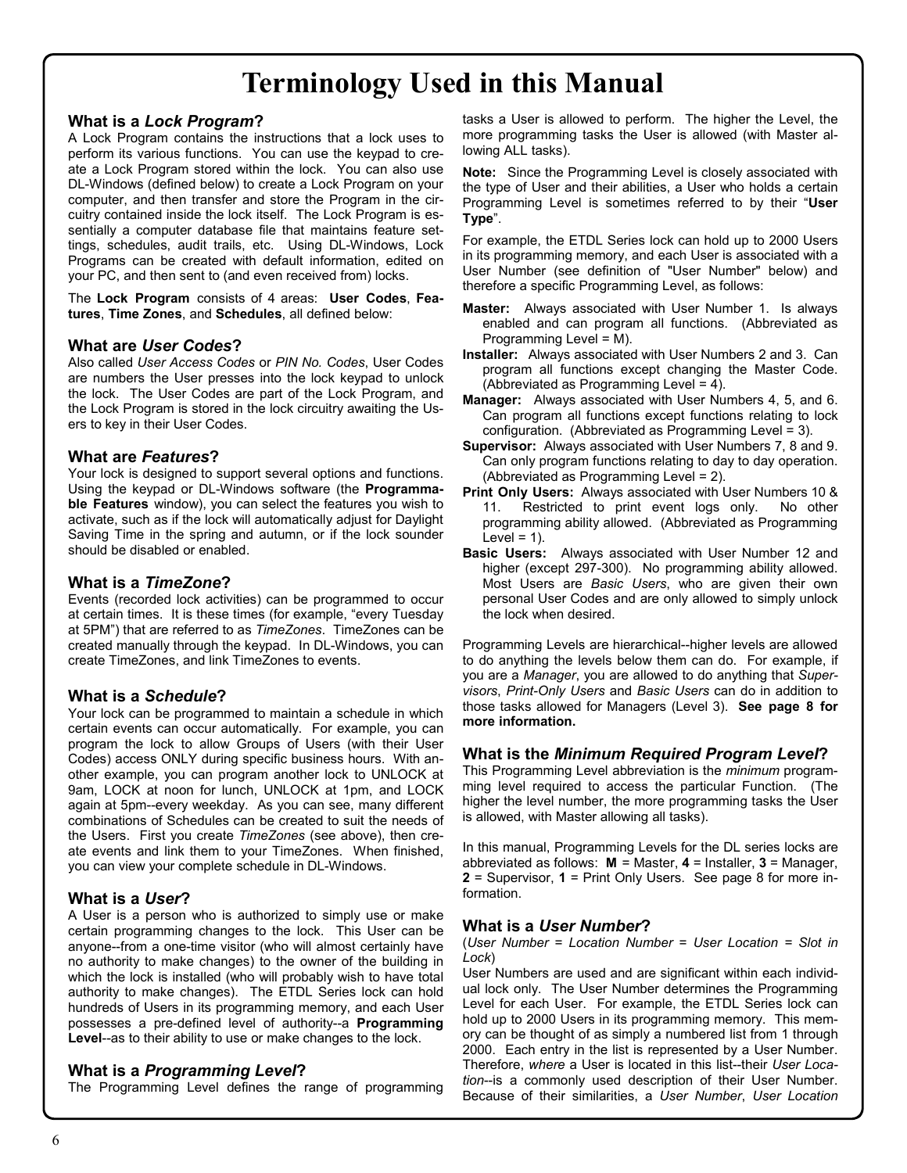# **Terminology Used in this Manual**

## **What is a** *Lock Program***?**

A Lock Program contains the instructions that a lock uses to perform its various functions. You can use the keypad to create a Lock Program stored within the lock. You can also use DL-Windows (defined below) to create a Lock Program on your computer, and then transfer and store the Program in the circuitry contained inside the lock itself. The Lock Program is essentially a computer database file that maintains feature settings, schedules, audit trails, etc. Using DL-Windows, Lock Programs can be created with default information, edited on your PC, and then sent to (and even received from) locks.

The **Lock Program** consists of 4 areas: **User Codes**, **Features**, **Time Zones**, and **Schedules**, all defined below:

### **What are** *User Codes***?**

Also called *User Access Codes* or *PIN No. Codes*, User Codes are numbers the User presses into the lock keypad to unlock the lock. The User Codes are part of the Lock Program, and the Lock Program is stored in the lock circuitry awaiting the Users to key in their User Codes.

### **What are** *Features***?**

Your lock is designed to support several options and functions. Using the keypad or DL-Windows software (the **Programmable Features** window), you can select the features you wish to activate, such as if the lock will automatically adjust for Daylight Saving Time in the spring and autumn, or if the lock sounder should be disabled or enabled.

### **What is a** *TimeZone***?**

Events (recorded lock activities) can be programmed to occur at certain times. It is these times (for example, "every Tuesday at 5PM") that are referred to as *TimeZones*. TimeZones can be created manually through the keypad. In DL-Windows, you can create TimeZones, and link TimeZones to events.

## **What is a** *Schedule***?**

Your lock can be programmed to maintain a schedule in which certain events can occur automatically. For example, you can program the lock to allow Groups of Users (with their User Codes) access ONLY during specific business hours. With another example, you can program another lock to UNLOCK at 9am, LOCK at noon for lunch, UNLOCK at 1pm, and LOCK again at 5pm--every weekday. As you can see, many different combinations of Schedules can be created to suit the needs of the Users. First you create *TimeZones* (see above), then create events and link them to your TimeZones. When finished, you can view your complete schedule in DL-Windows.

### **What is a** *User***?**

A User is a person who is authorized to simply use or make certain programming changes to the lock. This User can be anyone--from a one-time visitor (who will almost certainly have no authority to make changes) to the owner of the building in which the lock is installed (who will probably wish to have total authority to make changes). The ETDL Series lock can hold hundreds of Users in its programming memory, and each User possesses a pre-defined level of authority--a **Programming Level**--as to their ability to use or make changes to the lock.

### **What is a** *Programming Level***?**

The Programming Level defines the range of programming

tasks a User is allowed to perform. The higher the Level, the more programming tasks the User is allowed (with Master allowing ALL tasks).

**Note:** Since the Programming Level is closely associated with the type of User and their abilities, a User who holds a certain Programming Level is sometimes referred to by their "**User Type**".

For example, the ETDL Series lock can hold up to 2000 Users in its programming memory, and each User is associated with a User Number (see definition of "User Number" below) and therefore a specific Programming Level, as follows:

- **Master:** Always associated with User Number 1. Is always enabled and can program all functions. (Abbreviated as Programming Level = M).
- **Installer:** Always associated with User Numbers 2 and 3. Can program all functions except changing the Master Code. (Abbreviated as Programming Level = 4).
- **Manager:** Always associated with User Numbers 4, 5, and 6. Can program all functions except functions relating to lock configuration. (Abbreviated as Programming Level = 3).
- **Supervisor:** Always associated with User Numbers 7, 8 and 9. Can only program functions relating to day to day operation. (Abbreviated as Programming Level = 2).
- **Print Only Users:** Always associated with User Numbers 10 & 11. Restricted to print event logs only. No other programming ability allowed. (Abbreviated as Programming Level =  $1$ ).
- **Basic Users:** Always associated with User Number 12 and higher (except 297-300). No programming ability allowed. Most Users are *Basic Users*, who are given their own personal User Codes and are only allowed to simply unlock the lock when desired.

Programming Levels are hierarchical--higher levels are allowed to do anything the levels below them can do. For example, if you are a *Manager*, you are allowed to do anything that *Supervisors*, *Print-Only Users* and *Basic Users* can do in addition to those tasks allowed for Managers (Level 3). **See page 8 for more information.** 

### **What is the** *Minimum Required Program Level***?**

This Programming Level abbreviation is the *minimum* programming level required to access the particular Function. (The higher the level number, the more programming tasks the User is allowed, with Master allowing all tasks).

In this manual, Programming Levels for the DL series locks are abbreviated as follows: **M** = Master, **4** = Installer, **3** = Manager, **2** = Supervisor, **1** = Print Only Users. See page 8 for more information.

### **What is a** *User Number***?**

(*User Number* = *Location Number* = *User Location = Slot in Lock*)

User Numbers are used and are significant within each individual lock only. The User Number determines the Programming Level for each User. For example, the ETDL Series lock can hold up to 2000 Users in its programming memory. This memory can be thought of as simply a numbered list from 1 through 2000. Each entry in the list is represented by a User Number. Therefore, *where* a User is located in this list--their *User Location*--is a commonly used description of their User Number. Because of their similarities, a *User Number*, *User Location*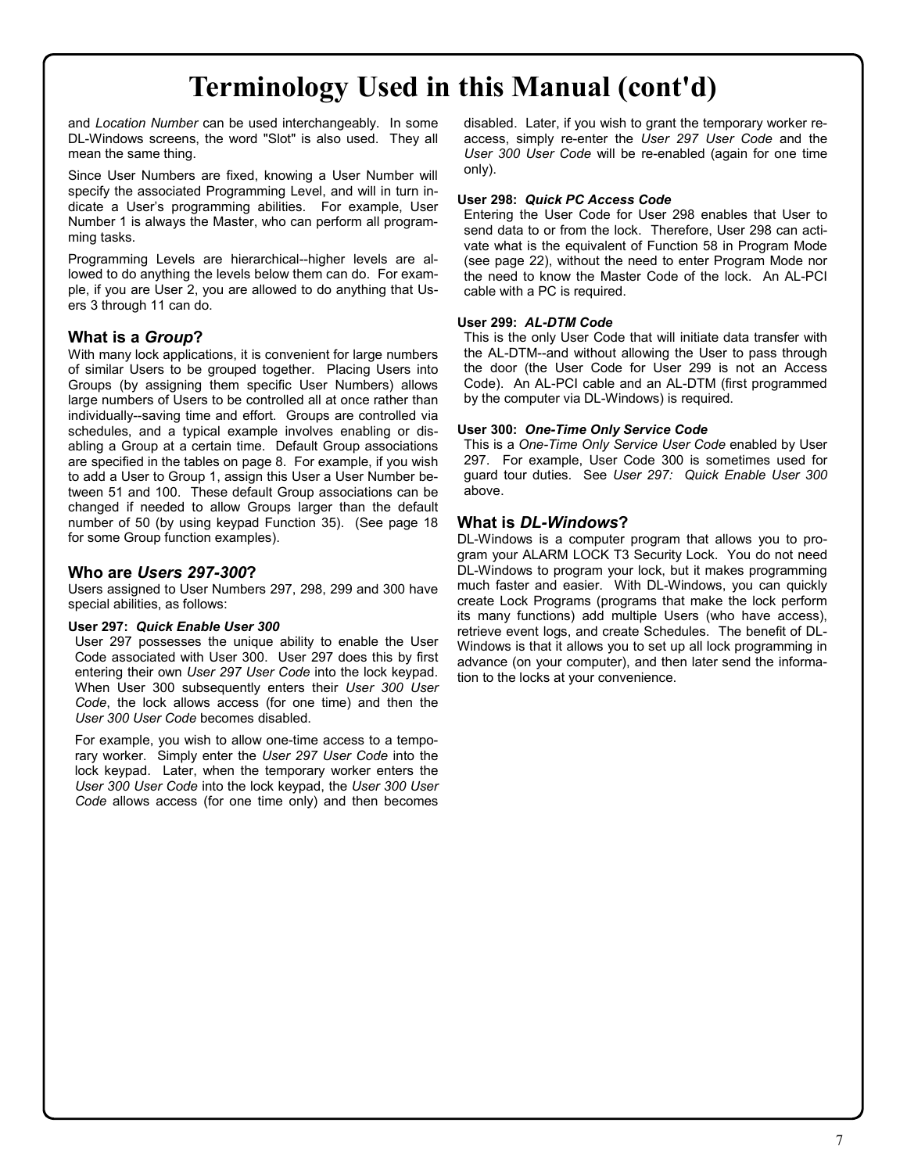# **Terminology Used in this Manual (cont'd)**

and *Location Number* can be used interchangeably. In some DL-Windows screens, the word "Slot" is also used. They all mean the same thing.

Since User Numbers are fixed, knowing a User Number will specify the associated Programming Level, and will in turn indicate a User's programming abilities. For example, User Number 1 is always the Master, who can perform all programming tasks.

Programming Levels are hierarchical--higher levels are allowed to do anything the levels below them can do. For example, if you are User 2, you are allowed to do anything that Users 3 through 11 can do.

### **What is a** *Group***?**

With many lock applications, it is convenient for large numbers of similar Users to be grouped together. Placing Users into Groups (by assigning them specific User Numbers) allows large numbers of Users to be controlled all at once rather than individually--saving time and effort. Groups are controlled via schedules, and a typical example involves enabling or disabling a Group at a certain time. Default Group associations are specified in the tables on page 8. For example, if you wish to add a User to Group 1, assign this User a User Number between 51 and 100. These default Group associations can be changed if needed to allow Groups larger than the default number of 50 (by using keypad Function 35). (See page 18 for some Group function examples).

### **Who are** *Users 297-300***?**

Users assigned to User Numbers 297, 298, 299 and 300 have special abilities, as follows:

### **User 297:** *Quick Enable User 300*

User 297 possesses the unique ability to enable the User Code associated with User 300. User 297 does this by first entering their own *User 297 User Code* into the lock keypad. When User 300 subsequently enters their *User 300 User Code*, the lock allows access (for one time) and then the *User 300 User Code* becomes disabled.

For example, you wish to allow one-time access to a temporary worker. Simply enter the *User 297 User Code* into the lock keypad. Later, when the temporary worker enters the *User 300 User Code* into the lock keypad, the *User 300 User Code* allows access (for one time only) and then becomes

disabled. Later, if you wish to grant the temporary worker reaccess, simply re-enter the *User 297 User Code* and the *User 300 User Code* will be re-enabled (again for one time only).

### **User 298:** *Quick PC Access Code*

Entering the User Code for User 298 enables that User to send data to or from the lock. Therefore, User 298 can activate what is the equivalent of Function 58 in Program Mode (see page 22), without the need to enter Program Mode nor the need to know the Master Code of the lock. An AL-PCI cable with a PC is required.

### **User 299:** *AL-DTM Code*

This is the only User Code that will initiate data transfer with the AL-DTM--and without allowing the User to pass through the door (the User Code for User 299 is not an Access Code). An AL-PCI cable and an AL-DTM (first programmed by the computer via DL-Windows) is required.

### **User 300:** *One-Time Only Service Code*

This is a *One-Time Only Service User Code* enabled by User 297. For example, User Code 300 is sometimes used for guard tour duties. See *User 297: Quick Enable User 300*  above.

### **What is** *DL-Windows***?**

DL-Windows is a computer program that allows you to program your ALARM LOCK T3 Security Lock. You do not need DL-Windows to program your lock, but it makes programming much faster and easier. With DL-Windows, you can quickly create Lock Programs (programs that make the lock perform its many functions) add multiple Users (who have access), retrieve event logs, and create Schedules. The benefit of DL-Windows is that it allows you to set up all lock programming in advance (on your computer), and then later send the information to the locks at your convenience.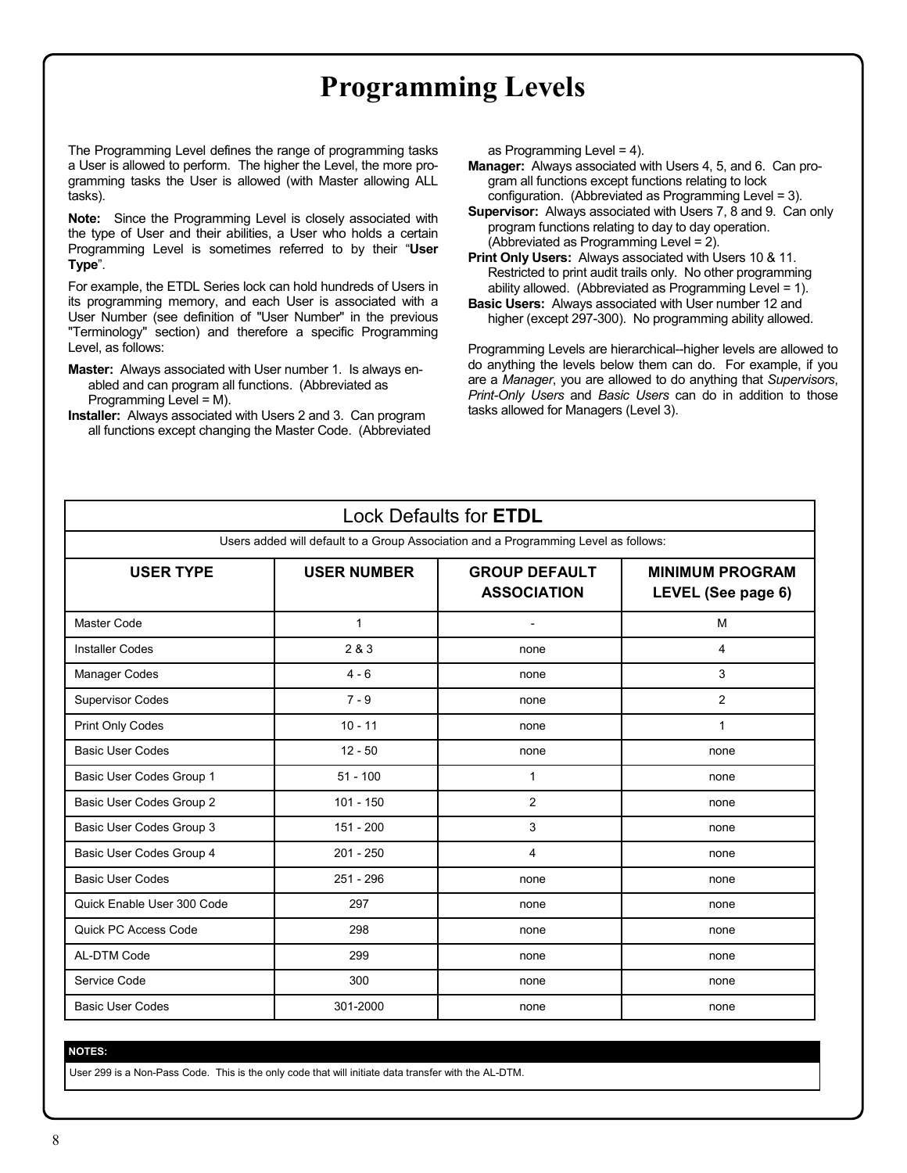# **Programming Levels**

The Programming Level defines the range of programming tasks a User is allowed to perform. The higher the Level, the more programming tasks the User is allowed (with Master allowing ALL tasks).

**Note:** Since the Programming Level is closely associated with the type of User and their abilities, a User who holds a certain Programming Level is sometimes referred to by their "**User Type**".

For example, the ETDL Series lock can hold hundreds of Users in its programming memory, and each User is associated with a User Number (see definition of "User Number" in the previous "Terminology" section) and therefore a specific Programming Level, as follows:

- **Master:** Always associated with User number 1. Is always enabled and can program all functions. (Abbreviated as Programming Level = M).
- **Installer:** Always associated with Users 2 and 3. Can program all functions except changing the Master Code. (Abbreviated

as Programming Level = 4).

- **Manager:** Always associated with Users 4, 5, and 6. Can program all functions except functions relating to lock configuration. (Abbreviated as Programming Level = 3).
- **Supervisor:** Always associated with Users 7, 8 and 9. Can only program functions relating to day to day operation. (Abbreviated as Programming Level = 2).

**Print Only Users:** Always associated with Users 10 & 11. Restricted to print audit trails only. No other programming ability allowed. (Abbreviated as Programming Level = 1).

Programming Levels are hierarchical--higher levels are allowed to do anything the levels below them can do. For example, if you are a *Manager*, you are allowed to do anything that *Supervisors*, *Print-Only Users* and *Basic Users* can do in addition to those tasks allowed for Managers (Level 3).

|                                                                                     |                    | <b>Lock Defaults for ETDL</b>              |                                              |  |  |  |  |
|-------------------------------------------------------------------------------------|--------------------|--------------------------------------------|----------------------------------------------|--|--|--|--|
| Users added will default to a Group Association and a Programming Level as follows: |                    |                                            |                                              |  |  |  |  |
| <b>USER TYPE</b>                                                                    | <b>USER NUMBER</b> | <b>GROUP DEFAULT</b><br><b>ASSOCIATION</b> | <b>MINIMUM PROGRAM</b><br>LEVEL (See page 6) |  |  |  |  |
| Master Code                                                                         | $\mathbf{1}$       | $\overline{a}$                             | M                                            |  |  |  |  |
| <b>Installer Codes</b>                                                              | 2 & 3              | none                                       | 4                                            |  |  |  |  |
| Manager Codes                                                                       | $4 - 6$            | none                                       | 3                                            |  |  |  |  |
| <b>Supervisor Codes</b>                                                             | $7 - 9$            | none                                       | 2                                            |  |  |  |  |
| Print Only Codes                                                                    | $10 - 11$          | none                                       | $\mathbf{1}$                                 |  |  |  |  |
| <b>Basic User Codes</b>                                                             | $12 - 50$          | none                                       | none                                         |  |  |  |  |
| Basic User Codes Group 1                                                            | $51 - 100$         | 1                                          | none                                         |  |  |  |  |
| Basic User Codes Group 2                                                            | $101 - 150$        | $\overline{2}$                             | none                                         |  |  |  |  |
| Basic User Codes Group 3                                                            | $151 - 200$        | 3                                          | none                                         |  |  |  |  |
| Basic User Codes Group 4                                                            | $201 - 250$        | 4                                          | none                                         |  |  |  |  |
| <b>Basic User Codes</b>                                                             | $251 - 296$        | none                                       | none                                         |  |  |  |  |
| Quick Enable User 300 Code                                                          | 297                | none                                       | none                                         |  |  |  |  |
| Quick PC Access Code                                                                | 298                | none                                       | none                                         |  |  |  |  |
| AL-DTM Code                                                                         | 299                | none                                       | none                                         |  |  |  |  |
| Service Code                                                                        | 300                | none                                       | none                                         |  |  |  |  |
| <b>Basic User Codes</b>                                                             | 301-2000           | none                                       | none                                         |  |  |  |  |

**NOTES:**

User 299 is a Non-Pass Code. This is the only code that will initiate data transfer with the AL-DTM.

**Basic Users:** Always associated with User number 12 and higher (except 297-300). No programming ability allowed.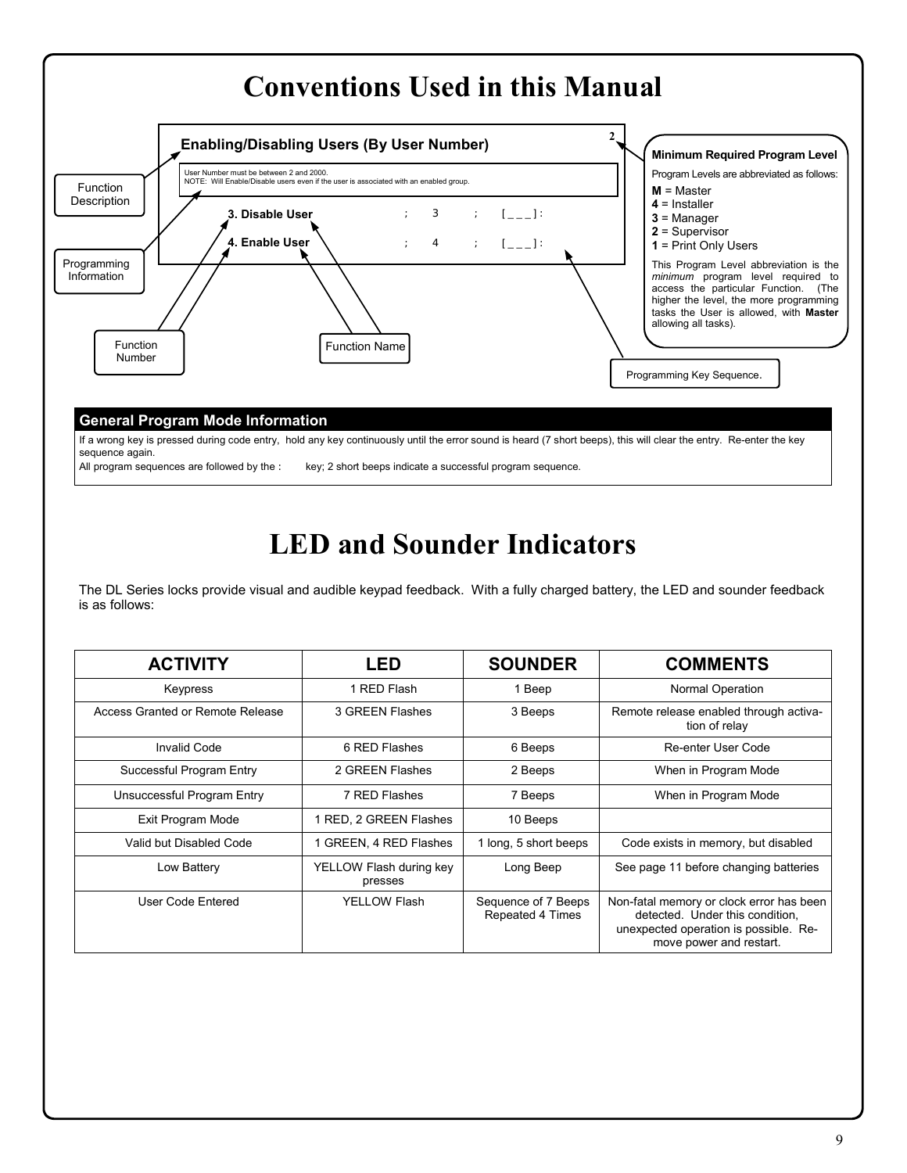

If a wrong key is pressed during code entry, hold any key continuously until the error sound is heard (7 short beeps), this will clear the entry. Re-enter the key sequence again.

All program sequences are followed by the : key; 2 short beeps indicate a successful program sequence.

# **LED and Sounder Indicators**

The DL Series locks provide visual and audible keypad feedback. With a fully charged battery, the LED and sounder feedback is as follows:

| <b>ACTIVITY</b>                  | LED                                | <b>SOUNDER</b>                          | <b>COMMENTS</b>                                                                                                                                 |
|----------------------------------|------------------------------------|-----------------------------------------|-------------------------------------------------------------------------------------------------------------------------------------------------|
| Keypress                         | 1 RED Flash                        | 1 Beep                                  | Normal Operation                                                                                                                                |
| Access Granted or Remote Release | 3 GREEN Flashes                    | 3 Beeps                                 | Remote release enabled through activa-<br>tion of relay                                                                                         |
| <b>Invalid Code</b>              | 6 RED Flashes                      | 6 Beeps                                 | Re-enter User Code                                                                                                                              |
| Successful Program Entry         | 2 GREEN Flashes                    | 2 Beeps                                 | When in Program Mode                                                                                                                            |
| Unsuccessful Program Entry       | 7 RED Flashes                      | 7 Beeps                                 | When in Program Mode                                                                                                                            |
| Exit Program Mode                | 1 RED, 2 GREEN Flashes             | 10 Beeps                                |                                                                                                                                                 |
| Valid but Disabled Code          | 1 GREEN, 4 RED Flashes             | 1 long, 5 short beeps                   | Code exists in memory, but disabled                                                                                                             |
| Low Battery                      | YELLOW Flash during key<br>presses | Long Beep                               | See page 11 before changing batteries                                                                                                           |
| User Code Entered                | YELLOW Flash                       | Sequence of 7 Beeps<br>Repeated 4 Times | Non-fatal memory or clock error has been<br>detected. Under this condition,<br>unexpected operation is possible. Re-<br>move power and restart. |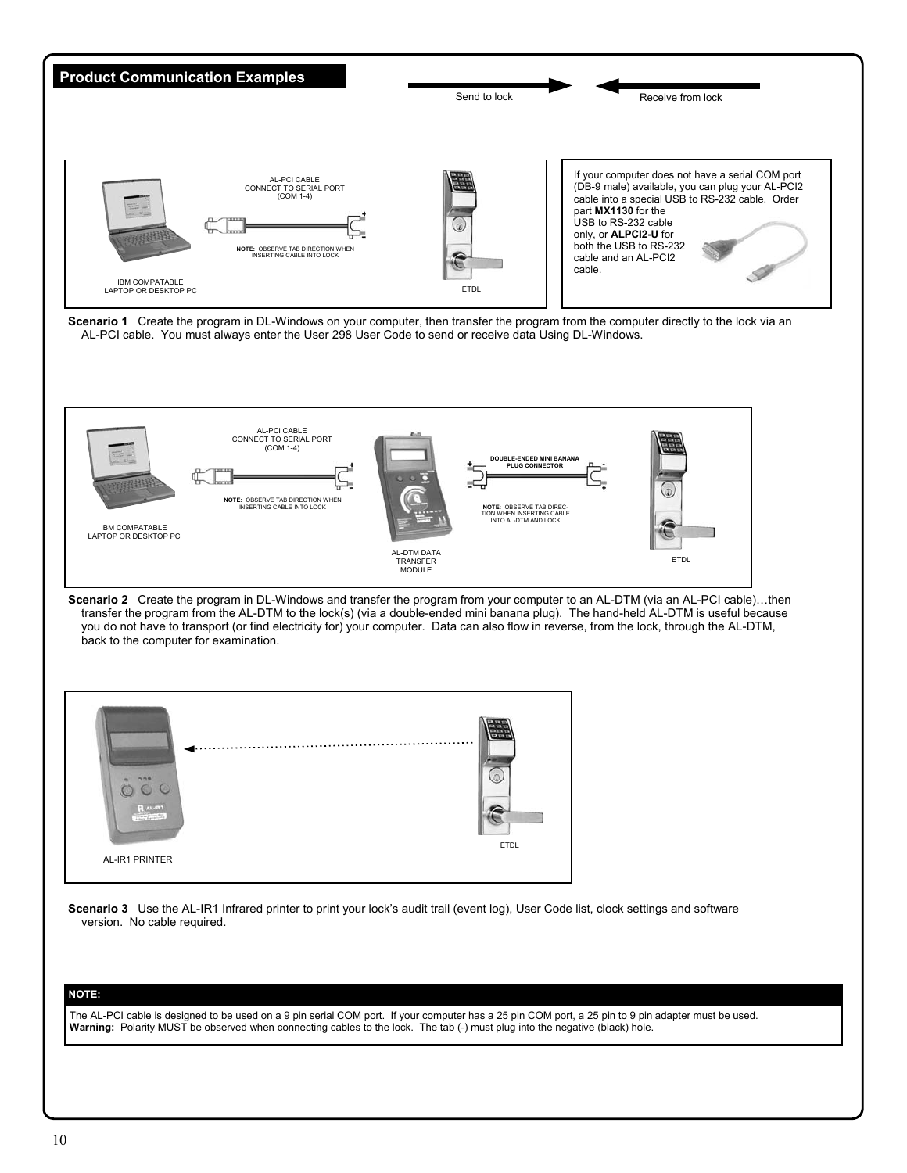

**Warning:** Polarity MUST be observed when connecting cables to the lock. The tab (-) must plug into the negative (black) hole.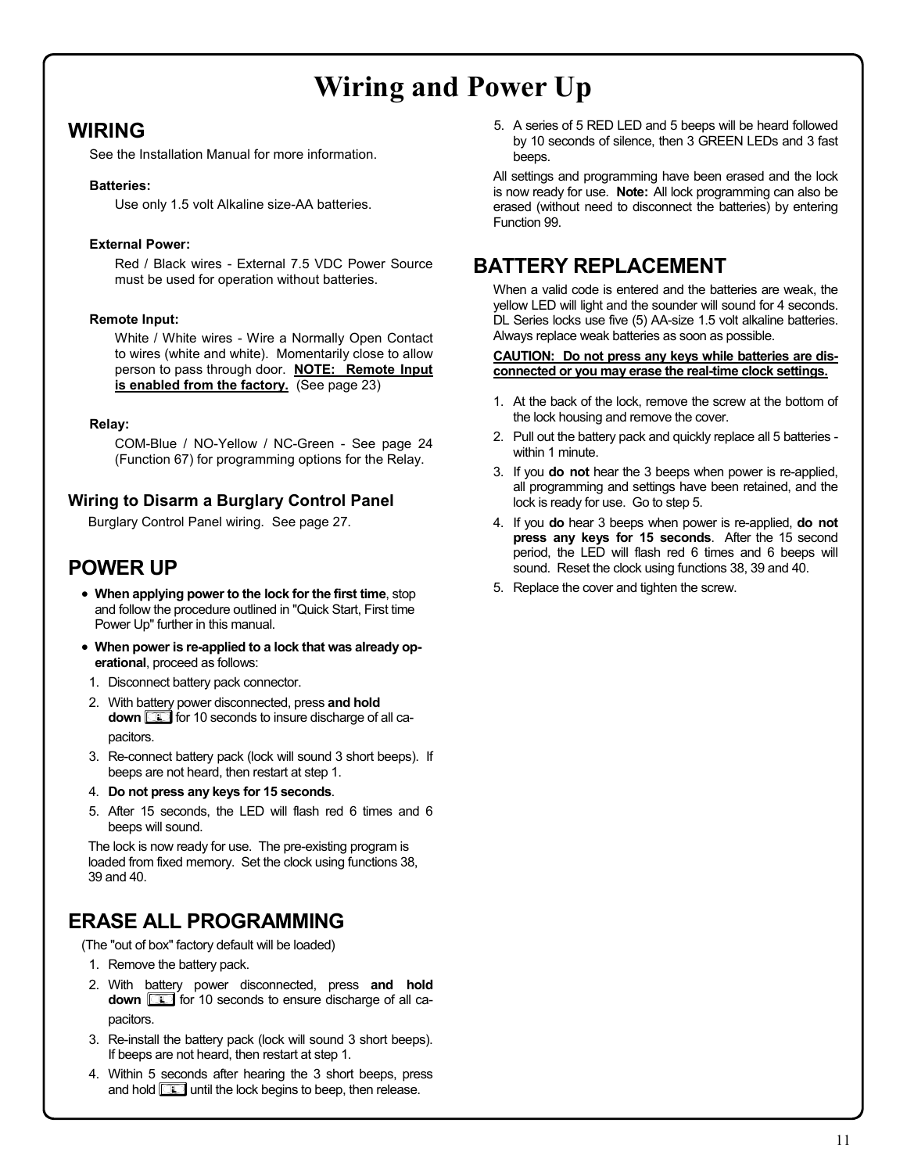# **Wiring and Power Up**

## **WIRING**

See the Installation Manual for more information.

### **Batteries:**

Use only 1.5 volt Alkaline size-AA batteries.

### **External Power:**

Red / Black wires - External 7.5 VDC Power Source must be used for operation without batteries.

### **Remote Input:**

White / White wires - Wire a Normally Open Contact to wires (white and white). Momentarily close to allow person to pass through door. **NOTE: Remote Input is enabled from the factory.** (See page 23)

### **Relay:**

COM-Blue / NO-Yellow / NC-Green - See page 24 (Function 67) for programming options for the Relay.

## **Wiring to Disarm a Burglary Control Panel**

Burglary Control Panel wiring. See page 27.

## **POWER UP**

- **When applying power to the lock for the first time**, stop and follow the procedure outlined in "Quick Start, First time Power Up" further in this manual.
- **When power is re-applied to a lock that was already operational**, proceed as follows:
- 1. Disconnect battery pack connector.
- 2. With battery power disconnected, press **and hold down <b>i**g for 10 seconds to insure discharge of all capacitors.
- 3. Re-connect battery pack (lock will sound 3 short beeps). If beeps are not heard, then restart at step 1.
- 4. **Do not press any keys for 15 seconds**.
- 5. After 15 seconds, the LED will flash red 6 times and 6 beeps will sound.

The lock is now ready for use. The pre-existing program is loaded from fixed memory. Set the clock using functions 38, 39 and 40.

## **ERASE ALL PROGRAMMING**

(The "out of box" factory default will be loaded)

- 1. Remove the battery pack.
- 2. With battery power disconnected, press **and hold down** *w* for 10 seconds to ensure discharge of all capacitors.
- 3. Re-install the battery pack (lock will sound 3 short beeps). If beeps are not heard, then restart at step 1.
- 4. Within 5 seconds after hearing the 3 short beeps, press and hold **<b>intellace** until the lock begins to beep, then release.

5. A series of 5 RED LED and 5 beeps will be heard followed by 10 seconds of silence, then 3 GREEN LEDs and 3 fast beeps.

All settings and programming have been erased and the lock is now ready for use. **Note:** All lock programming can also be erased (without need to disconnect the batteries) by entering Function 99.

## **BATTERY REPLACEMENT**

When a valid code is entered and the batteries are weak, the yellow LED will light and the sounder will sound for 4 seconds. DL Series locks use five (5) AA-size 1.5 volt alkaline batteries. Always replace weak batteries as soon as possible.

### **CAUTION: Do not press any keys while batteries are disconnected or you may erase the real-time clock settings.**

- 1. At the back of the lock, remove the screw at the bottom of the lock housing and remove the cover.
- 2. Pull out the battery pack and quickly replace all 5 batteries within 1 minute.
- 3. If you **do not** hear the 3 beeps when power is re-applied, all programming and settings have been retained, and the lock is ready for use. Go to step 5.
- 4. If you **do** hear 3 beeps when power is re-applied, **do not press any keys for 15 seconds**. After the 15 second period, the LED will flash red 6 times and 6 beeps will sound. Reset the clock using functions 38, 39 and 40.
- 5. Replace the cover and tighten the screw.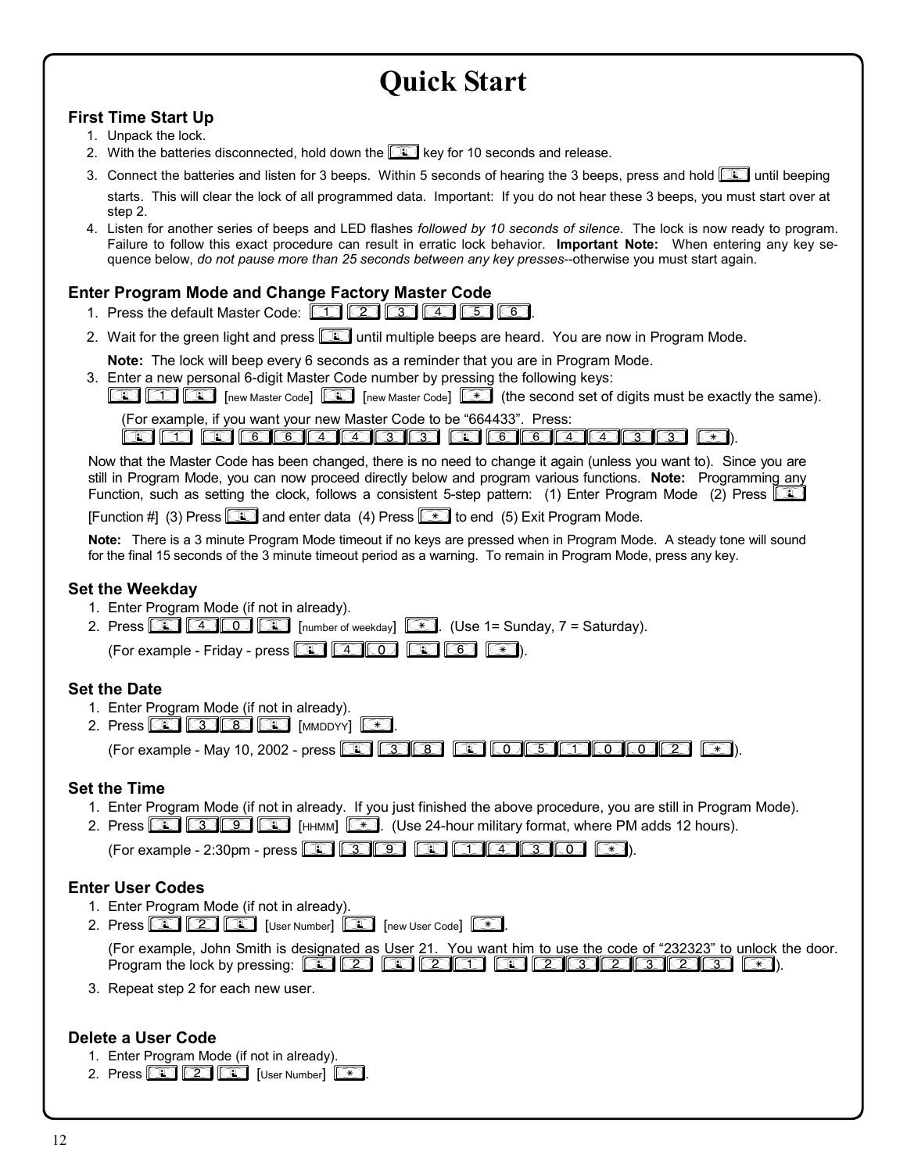# **Quick Start**

## **First Time Start Up**

- 1. Unpack the lock.
- 2. With the batteries disconnected, hold down the *i***image** key for 10 seconds and release.
- 3. Connect the batteries and listen for 3 beeps. Within 5 seconds of hearing the 3 beeps, press and hold *;* until beeping starts. This will clear the lock of all programmed data. Important: If you do not hear these 3 beeps, you must start over at step 2.
- 4. Listen for another series of beeps and LED flashes *followed by 10 seconds of silence*. The lock is now ready to program. Failure to follow this exact procedure can result in erratic lock behavior. **Important Note:** When entering any key sequence below, *do not pause more than 25 seconds between any key presses--otherwise you must start again*.

## **Enter Program Mode and Change Factory Master Code**

- 1. Press the default Master Code: **1234666**.
- 2. Wait for the green light and press **<b>in** until multiple beeps are heard. You are now in Program Mode.

**Note:** The lock will beep every 6 seconds as a reminder that you are in Program Mode.

3. Enter a new personal 6-digit Master Code number by pressing the following keys:

**[1]** [1] **[1]** [1] **[1]** [new Master Code] **[1]** [new Master Code]  $*$  (the second set of digits must be exactly the same).

(For example, if you want your new Master Code to be "664433". Press:

*;1 ;664433 ;664433 :*).

Now that the Master Code has been changed, there is no need to change it again (unless you want to). Since you are still in Program Mode, you can now proceed directly below and program various functions. **Note:** Programming any Function, such as setting the clock, follows a consistent 5-step pattern: (1) Enter Program Mode (2) Press <sup>[1</sup> **[Function #] (3) Press <b>i** and enter data (4) Press  $*$  to end (5) Exit Program Mode.

**Note:** There is a 3 minute Program Mode timeout if no keys are pressed when in Program Mode. A steady tone will sound for the final 15 seconds of the 3 minute timeout period as a warning. To remain in Program Mode, press any key.

## **Set the Weekday**

- 1. Enter Program Mode (if not in already).
- 2. Press  $\boxed{4}$   $\boxed{4}$   $\boxed{0}$   $\boxed{4}$  [number of weekday]  $\boxed{4}$ . (Use 1= Sunday, 7 = Saturday). (For example - Friday - press  $\boxed{10}$   $\boxed{30}$   $\boxed{10}$   $\boxed{30}$   $\boxed{6}$

## **Set the Date**

- 1. Enter Program Mode (if not in already).
- 2. Press  $\circled{3}$   $\circled{3}$   $\circled{4}$   $\circled{4}$   $\circled{5}$   $\circled{4}$ .

(For example - May 10, 2002 - press *;38 ;051002 :*).

## **Set the Time**

- 1. Enter Program Mode (if not in already. If you just finished the above procedure, you are still in Program Mode).
- 2. Press *;39;* [HHMM]*:*. (Use 24-hour military format, where PM adds 12 hours).

(For example - 2:30pm - press **in a strong and a strong in a strong in A**).

## **Enter User Codes**

- 1. Enter Program Mode (if not in already).
- 2. Press  $\circled{2}$   $\circled{2}$  [User Number]  $\circled{3}$  [new User Code]  $\circled{3}$ . (For example, John Smith is designated as User 21. You want him to use the code of "232323" to unlock the door. Program the lock by pressing: *;2 ;21 ;232323 :*).
- 3. Repeat step 2 for each new user.

## **Delete a User Code**

- 1. Enter Program Mode (if not in already).
- 2. Press  $\circled{2}$   $\circled{2}$   $\circled{1}$  [User Number]  $\circled{3}$ .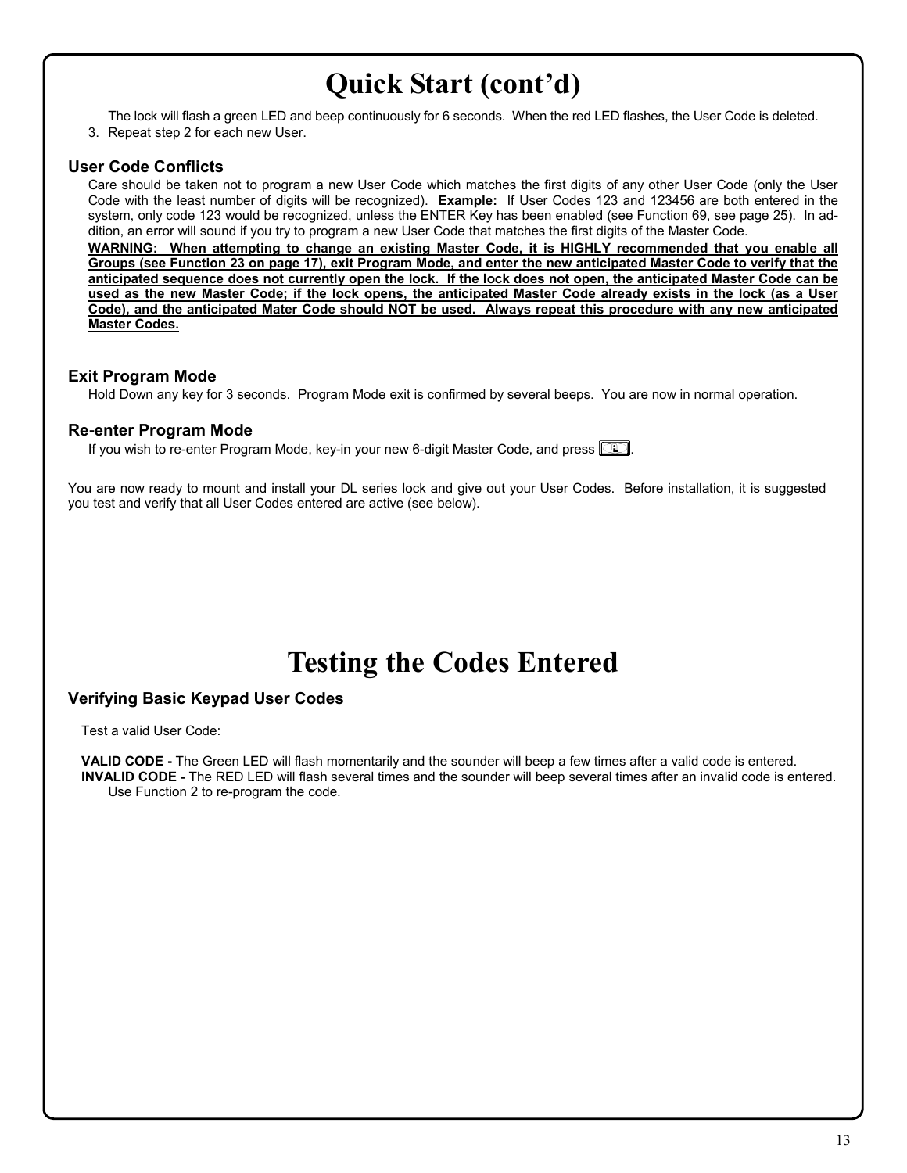# **Quick Start (cont'd)**

 The lock will flash a green LED and beep continuously for 6 seconds. When the red LED flashes, the User Code is deleted. 3. Repeat step 2 for each new User.

## **User Code Conflicts**

Care should be taken not to program a new User Code which matches the first digits of any other User Code (only the User Code with the least number of digits will be recognized). **Example:** If User Codes 123 and 123456 are both entered in the system, only code 123 would be recognized, unless the ENTER Key has been enabled (see Function 69, see page 25). In addition, an error will sound if you try to program a new User Code that matches the first digits of the Master Code. **WARNING: When attempting to change an existing Master Code, it is HIGHLY recommended that you enable all Groups (see Function 23 on page 17), exit Program Mode, and enter the new anticipated Master Code to verify that the anticipated sequence does not currently open the lock. If the lock does not open, the anticipated Master Code can be used as the new Master Code; if the lock opens, the anticipated Master Code already exists in the lock (as a User Code), and the anticipated Mater Code should NOT be used. Always repeat this procedure with any new anticipated Master Codes.**

## **Exit Program Mode**

Hold Down any key for 3 seconds. Program Mode exit is confirmed by several beeps. You are now in normal operation.

## **Re-enter Program Mode**

If you wish to re-enter Program Mode, key-in your new 6-digit Master Code, and press **in**.

You are now ready to mount and install your DL series lock and give out your User Codes. Before installation, it is suggested you test and verify that all User Codes entered are active (see below).

# **Testing the Codes Entered**

## **Verifying Basic Keypad User Codes**

Test a valid User Code:

**VALID CODE -** The Green LED will flash momentarily and the sounder will beep a few times after a valid code is entered. **INVALID CODE -** The RED LED will flash several times and the sounder will beep several times after an invalid code is entered. Use Function 2 to re-program the code.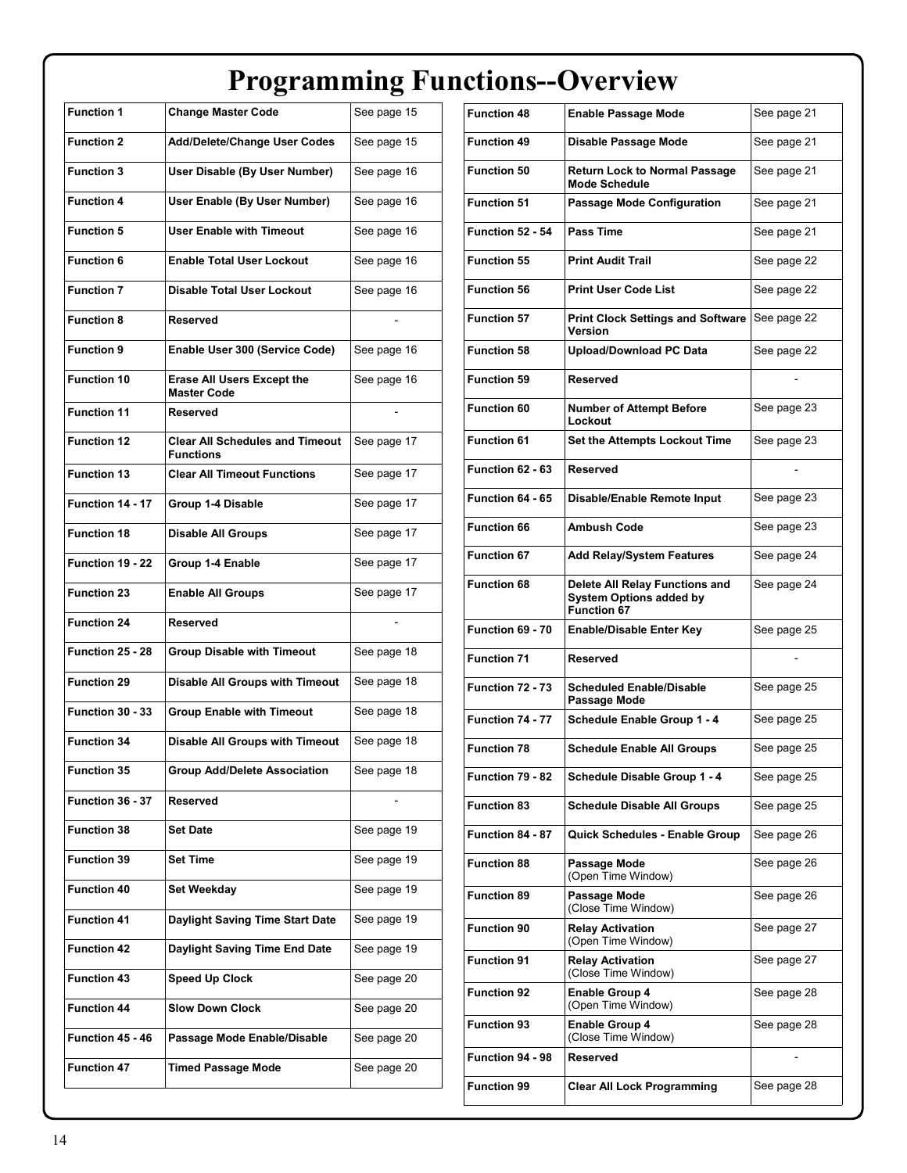# **Programming Functions--Overview**

| <b>Function 1</b>       | <b>Change Master Code</b>                                  | See page 15 |
|-------------------------|------------------------------------------------------------|-------------|
| <b>Function 2</b>       | <b>Add/Delete/Change User Codes</b>                        | See page 15 |
| <b>Function 3</b>       | User Disable (By User Number)                              | See page 16 |
| <b>Function 4</b>       | User Enable (By User Number)                               | See page 16 |
| <b>Function 5</b>       | <b>User Enable with Timeout</b>                            | See page 16 |
| <b>Function 6</b>       | <b>Enable Total User Lockout</b>                           | See page 16 |
| <b>Function 7</b>       | <b>Disable Total User Lockout</b>                          | See page 16 |
| <b>Function 8</b>       | Reserved                                                   |             |
| <b>Function 9</b>       | Enable User 300 (Service Code)                             | See page 16 |
| <b>Function 10</b>      | <b>Erase All Users Except the</b><br><b>Master Code</b>    | See page 16 |
| <b>Function 11</b>      | <b>Reserved</b>                                            |             |
| <b>Function 12</b>      | <b>Clear All Schedules and Timeout</b><br><b>Functions</b> | See page 17 |
| <b>Function 13</b>      | <b>Clear All Timeout Functions</b>                         | See page 17 |
| Function 14 - 17        | Group 1-4 Disable                                          | See page 17 |
| <b>Function 18</b>      | <b>Disable All Groups</b>                                  | See page 17 |
| Function 19 - 22        | Group 1-4 Enable                                           | See page 17 |
| <b>Function 23</b>      | <b>Enable All Groups</b>                                   | See page 17 |
| <b>Function 24</b>      | Reserved                                                   |             |
| Function 25 - 28        | <b>Group Disable with Timeout</b>                          | See page 18 |
| <b>Function 29</b>      | <b>Disable All Groups with Timeout</b>                     | See page 18 |
| <b>Function 30 - 33</b> | <b>Group Enable with Timeout</b>                           | See page 18 |
| <b>Function 34</b>      | <b>Disable All Groups with Timeout</b>                     | See page 18 |
| <b>Function 35</b>      | <b>Group Add/Delete Association</b>                        | See page 18 |
| <b>Function 36 - 37</b> | Reserved                                                   |             |
| <b>Function 38</b>      | Set Date                                                   | See page 19 |
| <b>Function 39</b>      | Set Time                                                   | See page 19 |
| <b>Function 40</b>      | <b>Set Weekday</b>                                         | See page 19 |
| <b>Function 41</b>      | Daylight Saving Time Start Date                            | See page 19 |
| <b>Function 42</b>      | Daylight Saving Time End Date                              | See page 19 |
| <b>Function 43</b>      | <b>Speed Up Clock</b>                                      | See page 20 |
| <b>Function 44</b>      | <b>Slow Down Clock</b>                                     | See page 20 |
| Function 45 - 46        | Passage Mode Enable/Disable                                | See page 20 |
| <b>Function 47</b>      | <b>Timed Passage Mode</b>                                  | See page 20 |

| <b>Function 48</b> | Enable Passage Mode                                                                    | See page 21 |
|--------------------|----------------------------------------------------------------------------------------|-------------|
| <b>Function 49</b> | Disable Passage Mode                                                                   | See page 21 |
| <b>Function 50</b> | <b>Return Lock to Normal Passage</b><br><b>Mode Schedule</b>                           | See page 21 |
| <b>Function 51</b> | <b>Passage Mode Configuration</b>                                                      | See page 21 |
| Function 52 - 54   | <b>Pass Time</b>                                                                       | See page 21 |
| <b>Function 55</b> | <b>Print Audit Trail</b>                                                               | See page 22 |
| <b>Function 56</b> | <b>Print User Code List</b>                                                            | See page 22 |
| <b>Function 57</b> | <b>Print Clock Settings and Software</b><br>Version                                    | See page 22 |
| <b>Function 58</b> | <b>Upload/Download PC Data</b>                                                         | See page 22 |
| <b>Function 59</b> | <b>Reserved</b>                                                                        |             |
| <b>Function 60</b> | <b>Number of Attempt Before</b><br>Lockout                                             | See page 23 |
| <b>Function 61</b> | <b>Set the Attempts Lockout Time</b>                                                   | See page 23 |
| Function 62 - 63   | Reserved                                                                               |             |
| Function 64 - 65   | Disable/Enable Remote Input                                                            | See page 23 |
| <b>Function 66</b> | <b>Ambush Code</b>                                                                     | See page 23 |
| <b>Function 67</b> | <b>Add Relay/System Features</b>                                                       | See page 24 |
| <b>Function 68</b> | Delete All Relay Functions and<br><b>System Options added by</b><br><b>Function 67</b> | See page 24 |
| Function 69 - 70   | <b>Enable/Disable Enter Key</b>                                                        | See page 25 |
| <b>Function 71</b> | <b>Reserved</b>                                                                        |             |
| Function 72 - 73   | <b>Scheduled Enable/Disable</b><br>Passage Mode                                        | See page 25 |
| Function 74 - 77   | Schedule Enable Group 1 - 4                                                            | See page 25 |
| <b>Function 78</b> | <b>Schedule Enable All Groups</b>                                                      | See page 25 |
| Function 79 - 82   | Schedule Disable Group 1 - 4                                                           | See page 25 |
| <b>Function 83</b> | <b>Schedule Disable All Groups</b>                                                     | See page 25 |
| Function 84 - 87   | Quick Schedules - Enable Group                                                         | See page 26 |
| <b>Function 88</b> | Passage Mode<br>(Open Time Window)                                                     | See page 26 |
| <b>Function 89</b> | Passage Mode<br>(Close Time Window)                                                    | See page 26 |
| <b>Function 90</b> | <b>Relay Activation</b><br>(Open Time Window)                                          | See page 27 |
| <b>Function 91</b> | <b>Relay Activation</b><br>(Close Time Window)                                         | See page 27 |
| <b>Function 92</b> | <b>Enable Group 4</b><br>(Open Time Window)                                            | See page 28 |
| <b>Function 93</b> | <b>Enable Group 4</b><br>(Close Time Window)                                           | See page 28 |
| Function 94 - 98   | Reserved                                                                               |             |
| <b>Function 99</b> | <b>Clear All Lock Programming</b>                                                      | See page 28 |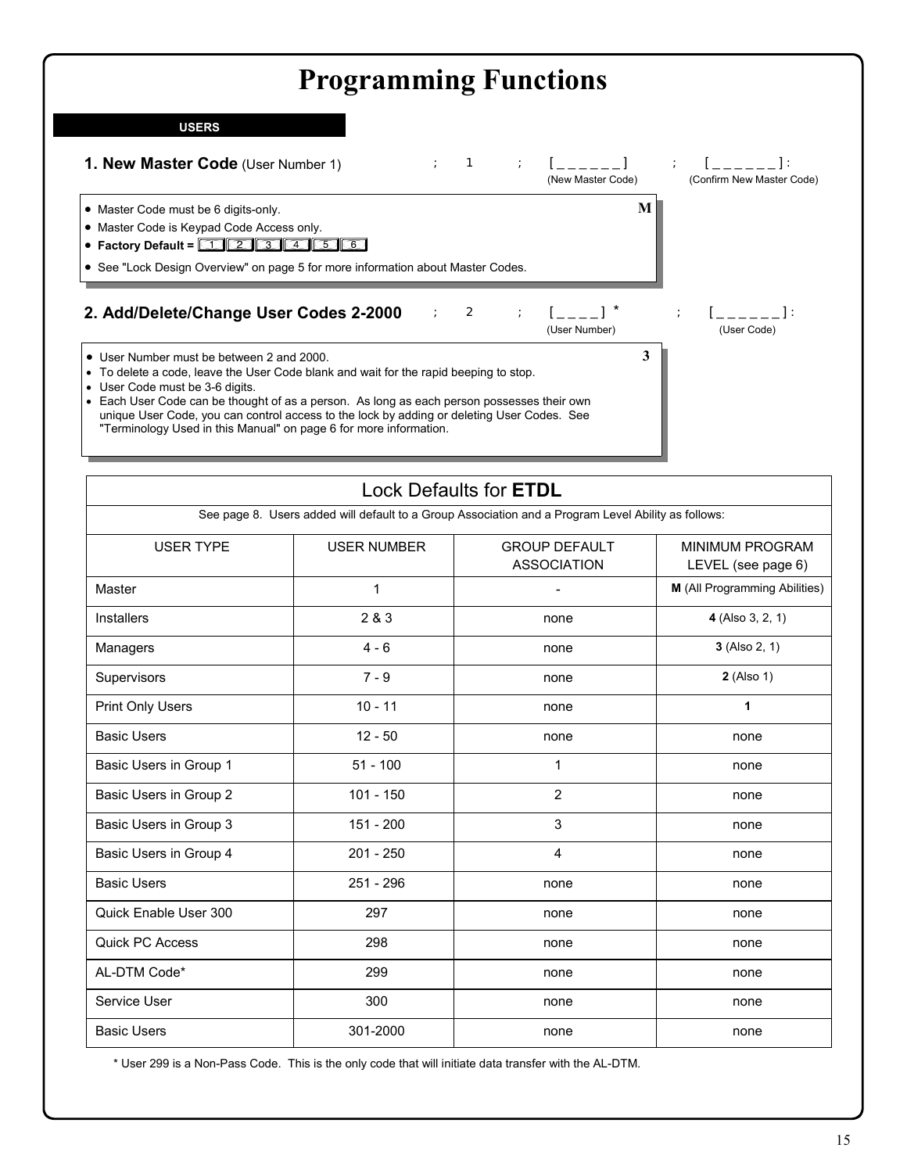# **Programming Functions**

### **USERS**



## Lock Defaults for **ETDL**

See page 8. Users added will default to a Group Association and a Program Level Ability as follows:

| <b>USER TYPE</b>        | <b>USER NUMBER</b> | <b>GROUP DEFAULT</b><br><b>ASSOCIATION</b> | <b>MINIMUM PROGRAM</b><br>LEVEL (see page 6) |
|-------------------------|--------------------|--------------------------------------------|----------------------------------------------|
| Master                  | 1                  |                                            | M (All Programming Abilities)                |
| <b>Installers</b>       | 2 & 3              | none                                       | 4 (Also 3, 2, 1)                             |
| Managers                | $4 - 6$            | none                                       | 3 (Also 2, 1)                                |
| Supervisors             | $7 - 9$            | none                                       | 2 (Also 1)                                   |
| <b>Print Only Users</b> | $10 - 11$          | none                                       | 1                                            |
| <b>Basic Users</b>      | $12 - 50$          | none                                       | none                                         |
| Basic Users in Group 1  | $51 - 100$         | 1                                          | none                                         |
| Basic Users in Group 2  | $101 - 150$        | $\overline{2}$                             | none                                         |
| Basic Users in Group 3  | 151 - 200          | 3                                          | none                                         |
| Basic Users in Group 4  | $201 - 250$        | 4                                          | none                                         |
| <b>Basic Users</b>      | 251 - 296          | none                                       | none                                         |
| Quick Enable User 300   | 297                | none                                       | none                                         |
| <b>Quick PC Access</b>  | 298                | none                                       | none                                         |
| AL-DTM Code*            | 299                | none                                       | none                                         |
| Service User            | 300                | none                                       | none                                         |
| <b>Basic Users</b>      | 301-2000           | none                                       | none                                         |

\* User 299 is a Non-Pass Code. This is the only code that will initiate data transfer with the AL-DTM.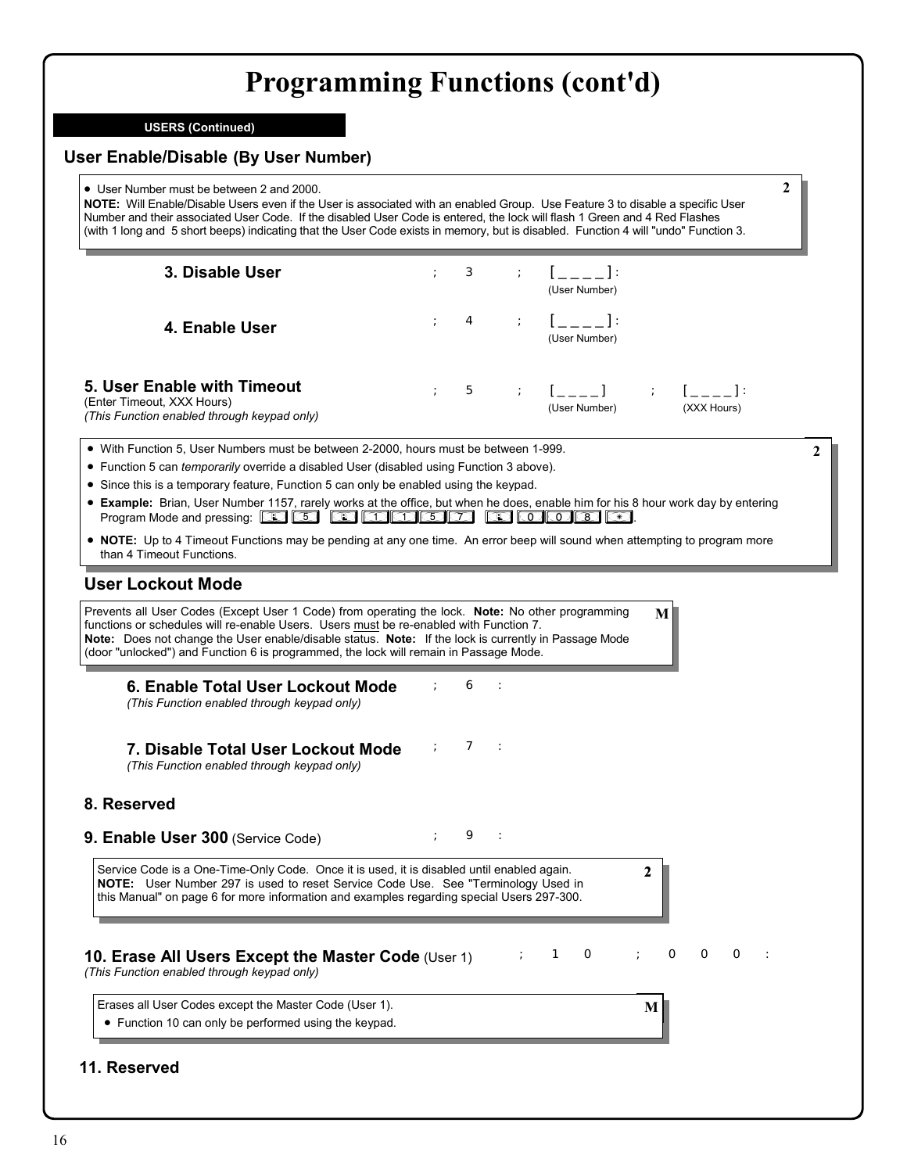**USERS (Continued)**

| • User Number must be between 2 and 2000.<br>NOTE: Will Enable/Disable Users even if the User is associated with an enabled Group. Use Feature 3 to disable a specific User<br>Number and their associated User Code. If the disabled User Code is entered, the lock will flash 1 Green and 4 Red Flashes<br>(with 1 long and 5 short beeps) indicating that the User Code exists in memory, but is disabled. Function 4 will "undo" Function 3.                                                                                                                                                                                        |            |               |   |                                 |              |                                                         | $\mathbf{2}$ |
|-----------------------------------------------------------------------------------------------------------------------------------------------------------------------------------------------------------------------------------------------------------------------------------------------------------------------------------------------------------------------------------------------------------------------------------------------------------------------------------------------------------------------------------------------------------------------------------------------------------------------------------------|------------|---------------|---|---------------------------------|--------------|---------------------------------------------------------|--------------|
| 3. Disable User                                                                                                                                                                                                                                                                                                                                                                                                                                                                                                                                                                                                                         |            | 3             |   | $1 - - - 1$<br>(User Number)    |              |                                                         |              |
| 4. Enable User                                                                                                                                                                                                                                                                                                                                                                                                                                                                                                                                                                                                                          |            | 4             |   | (User Number)                   |              |                                                         |              |
| 5. User Enable with Timeout<br>(Enter Timeout, XXX Hours)<br>(This Function enabled through keypad only)                                                                                                                                                                                                                                                                                                                                                                                                                                                                                                                                |            | 5             |   | (User Number)                   |              | $\mathbf{1}$ $\mathbf{1}$ $\mathbf{1}$ :<br>(XXX Hours) |              |
| • With Function 5, User Numbers must be between 2-2000, hours must be between 1-999.<br>• Function 5 can temporarily override a disabled User (disabled using Function 3 above).<br>• Since this is a temporary feature, Function 5 can only be enabled using the keypad.<br>• Example: Brian, User Number 1157, rarely works at the office, but when he does, enable him for his 8 hour work day by entering<br>$\circ$ alas as $\circ$<br>Program Mode and pressing: CD CD<br>• NOTE: Up to 4 Timeout Functions may be pending at any one time. An error beep will sound when attempting to program more<br>than 4 Timeout Functions. |            |               | Ð | $\boxed{\circ}$ $\circ$ $\circ$ |              |                                                         |              |
|                                                                                                                                                                                                                                                                                                                                                                                                                                                                                                                                                                                                                                         |            |               |   |                                 | M            |                                                         |              |
| 6. Enable Total User Lockout Mode<br>(This Function enabled through keypad only)                                                                                                                                                                                                                                                                                                                                                                                                                                                                                                                                                        |            | 6<br>$\sim$ 1 |   |                                 |              |                                                         |              |
| 7. Disable Total User Lockout Mode<br>(This Function enabled through keypad only)                                                                                                                                                                                                                                                                                                                                                                                                                                                                                                                                                       | $\ddot{ }$ | 7<br>$\sim$ 1 |   |                                 |              |                                                         |              |
|                                                                                                                                                                                                                                                                                                                                                                                                                                                                                                                                                                                                                                         |            |               |   |                                 |              |                                                         |              |
| <b>User Lockout Mode</b><br>Prevents all User Codes (Except User 1 Code) from operating the lock. Note: No other programming<br>functions or schedules will re-enable Users. Users must be re-enabled with Function 7.<br>Note: Does not change the User enable/disable status. Note: If the lock is currently in Passage Mode<br>(door "unlocked") and Function 6 is programmed, the lock will remain in Passage Mode.<br>8. Reserved<br>9. Enable User 300 (Service Code)                                                                                                                                                             |            | 9             |   |                                 |              |                                                         |              |
| Service Code is a One-Time-Only Code. Once it is used, it is disabled until enabled again.<br>NOTE: User Number 297 is used to reset Service Code Use. See "Terminology Used in<br>this Manual" on page 6 for more information and examples regarding special Users 297-300.                                                                                                                                                                                                                                                                                                                                                            |            |               |   |                                 | 2            |                                                         |              |
| 10. Erase All Users Except the Master Code (User 1)<br>(This Function enabled through keypad only)                                                                                                                                                                                                                                                                                                                                                                                                                                                                                                                                      |            |               |   | 1<br>$\circ$                    | ÷<br>$\circ$ | O<br>O                                                  | $\cdot$ :    |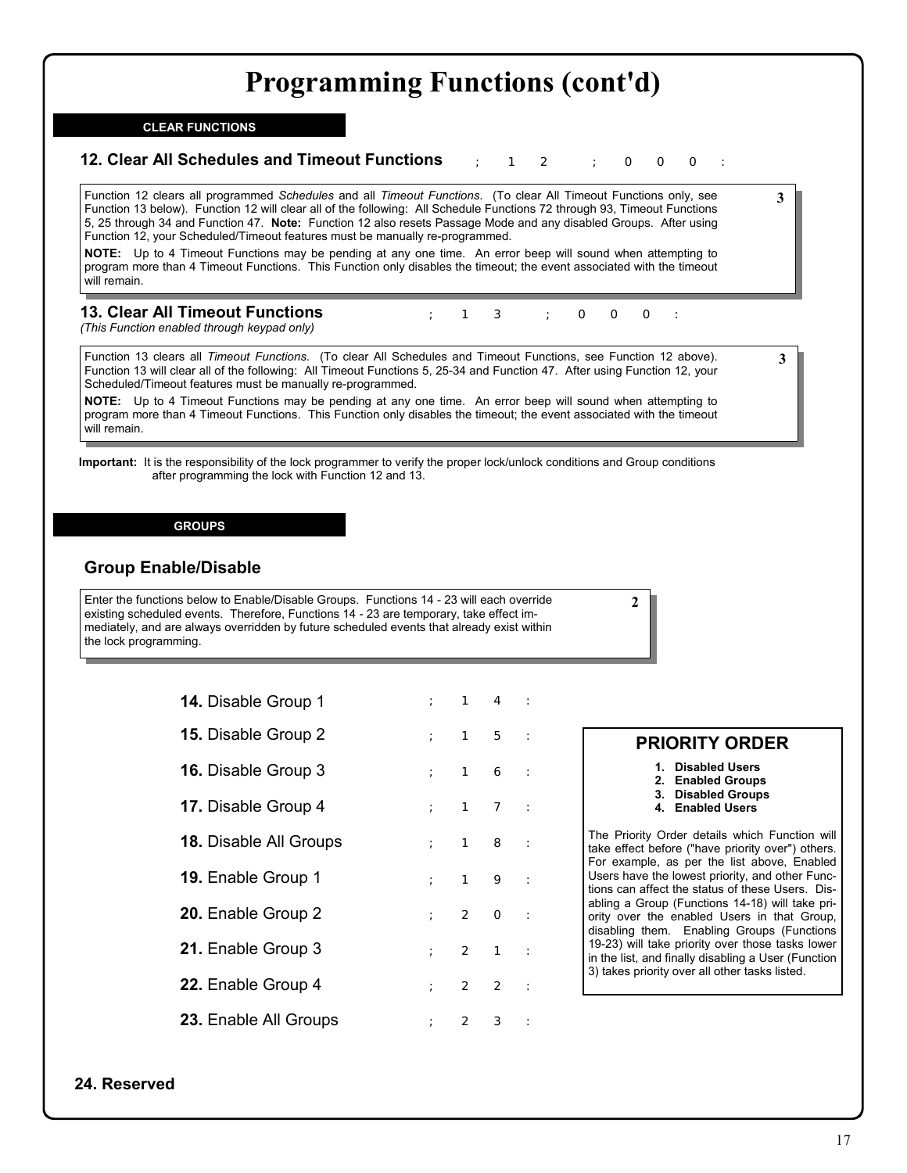; 1 3 ; 0 0 0:

### **CLEAR FUNCTIONS**

### **12. Clear All Schedules and Timeout Functions**  $\begin{array}{cccc} \cdot & 1 & 2 & \cdot & \circ & \circ & \circ \end{array}$

Function 12 clears all programmed *Schedules* and all *Timeout Functions*. (To clear All Timeout Functions only, see Function 13 below). Function 12 will clear all of the following: All Schedule Functions 72 through 93, Timeout Functions 5, 25 through 34 and Function 47. **Note:** Function 12 also resets Passage Mode and any disabled Groups. After using Function 12, your Scheduled/Timeout features must be manually re-programmed.

**NOTE:** Up to 4 Timeout Functions may be pending at any one time. An error beep will sound when attempting to program more than 4 Timeout Functions. This Function only disables the timeout; the event associated with the timeout will remain.

## **13. Clear All Timeout Functions**

*(This Function enabled through keypad only)*

Function 13 clears all *Timeout Functions*. (To clear All Schedules and Timeout Functions, see Function 12 above). Function 13 will clear all of the following: All Timeout Functions 5, 25-34 and Function 47. After using Function 12, your Scheduled/Timeout features must be manually re-programmed.

**NOTE:** Up to 4 Timeout Functions may be pending at any one time. An error beep will sound when attempting to program more than 4 Timeout Functions. This Function only disables the timeout; the event associated with the timeout will remain.

**Important:** It is the responsibility of the lock programmer to verify the proper lock/unlock conditions and Group conditions after programming the lock with Function 12 and 13.

### **GROUPS**

## **Group Enable/Disable**

Enter the functions below to Enable/Disable Groups. Functions 14 - 23 will each override existing scheduled events. Therefore, Functions 14 - 23 are temporary, take effect immediately, and are always overridden by future scheduled events that already exist within the lock programming.

| 14. Disable Group 1           | $\ddot{i}$    |              | $1 \quad 4 \quad :$ |  |
|-------------------------------|---------------|--------------|---------------------|--|
| 15. Disable Group 2           | $\mathcal{L}$ | $1 \quad$    | 5:                  |  |
| <b>16.</b> Disable Group 3    |               |              | : 16:               |  |
| 17. Disable Group 4           | $\mathcal{L}$ | $1 \quad$    | 7:                  |  |
| <b>18. Disable All Groups</b> | $\mathcal{L}$ | $1 \quad$    | 8:                  |  |
| 19. Enable Group 1            |               |              | : 19:               |  |
| 20. Enable Group 2            | $\mathcal{L}$ |              | $2$ O :             |  |
| 21. Enable Group 3            |               |              | $: 2 \quad 1 :$     |  |
| 22. Enable Group 4            |               |              | : 22 :              |  |
| 23. Enable All Groups         | $\mathcal{L}$ | $\mathbf{2}$ | 3:                  |  |

## **PRIORITY ORDER**

**3**

**3**

**1. Disabled Users** 

**2**

- **2. Enabled Groups**
- **3. Disabled Groups**
- **4. Enabled Users**

The Priority Order details which Function will take effect before ("have priority over") others. For example, as per the list above, Enabled Users have the lowest priority, and other Functions can affect the status of these Users. Disabling a Group (Functions 14-18) will take priority over the enabled Users in that Group, disabling them. Enabling Groups (Functions 19-23) will take priority over those tasks lower in the list, and finally disabling a User (Function 3) takes priority over all other tasks listed.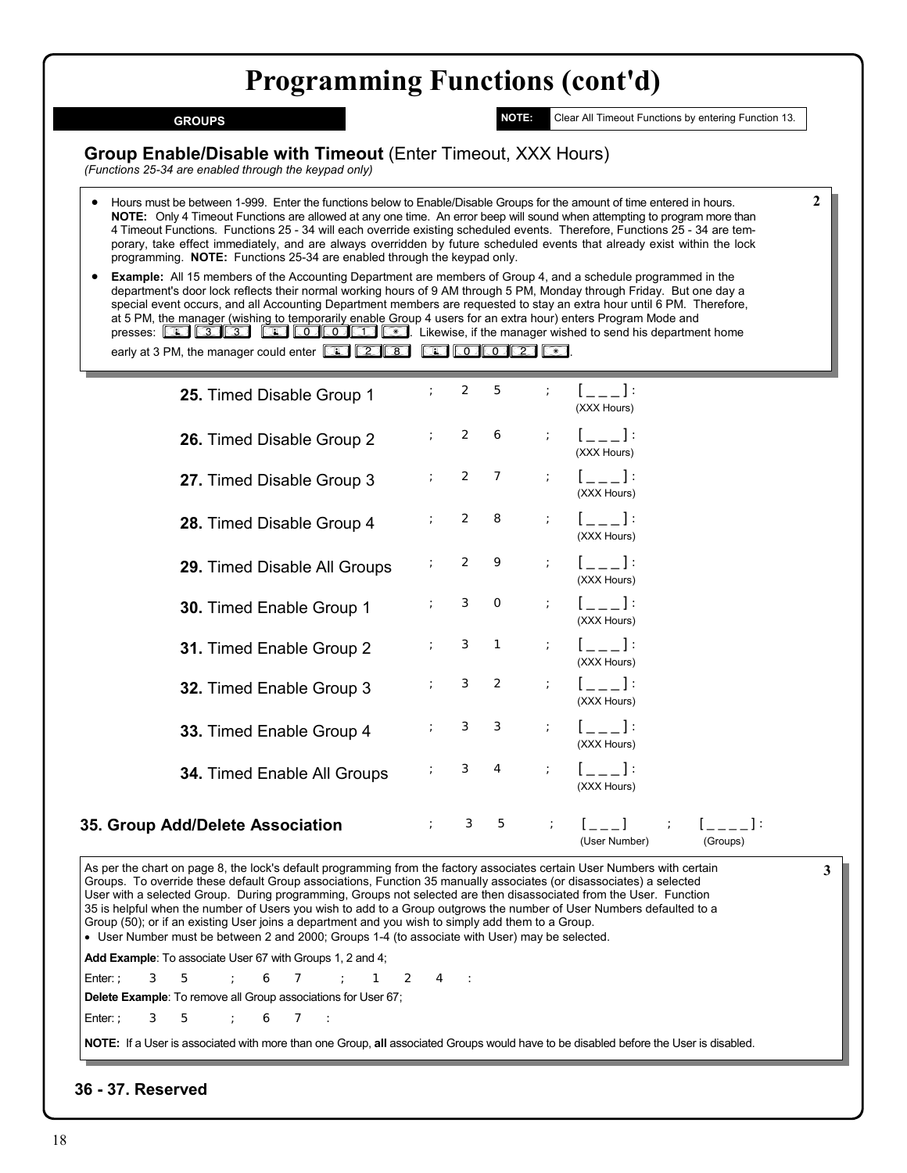**GROUPS**

**NOTE:** Clear All Timeout Functions by entering Function 13.

(User Number) (Groups)

**2**

**3**

**Group Enable/Disable with Timeout** (Enter Timeout, XXX Hours)

*(Functions 25-34 are enabled through the keypad only)*

- Hours must be between 1-999. Enter the functions below to Enable/Disable Groups for the amount of time entered in hours.  **NOTE:** Only 4 Timeout Functions are allowed at any one time. An error beep will sound when attempting to program more than 4 Timeout Functions. Functions 25 - 34 will each override existing scheduled events. Therefore, Functions 25 - 34 are temporary, take effect immediately, and are always overridden by future scheduled events that already exist within the lock programming. **NOTE:** Functions 25-34 are enabled through the keypad only.
- **Example:** All 15 members of the Accounting Department are members of Group 4, and a schedule programmed in the department's door lock reflects their normal working hours of 9 AM through 5 PM, Monday through Friday. But one day a special event occurs, and all Accounting Department members are requested to stay an extra hour until 6 PM. Therefore, at 5 PM, the manager (wishing to temporarily enable Group 4 users for an extra hour) enters Program Mode and presses: **[33] <b>601: [33] <b>[33] [33] [33] [30] [30] [36]** Likewise, if the manager wished to send his department home early at 3 PM, the manager could enter **in the set of the set of the set of the set of the set of the set of the set of the set of the set of the set of the set of the set of the set of the set of the set of the set of the**

| 25. Timed Disable Group 1          |               | $\mathbf{2}$ | 5              |                               | ; [___]:<br>(XXX Hours)                                                                                                                                                                                                                                                                                         |
|------------------------------------|---------------|--------------|----------------|-------------------------------|-----------------------------------------------------------------------------------------------------------------------------------------------------------------------------------------------------------------------------------------------------------------------------------------------------------------|
| 26. Timed Disable Group 2          | $\frac{1}{l}$ | 2            | 6              | $\ddot{ }$                    | $[--1]$<br>(XXX Hours)                                                                                                                                                                                                                                                                                          |
| 27. Timed Disable Group 3          | $\mathcal{L}$ | 2            | 7              | $\mathcal{T}$ .               | $[--1]$<br>(XXX Hours)                                                                                                                                                                                                                                                                                          |
| 28. Timed Disable Group 4          | $\mathcal{V}$ | 2            | 8              | $\mathbb{R}^n$                | $[--1]$<br>(XXX Hours)                                                                                                                                                                                                                                                                                          |
| 29. Timed Disable All Groups       |               | 2            | 9              | $\mathcal{V}^{\mathcal{A}}$ . | $[--1]$<br>(XXX Hours)                                                                                                                                                                                                                                                                                          |
| 30. Timed Enable Group 1           | ÷             | З            | $\circ$        | $\cdot$ .                     | $\mathbb{R}^n \times \mathbb{R}^n$<br>(XXX Hours)                                                                                                                                                                                                                                                               |
| 31. Timed Enable Group 2           | $\mathcal{L}$ | З            | $\overline{1}$ | $\ddot{r}$                    | $[--1]$<br>(XXX Hours)                                                                                                                                                                                                                                                                                          |
| 32. Timed Enable Group 3           |               | З            | $\overline{2}$ | $\mathbb{R}^+$                | $[--1]$<br>(XXX Hours)                                                                                                                                                                                                                                                                                          |
| 33. Timed Enable Group 4           |               | З            | З              | $\ddot{ }$                    | $\mathbb{R}^n \times \mathbb{R}^n$<br>(XXX Hours)                                                                                                                                                                                                                                                               |
| <b>34. Timed Enable All Groups</b> |               | З            | $\overline{4}$ | $\frac{1}{I}$                 | $\mathbf{1}$ and $\mathbf{1}$ and $\mathbf{1}$ and $\mathbf{1}$ and $\mathbf{1}$ and $\mathbf{1}$ and $\mathbf{1}$ and $\mathbf{1}$ and $\mathbf{1}$ and $\mathbf{1}$ and $\mathbf{1}$ and $\mathbf{1}$ and $\mathbf{1}$ and $\mathbf{1}$ and $\mathbf{1}$ and $\mathbf{1}$ and $\mathbf{1}$ and<br>(XXX Hours) |
| oun Add/Delete Association         |               | З            | 5              |                               | $\mathcal{L}$ is a set of $\mathcal{L}$ is a set of $\mathcal{L}$ is a set of $\mathcal{L}$                                                                                                                                                                                                                     |

## **35. Group Add/Delete Association**

As per the chart on page 8, the lock's default programming from the factory associates certain User Numbers with certain Groups. To override these default Group associations, Function 35 manually associates (or disassociates) a selected User with a selected Group. During programming, Groups not selected are then disassociated from the User. Function 35 is helpful when the number of Users you wish to add to a Group outgrows the number of User Numbers defaulted to a Group (50); or if an existing User joins a department and you wish to simply add them to a Group. • User Number must be between 2 and 2000; Groups 1-4 (to associate with User) may be selected.

**Add Example**: To associate User 67 with Groups 1, 2 and 4;

Enter:; 3 5 ; 6 7 ; 1 2 4 :

**Delete Example**: To remove all Group associations for User 67; Enter:; 3 5 ; 6 7 :

**NOTE:** If a User is associated with more than one Group, **all** associated Groups would have to be disabled before the User is disabled.

## **36 - 37. Reserved**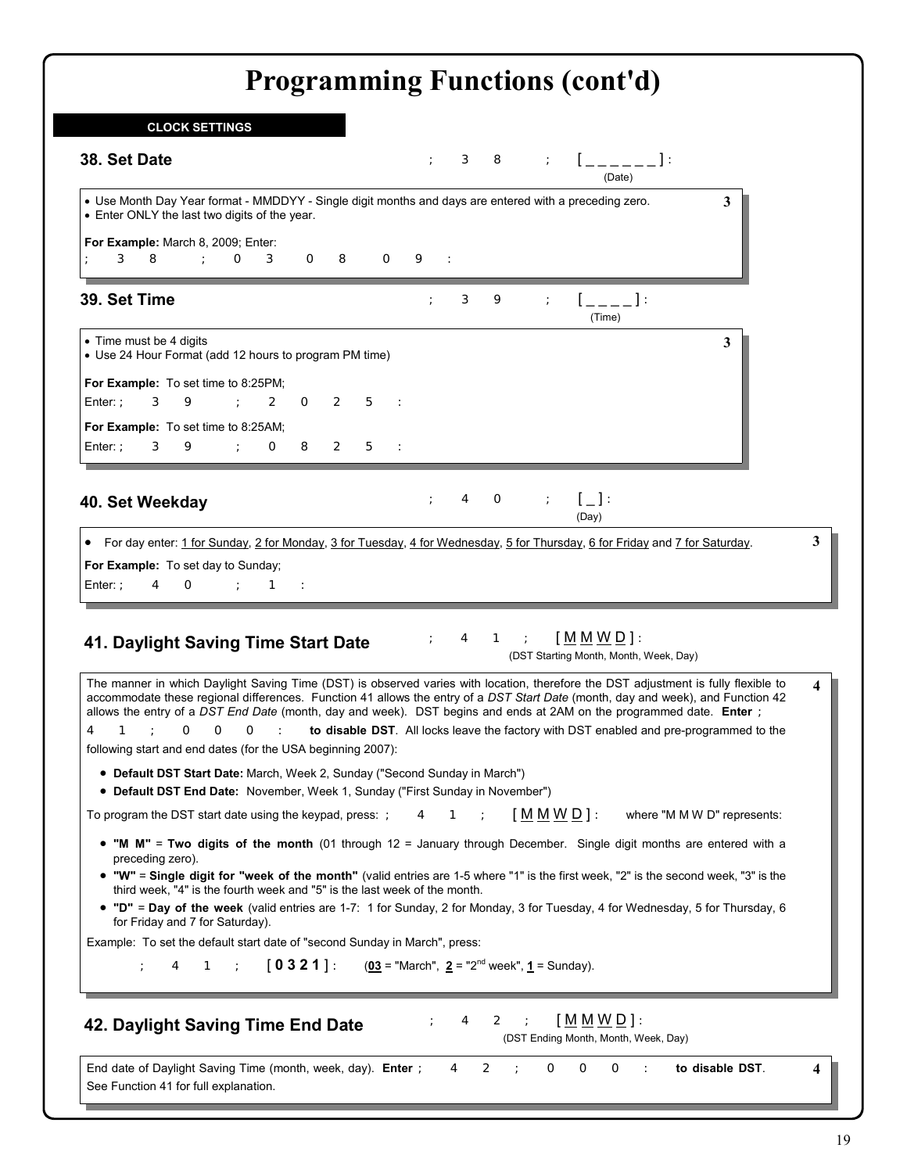| <b>CLOCK SETTINGS</b>                                                                                                                                                                                                                                                                                                         |                                                                                                                                                                                                                                                                                                                                                                                                                                                                                         |   |
|-------------------------------------------------------------------------------------------------------------------------------------------------------------------------------------------------------------------------------------------------------------------------------------------------------------------------------|-----------------------------------------------------------------------------------------------------------------------------------------------------------------------------------------------------------------------------------------------------------------------------------------------------------------------------------------------------------------------------------------------------------------------------------------------------------------------------------------|---|
| 38. Set Date                                                                                                                                                                                                                                                                                                                  | $\begin{bmatrix} 1 & 1 \\ 1 & 1 \end{bmatrix}$<br>З<br>8<br>(Date)                                                                                                                                                                                                                                                                                                                                                                                                                      |   |
| • Enter ONLY the last two digits of the year.                                                                                                                                                                                                                                                                                 | . Use Month Day Year format - MMDDYY - Single digit months and days are entered with a preceding zero.<br>3                                                                                                                                                                                                                                                                                                                                                                             |   |
| For Example: March 8, 2009; Enter:<br>8<br>$\sim 1000$ km s $^{-1}$<br>$\circ$<br>З<br>$\circ$<br>8<br>З                                                                                                                                                                                                                      | $\circ$<br>9<br>$\sim$ :                                                                                                                                                                                                                                                                                                                                                                                                                                                                |   |
| 39. Set Time                                                                                                                                                                                                                                                                                                                  | $\lbrack -,-,-]$ :<br>З<br>9<br>(Time)                                                                                                                                                                                                                                                                                                                                                                                                                                                  |   |
| • Time must be 4 digits<br>• Use 24 Hour Format (add 12 hours to program PM time)                                                                                                                                                                                                                                             | 3                                                                                                                                                                                                                                                                                                                                                                                                                                                                                       |   |
| For Example: To set time to 8:25PM;<br>Enter: $:$<br>З<br>9<br>$\mathcal{L} = \mathcal{L}$<br>$\overline{2}$<br>$\circ$<br>$\mathbf{2}$                                                                                                                                                                                       | 5<br>$\sim$ 1                                                                                                                                                                                                                                                                                                                                                                                                                                                                           |   |
| For Example: To set time to 8:25AM;<br>Enter: $:$<br>$\mathcal{L} = \mathcal{L} \mathcal{L} = \mathcal{L} \mathcal{L}$<br>$\circ$<br>8<br>$\mathbf{2}$<br>З<br>9.                                                                                                                                                             | 5<br>$\sim$ 1                                                                                                                                                                                                                                                                                                                                                                                                                                                                           |   |
| 40. Set Weekday                                                                                                                                                                                                                                                                                                               | $\mathcal{L} = \left\{ \begin{array}{c} 1 \\ -1 \end{array} \right\}$<br>4<br>$\circ$<br>(Day)                                                                                                                                                                                                                                                                                                                                                                                          |   |
| 4<br>$\circ$<br>$\sim$ $\sim$ 1<br>$\sim$ 1.                                                                                                                                                                                                                                                                                  | • For day enter: 1 for Sunday, 2 for Monday, 3 for Tuesday, 4 for Wednesday, 5 for Thursday, 6 for Friday and 7 for Saturday.                                                                                                                                                                                                                                                                                                                                                           | 3 |
|                                                                                                                                                                                                                                                                                                                               | [M M W D]<br>$1$ ;<br>$\overline{4}$<br>(DST Starting Month, Month, Week, Day)                                                                                                                                                                                                                                                                                                                                                                                                          |   |
| $O$ :<br>1<br>$\sim$ 1.<br>O<br>O                                                                                                                                                                                                                                                                                             | The manner in which Daylight Saving Time (DST) is observed varies with location, therefore the DST adjustment is fully flexible to<br>accommodate these regional differences. Function 41 allows the entry of a DST Start Date (month, day and week), and Function 42<br>allows the entry of a DST End Date (month, day and week). DST begins and ends at 2AM on the programmed date. Enter ;<br>to disable DST. All locks leave the factory with DST enabled and pre-programmed to the | 4 |
| • Default DST Start Date: March, Week 2, Sunday ("Second Sunday in March")<br>• Default DST End Date: November, Week 1, Sunday ("First Sunday in November")                                                                                                                                                                   |                                                                                                                                                                                                                                                                                                                                                                                                                                                                                         |   |
| 4                                                                                                                                                                                                                                                                                                                             | $[M M W D]$ :<br>where "M M W D" represents:<br>4<br>1                                                                                                                                                                                                                                                                                                                                                                                                                                  |   |
| preceding zero).                                                                                                                                                                                                                                                                                                              | • "M M" = Two digits of the month (01 through $12$ = January through December. Single digit months are entered with a                                                                                                                                                                                                                                                                                                                                                                   |   |
| third week, "4" is the fourth week and "5" is the last week of the month.                                                                                                                                                                                                                                                     | . "W" = Single digit for "week of the month" (valid entries are 1-5 where "1" is the first week, "2" is the second week, "3" is the                                                                                                                                                                                                                                                                                                                                                     |   |
| for Friday and 7 for Saturday).                                                                                                                                                                                                                                                                                               | • "D" = Day of the week (valid entries are 1-7: 1 for Sunday, 2 for Monday, 3 for Tuesday, 4 for Wednesday, 5 for Thursday, 6                                                                                                                                                                                                                                                                                                                                                           |   |
| For Example: To set day to Sunday;<br>Enter: $:$<br>41. Daylight Saving Time Start Date<br>following start and end dates (for the USA beginning 2007):<br>To program the DST start date using the keypad, press:<br>Example: To set the default start date of "second Sunday in March", press:<br>$-1.1$<br>4<br>$\mathbf{1}$ | $\begin{bmatrix} 0 & 3 & 2 & 1 \end{bmatrix}$ : $(03)$ = "March", $2 =$ "2 <sup>nd</sup> week", <u>1</u> = Sunday).                                                                                                                                                                                                                                                                                                                                                                     |   |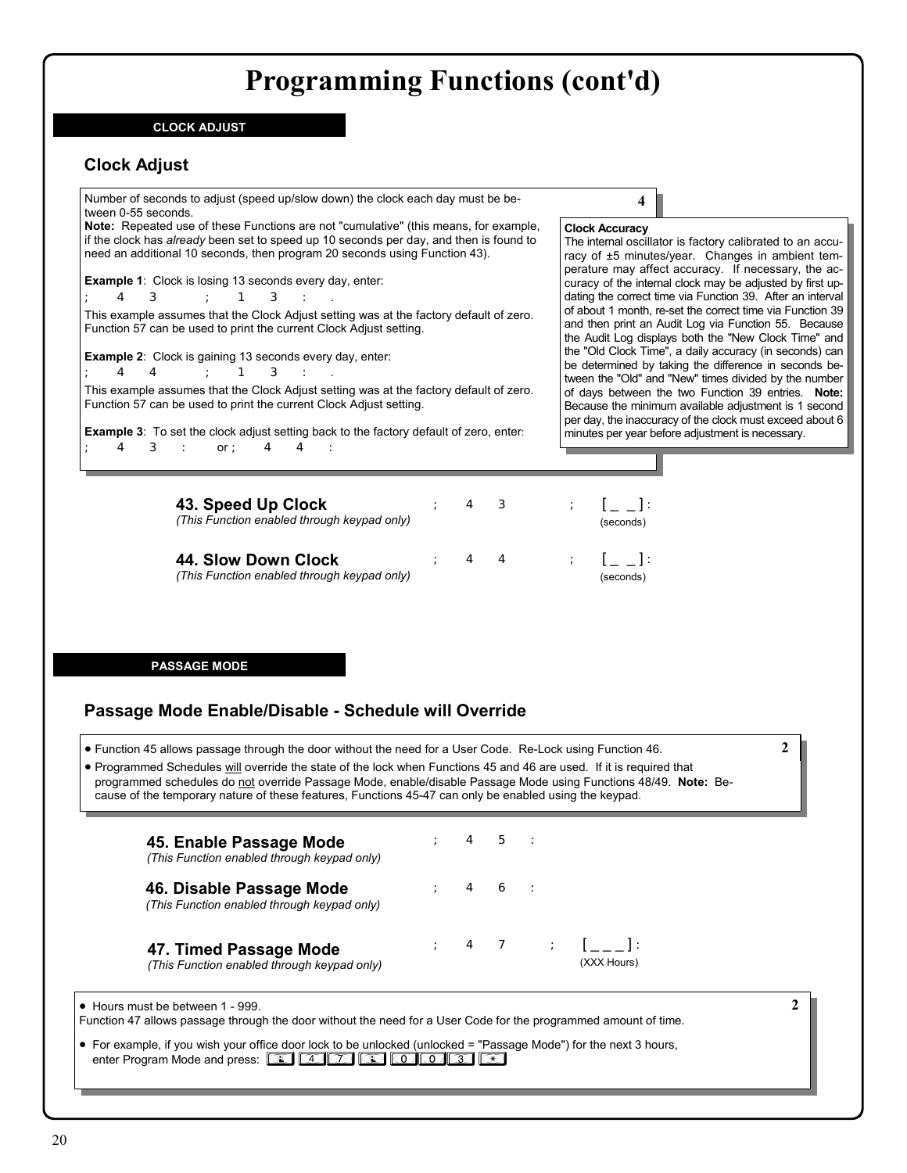### **CLOCK ADJUST**

## **Clock Adjust**

Number of seconds to adjust (speed up/slow down) the clock each day must be between 0-55 seconds. **Note:** Repeated use of these Functions are not "cumulative" (this means, for example, if the clock has *already* been set to speed up 10 seconds per day, and then is found to need an additional 10 seconds, then program 20 seconds using Function 43). **Example 1**: Clock is losing 13 seconds every day, enter:  $; 4 \ 3 \ 3 \ 1 \ 3 \ 1.$ This example assumes that the Clock Adjust setting was at the factory default of zero. Function 57 can be used to print the current Clock Adjust setting. **Example 2**: Clock is gaining 13 seconds every day, enter:  $; 4 \ 4 \ ; 1 \ 3 \ : .$ This example assumes that the Clock Adjust setting was at the factory default of zero. Function 57 can be used to print the current Clock Adjust setting. **Example 3**: To set the clock adjust setting back to the factory default of zero, enter: **Clock Accuracy**  the "Old Clock Time", a daily accuracy (in seconds) can be determined by taking the difference in seconds between the "Old" and "New" times divided by the number of days between the two Function 39 entries. **Note:** Because the minimum available adjustment is 1 second per day, the inaccuracy of the clock must exceed about 6 minutes per year before adjustment is necessary.

The internal oscillator is factory calibrated to an accuracy of ±5 minutes/year. Changes in ambient temperature may affect accuracy. If necessary, the accuracy of the internal clock may be adjusted by first updating the correct time via Function 39. After an interval of about 1 month, re-set the correct time via Function 39 and then print an Audit Log via Function 55. Because the Audit Log displays both the "New Clock Time" and

**4**

**2**

**2**

| 43. Speed Up Clock<br>(This Function enabled through keypad only)  | 4 3 |  | $\mathbb{R}^n$ , $\mathbb{R}^n$ , $\mathbb{R}^n$ , $\mathbb{R}^n$<br>(seconds)                   |
|--------------------------------------------------------------------|-----|--|--------------------------------------------------------------------------------------------------|
| 44. Slow Down Clock<br>(This Function enabled through keypad only) | 4 4 |  | $\rightarrow$ $\rightarrow$ $\rightarrow$ $\rightarrow$ $\rightarrow$ $\rightarrow$<br>(seconds) |

**PASSAGE MODE**

;  $4 \t3 \t{:} or; 4 \t4 \t{:}$ 

## **Passage Mode Enable/Disable - Schedule will Override**

• Function 45 allows passage through the door without the need for a User Code. Re-Lock using Function 46.

• Programmed Schedules will override the state of the lock when Functions 45 and 46 are used. If it is required that programmed schedules do not override Passage Mode, enable/disable Passage Mode using Functions 48/49. **Note:** Because of the temporary nature of these features, Functions 45-47 can only be enabled using the keypad.

| 45. Enable Passage Mode<br>(This Function enabled through keypad only)  |                                                 | $4\quad5\quad$ : |                                 |
|-------------------------------------------------------------------------|-------------------------------------------------|------------------|---------------------------------|
| 46. Disable Passage Mode<br>(This Function enabled through keypad only) | $\begin{array}{cccc} \cdot & 4 & 6 \end{array}$ |                  |                                 |
| 47. Timed Passage Mode<br>(This Function enabled through keypad only)   |                                                 |                  | ; 4 7 ; $[--]$ :<br>(XXX Hours) |

• Hours must be between 1 - 999.

Function 47 allows passage through the door without the need for a User Code for the programmed amount of time.

• For example, if you wish your office door lock to be unlocked (unlocked = "Passage Mode") for the next 3 hours, enter Program Mode and press: *;47;003:*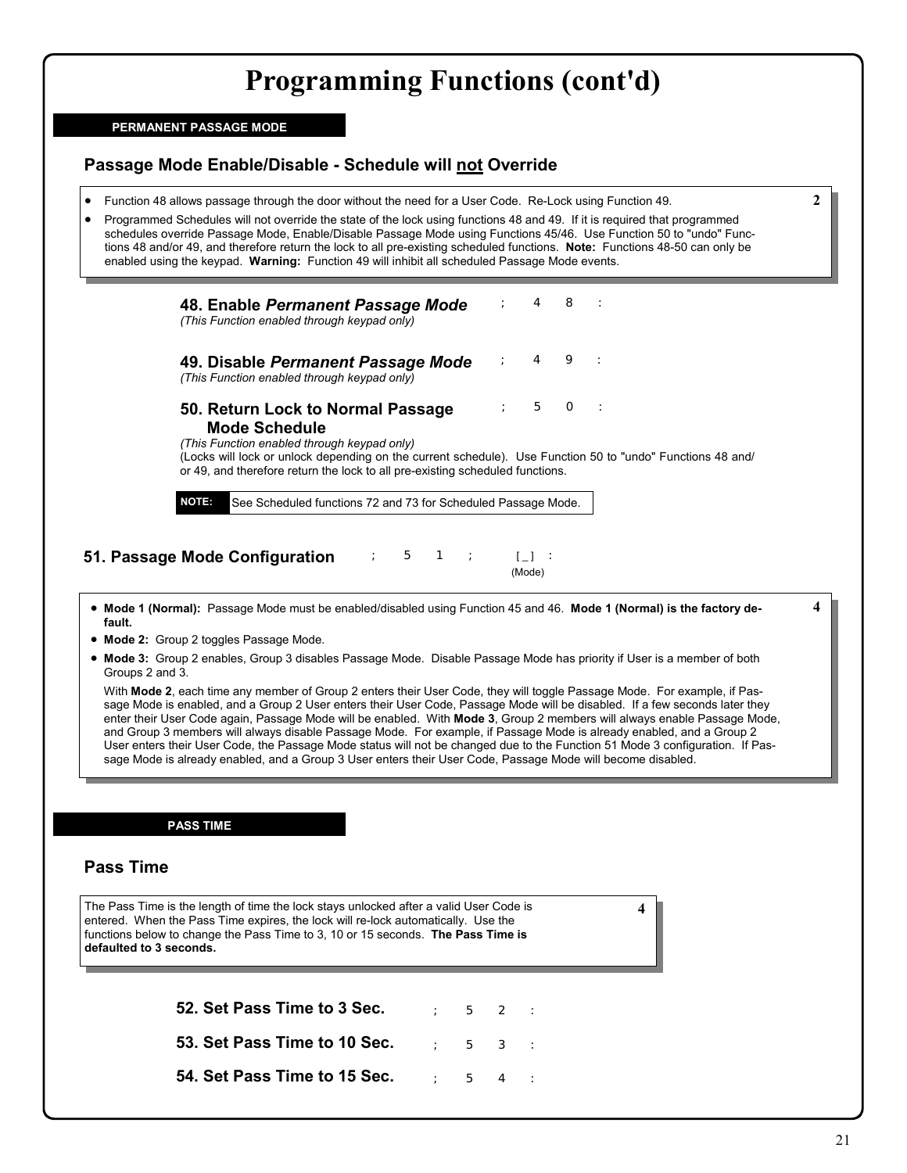### **PERMANENT PASSAGE MODE**

## **Passage Mode Enable/Disable - Schedule will not Override**

- Function 48 allows passage through the door without the need for a User Code. Re-Lock using Function 49.
- Programmed Schedules will not override the state of the lock using functions 48 and 49. If it is required that programmed schedules override Passage Mode, Enable/Disable Passage Mode using Functions 45/46. Use Function 50 to "undo" Functions 48 and/or 49, and therefore return the lock to all pre-existing scheduled functions. **Note:** Functions 48-50 can only be enabled using the keypad. **Warning:** Function 49 will inhibit all scheduled Passage Mode events.

|        | 48. Enable Permanent Passage Mode<br>(This Function enabled through keypad only)                                                                                                                          |                                                               |                | 8        |                                                                                                                                                                                                                                                       |
|--------|-----------------------------------------------------------------------------------------------------------------------------------------------------------------------------------------------------------|---------------------------------------------------------------|----------------|----------|-------------------------------------------------------------------------------------------------------------------------------------------------------------------------------------------------------------------------------------------------------|
|        | 49. Disable Permanent Passage Mode<br>(This Function enabled through keypad only)                                                                                                                         |                                                               | $\overline{4}$ | $\circ$  | $\sim$ :                                                                                                                                                                                                                                              |
|        | 50. Return Lock to Normal Passage<br><b>Mode Schedule</b><br>(This Function enabled through keypad only)<br>or 49, and therefore return the lock to all pre-existing scheduled functions.<br><b>NOTE:</b> | See Scheduled functions 72 and 73 for Scheduled Passage Mode. | 5              | $\Omega$ | $\sim$ 1<br>(Locks will lock or unlock depending on the current schedule). Use Function 50 to "undo" Functions 48 and/                                                                                                                                |
|        | 51. Passage Mode Configuration                                                                                                                                                                            | $5 \quad 1 \quad$                                             | (Mode)         |          |                                                                                                                                                                                                                                                       |
| fault. | • Mode 2: Group 2 toggles Passage Mode.                                                                                                                                                                   |                                                               |                |          | 4<br>• Mode 1 (Normal): Passage Mode must be enabled/disabled using Function 45 and 46. Mode 1 (Normal) is the factory de-<br>• Mode 3: Group 2 enables, Group 3 disables Passage Mode. Disable Passage Mode has priority if User is a member of both |

• **Mode 3:** Group 2 enables, Group 3 disables Passage Mode. Disable Passage Mode has priority if User is a member of both Groups 2 and 3.

 With **Mode 2**, each time any member of Group 2 enters their User Code, they will toggle Passage Mode. For example, if Passage Mode is enabled, and a Group 2 User enters their User Code, Passage Mode will be disabled. If a few seconds later they enter their User Code again, Passage Mode will be enabled. With **Mode 3**, Group 2 members will always enable Passage Mode, and Group 3 members will always disable Passage Mode. For example, if Passage Mode is already enabled, and a Group 2 User enters their User Code, the Passage Mode status will not be changed due to the Function 51 Mode 3 configuration. If Passage Mode is already enabled, and a Group 3 User enters their User Code, Passage Mode will become disabled.

### **PASS TIME**

### **Pass Time**

The Pass Time is the length of time the lock stays unlocked after a valid User Code is entered. When the Pass Time expires, the lock will re-lock automatically. Use the functions below to change the Pass Time to 3, 10 or 15 seconds. **The Pass Time is defaulted to 3 seconds. 4**

> **52. Set Pass Time to 3 Sec.** ; 5 2 : ; 5 3 :  $5 \quad 4$ **53. Set Pass Time to 10 Sec. 54. Set Pass Time to 15 Sec.**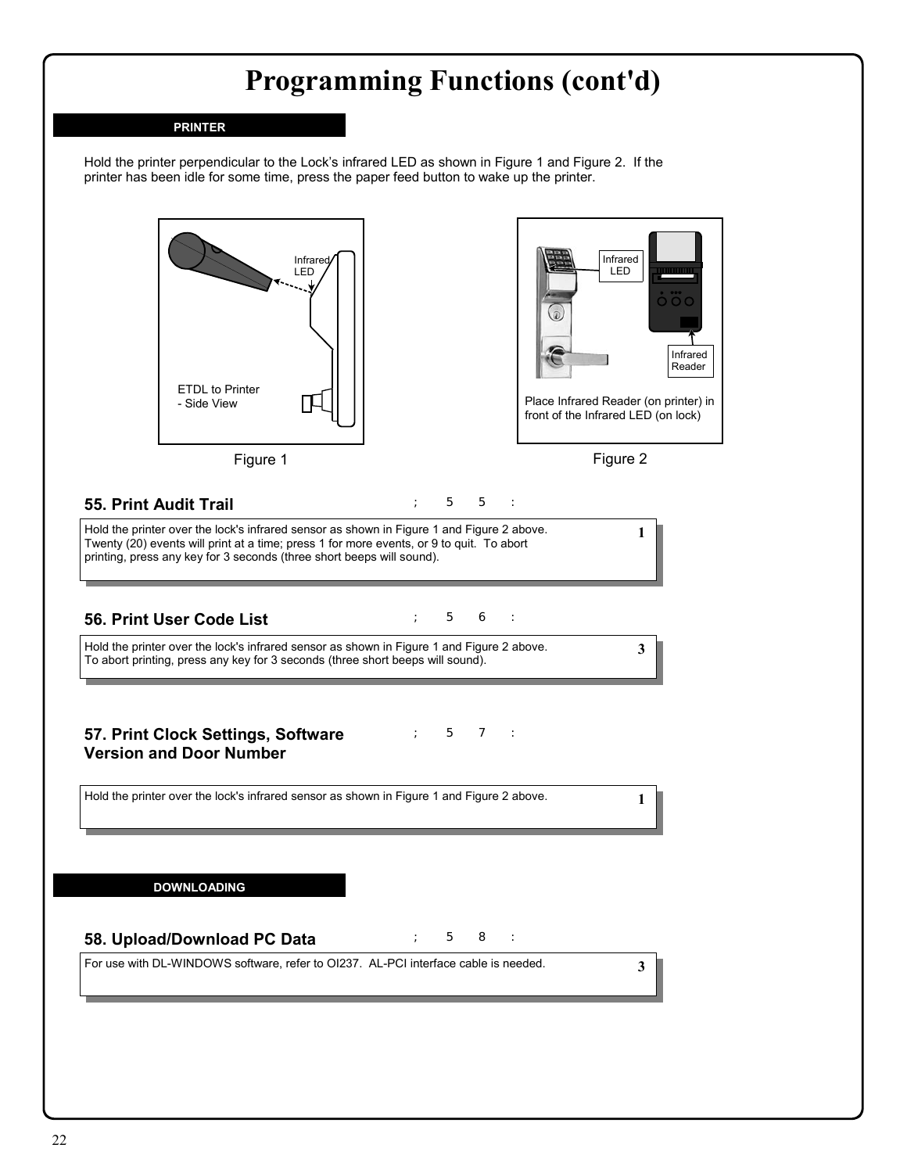### **PRINTER**

Hold the printer perpendicular to the Lock's infrared LED as shown in Figure 1 and Figure 2. If the printer has been idle for some time, press the paper feed button to wake up the printer.





## **55. Print Audit Trail**

; 5 5 :

Hold the printer over the lock's infrared sensor as shown in Figure 1 and Figure 2 above. Twenty (20) events will print at a time; press 1 for more events, or 9 to quit. To abort printing, press any key for 3 seconds (three short beeps will sound).

## **56. Print User Code List 1988 1988 1988 1988 1988 1988 1988 1988**

Hold the printer over the lock's infrared sensor as shown in Figure 1 and Figure 2 above. To abort printing, press any key for 3 seconds (three short beeps will sound).

**3**

**1**

**1**

**3**

**57. Print Clock Settings, Software** ; 5 7 : **Version and Door Number** 

Hold the printer over the lock's infrared sensor as shown in Figure 1 and Figure 2 above.

**DOWNLOADING**

## **58. Upload/Download PC Data 1988 1988 1988**

For use with DL-WINDOWS software, refer to OI237. AL-PCI interface cable is needed.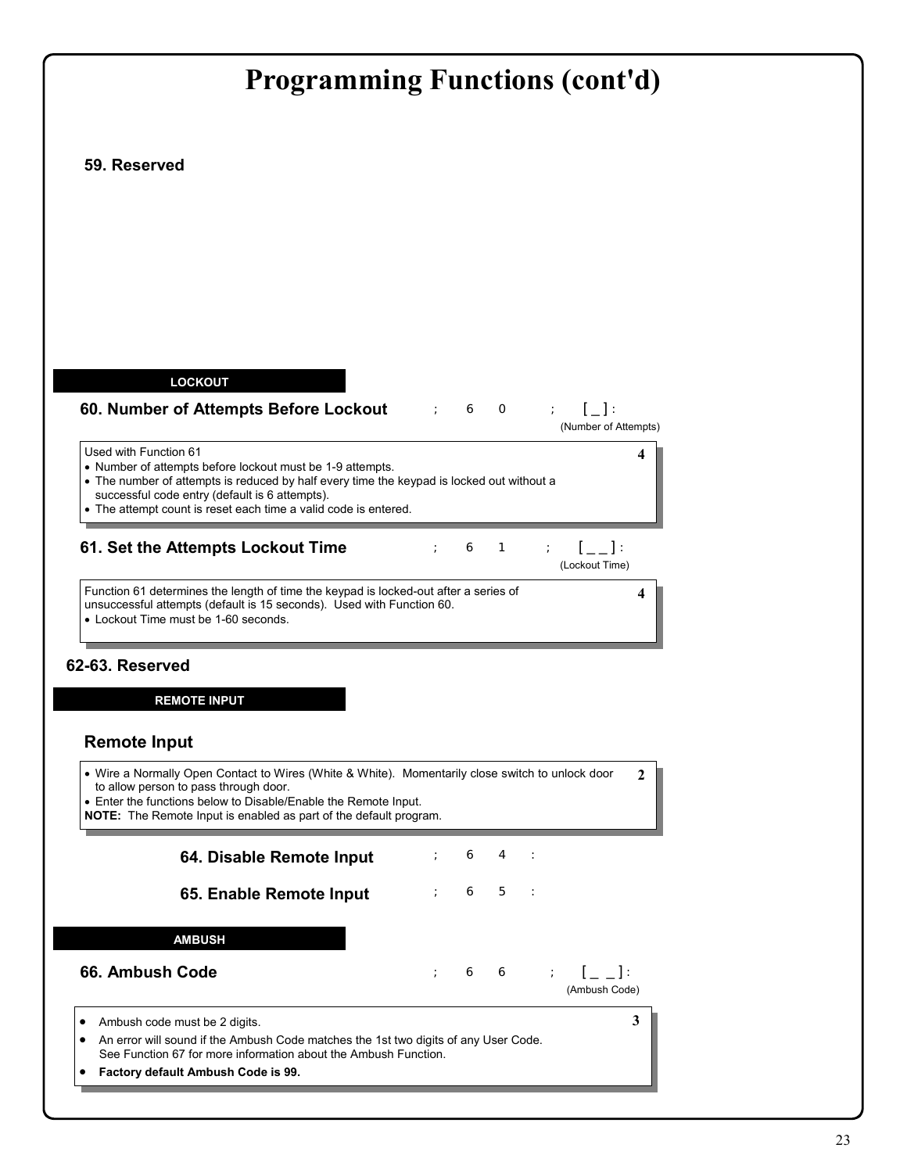|                                                                                                                                                                                                                                                                                                      | <b>Programming Functions (cont'd)</b>                                                           |
|------------------------------------------------------------------------------------------------------------------------------------------------------------------------------------------------------------------------------------------------------------------------------------------------------|-------------------------------------------------------------------------------------------------|
| 59. Reserved                                                                                                                                                                                                                                                                                         |                                                                                                 |
|                                                                                                                                                                                                                                                                                                      |                                                                                                 |
|                                                                                                                                                                                                                                                                                                      |                                                                                                 |
|                                                                                                                                                                                                                                                                                                      |                                                                                                 |
|                                                                                                                                                                                                                                                                                                      |                                                                                                 |
| <b>LOCKOUT</b>                                                                                                                                                                                                                                                                                       |                                                                                                 |
| 60. Number of Attempts Before Lockout                                                                                                                                                                                                                                                                | $[-]$ :<br>$\begin{array}{cccc} \cdot & 6 & 0 & \cdot \end{array}$<br>(Number of Attempts)      |
| Used with Function 61<br>• Number of attempts before lockout must be 1-9 attempts.<br>• The number of attempts is reduced by half every time the keypad is locked out without a<br>successful code entry (default is 6 attempts).<br>• The attempt count is reset each time a valid code is entered. | 4                                                                                               |
| 61. Set the Attempts Lockout Time                                                                                                                                                                                                                                                                    | $[-]$<br>6<br>$\mathbf{1}$<br>(Lockout Time)                                                    |
| Function 61 determines the length of time the keypad is locked-out after a series of<br>unsuccessful attempts (default is 15 seconds). Used with Function 60.<br>• Lockout Time must be 1-60 seconds.                                                                                                | 4                                                                                               |
| 62-63. Reserved                                                                                                                                                                                                                                                                                      |                                                                                                 |
| <b>REMOTE INPUT</b>                                                                                                                                                                                                                                                                                  |                                                                                                 |
| <b>Remote Input</b>                                                                                                                                                                                                                                                                                  |                                                                                                 |
| • Wire a Normally Open Contact to Wires (White & White). Momentarily close switch to unlock door<br>to allow person to pass through door.<br>• Enter the functions below to Disable/Enable the Remote Input.<br>NOTE: The Remote Input is enabled as part of the default program.                    | $\mathbf{2}$                                                                                    |
| 64. Disable Remote Input                                                                                                                                                                                                                                                                             | 6<br>4                                                                                          |
| 65. Enable Remote Input                                                                                                                                                                                                                                                                              | 6<br>$-5$<br>$\ddot{ }$<br>$\sim$ 1                                                             |
| <b>AMBUSH</b>                                                                                                                                                                                                                                                                                        |                                                                                                 |
| 66. Ambush Code                                                                                                                                                                                                                                                                                      | $\mathcal{V} = \left[ \begin{array}{c} 1 \\ -1 \end{array} \right]$<br>66<br>÷<br>(Ambush Code) |
| Ambush code must be 2 digits.<br>An error will sound if the Ambush Code matches the 1st two digits of any User Code.                                                                                                                                                                                 | 3                                                                                               |
| See Function 67 for more information about the Ambush Function.                                                                                                                                                                                                                                      |                                                                                                 |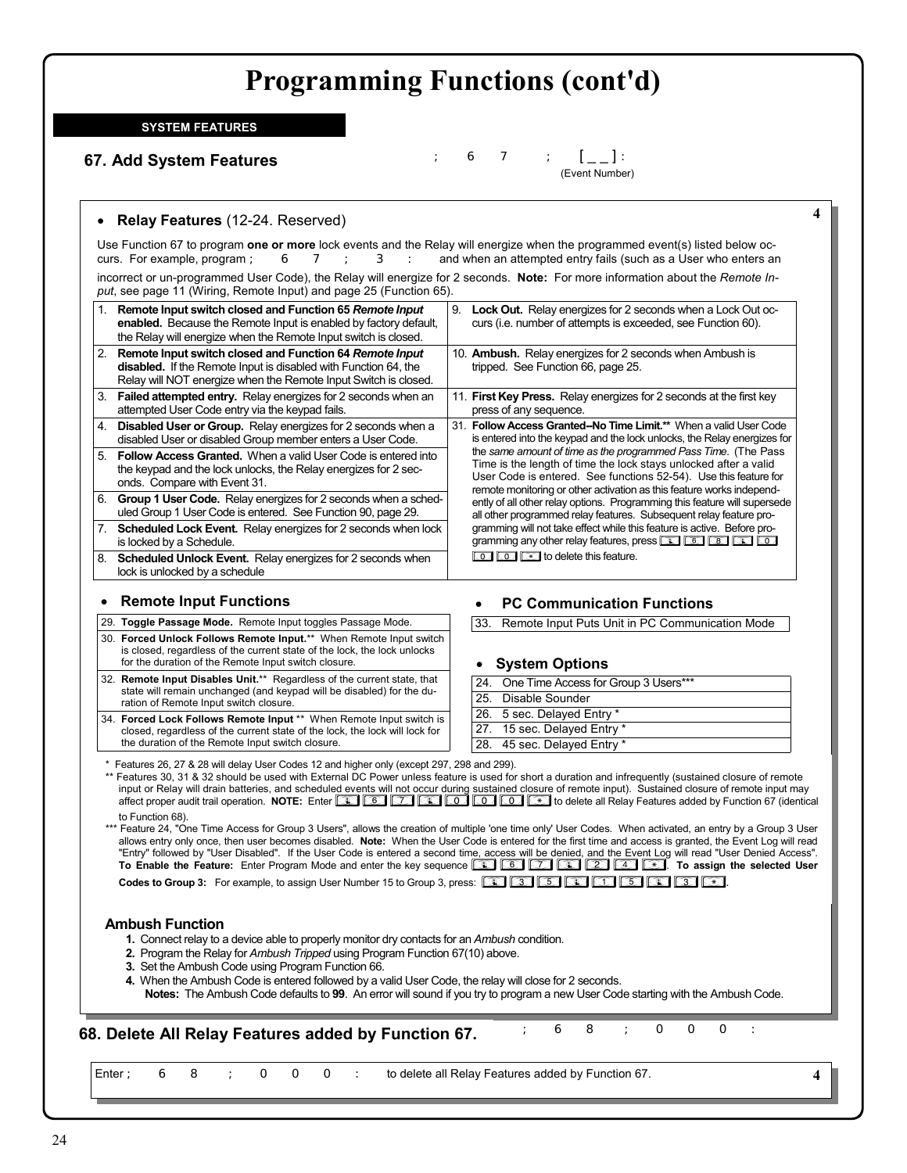**SYSTEM FEATURES**

## **67. Add System Features**

;67;[ \_ \_ ]:(Event Number)

### • **Relay Features** (12-24. Reserved)

Use Function 67 to program **one or more** lock events and the Relay will energize when the programmed event(s) listed below occurs. For example, program ; 67; 3: and when an attempted entry fails (such as a User who enters an incorrect or un-programmed User Code), the Relay will energize for 2 seconds. **Note:** For more information about the *Remote Input*, see page 11 (Wiring, Remote Input) and page 25 (Function 65).

| 1. | Remote Input switch closed and Function 65 Remote Input<br>enabled. Because the Remote Input is enabled by factory default.<br>the Relay will energize when the Remote Input switch is closed.       | 9. | <b>Lock Out.</b> Relay energizes for 2 seconds when a Lock Out oc-<br>curs (i.e. number of attempts is exceeded, see Function 60).                                                                                                                                                                              |
|----|------------------------------------------------------------------------------------------------------------------------------------------------------------------------------------------------------|----|-----------------------------------------------------------------------------------------------------------------------------------------------------------------------------------------------------------------------------------------------------------------------------------------------------------------|
| 2. | Remote Input switch closed and Function 64 Remote Input<br><b>disabled.</b> If the Remote Input is disabled with Function 64, the<br>Relay will NOT energize when the Remote Input Switch is closed. |    | 10. Ambush. Relay energizes for 2 seconds when Ambush is<br>tripped. See Function 66, page 25.                                                                                                                                                                                                                  |
| 3. | <b>Failed attempted entry.</b> Relay energizes for 2 seconds when an<br>attempted User Code entry via the keypad fails.                                                                              |    | 11. First Key Press. Relay energizes for 2 seconds at the first key<br>press of any sequence.                                                                                                                                                                                                                   |
| 4. | <b>Disabled User or Group.</b> Relay energizes for 2 seconds when a<br>disabled User or disabled Group member enters a User Code.                                                                    |    | 31. Follow Access Granted--No Time Limit.** When a valid User Code<br>is entered into the keypad and the lock unlocks, the Relay energizes for                                                                                                                                                                  |
| 5. | <b>Follow Access Granted.</b> When a valid User Code is entered into<br>the keypad and the lock unlocks, the Relay energizes for 2 sec-<br>onds. Compare with Event 31.                              |    | the same amount of time as the programmed Pass Time. (The Pass<br>Time is the length of time the lock stays unlocked after a valid<br>User Code is entered. See functions 52-54). Use this feature for<br>remote monitoring or other activation as this feature works independ-                                 |
| 6. | <b>Group 1 User Code.</b> Relay energizes for 2 seconds when a sched-<br>uled Group 1 User Code is entered. See Function 90, page 29.                                                                |    | ently of all other relay options. Programming this feature will supersede<br>all other programmed relay features. Subsequent relay feature pro-                                                                                                                                                                 |
| 7. | <b>Scheduled Lock Event.</b> Relay energizes for 2 seconds when lock<br>is locked by a Schedule.                                                                                                     |    | gramming will not take effect while this feature is active. Before pro-<br>gramming any other relay features, press <b>the set of the set of the set of the set of the set of the set of the set of the set of the set of the set of the set of the set of the set of the set of the set of the set of the </b> |
| 8. | <b>Scheduled Unlock Event.</b> Relay energizes for 2 seconds when<br>lock is unlocked by a schedule                                                                                                  |    | <b>TO CO</b> $\bullet$ to delete this feature.                                                                                                                                                                                                                                                                  |

### • **Remote Input Functions**

- 29. **Toggle Passage Mode.** Remote Input toggles Passage Mode.
- 30. **Forced Unlock Follows Remote Input.**\*\* When Remote Input switch is closed, regardless of the current state of the lock, the lock unlocks for the duration of the Remote Input switch closure.
- 32. **Remote Input Disables Unit.**\*\* Regardless of the current state, that state will remain unchanged (and keypad will be disabled) for the duration of Remote Input switch closure.
- 34. **Forced Lock Follows Remote Input** \*\* When Remote Input switch is closed, regardless of the current state of the lock, the lock will lock for the duration of the Remote Input switch closure.

### • **PC Communication Functions**

33. Remote Input Puts Unit in PC Communication Mode

### • **System Options**

| 24. One Time Access for Group 3 Users*** |
|------------------------------------------|
| 25. Disable Sounder                      |
| 26. 5 sec. Delayed Entry *               |
| 27. 15 sec. Delayed Entry *              |
| 28. 45 sec. Delayed Entry *              |
|                                          |

\* Features 26, 27 & 28 will delay User Codes 12 and higher only (except 297, 298 and 299).

\*\* Features 30, 31 & 32 should be used with External DC Power unless feature is used for short a duration and infrequently (sustained closure of remote input or Relay will drain batteries, and scheduled events will not occur during sustained closure of remote input). Sustained closure of remote input may affect proper audit trail operation. **NOTE:** Enter *;67;000:* to delete all Relay Features added by Function 67 (identical to Function 68).

\*\*\* Feature 24, "One Time Access for Group 3 Users", allows the creation of multiple 'one time only' User Codes. When activated, an entry by a Group 3 User allows entry only once, then user becomes disabled. **Note:** When the User Code is entered for the first time and access is granted, the Event Log will read "Entry" followed by "User Disabled". If the User Code is entered a second time, access will be denied, and the Event Log will read "User Denied Access". **To Enable the Feature:** Enter Program Mode and enter the key sequence *;67;24:*. **To assign the selected User** 

**Codes to Group 3:** For example, to assign User Number 15 to Group 3, press: **33;16;3: 53;16;3: 63;16;3: 63;16;3:** 

### **Ambush Function**

- **1.** Connect relay to a device able to properly monitor dry contacts for an *Ambush* condition.
- **2.** Program the Relay for *Ambush Tripped* using Program Function 67(10) above.
- **3.** Set the Ambush Code using Program Function 66.
- **4.** When the Ambush Code is entered followed by a valid User Code, the relay will close for 2 seconds.
- **Notes:** The Ambush Code defaults to **99**. An error will sound if you try to program a new User Code starting with the Ambush Code.

## **68. Delete All Relay Features added by Function 67.**  $\begin{array}{cccc} \n\cdot & 6 & 8 \\
\end{array}$   $\begin{array}{cccc} \n\cdot & 0 & 0 \\
\end{array}$

Enter ; 6 8 ; O O O : to delete all Relay Features added by Function 67. **4**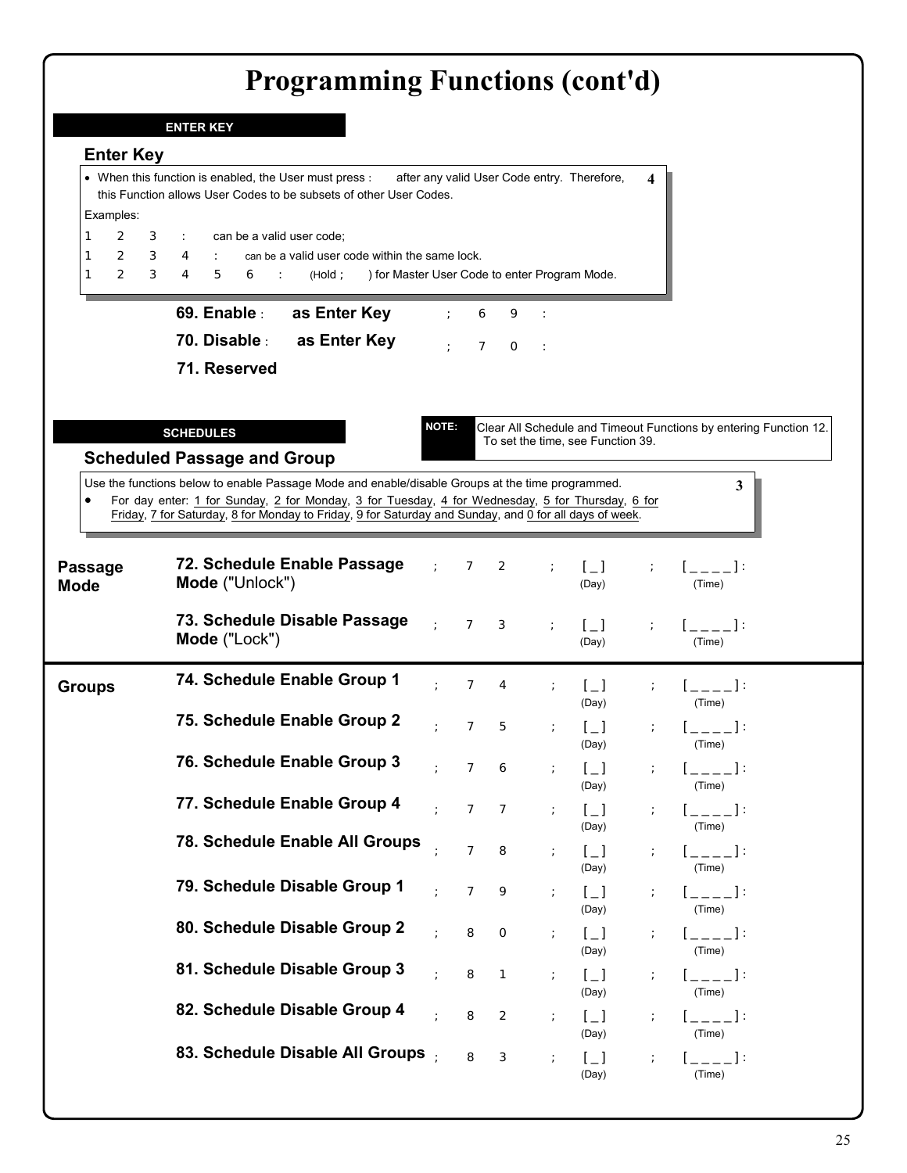|                                                                   | <b>Programming Functions (cont'd)</b>                                                                                                                                                                      |                            |                |                |               |                                                                           |               |                                                                   |
|-------------------------------------------------------------------|------------------------------------------------------------------------------------------------------------------------------------------------------------------------------------------------------------|----------------------------|----------------|----------------|---------------|---------------------------------------------------------------------------|---------------|-------------------------------------------------------------------|
|                                                                   | <b>ENTER KEY</b>                                                                                                                                                                                           |                            |                |                |               |                                                                           |               |                                                                   |
| <b>Enter Key</b>                                                  |                                                                                                                                                                                                            |                            |                |                |               |                                                                           |               |                                                                   |
| Examples:                                                         | • When this function is enabled, the User must press :<br>this Function allows User Codes to be subsets of other User Codes.                                                                               |                            |                |                |               | after any valid User Code entry. Therefore,                               |               |                                                                   |
| 2<br>1<br>З<br>$\mathbf{2}$<br>1<br>З<br>$\overline{2}$<br>1<br>З | can be a valid user code;<br>can be a valid user code within the same lock.<br>$\overline{4}$<br>$\overline{4}$<br>5<br>) for Master User Code to enter Program Mode.<br>(Hold;<br>6                       |                            |                |                |               |                                                                           |               |                                                                   |
|                                                                   | 69. Enable :<br>as Enter Key                                                                                                                                                                               |                            | 6              | 9              |               |                                                                           |               |                                                                   |
|                                                                   | 70. Disable :<br>as Enter Key                                                                                                                                                                              |                            |                | $7^\circ$ O    | $\sim$ :      |                                                                           |               |                                                                   |
|                                                                   | 71. Reserved                                                                                                                                                                                               |                            |                |                |               |                                                                           |               |                                                                   |
|                                                                   | <b>SCHEDULES</b><br><b>Scheduled Passage and Group</b>                                                                                                                                                     | <b>NOTE:</b>               |                |                |               | To set the time, see Function 39.                                         |               | Clear All Schedule and Timeout Functions by entering Function 12. |
|                                                                   | Use the functions below to enable Passage Mode and enable/disable Groups at the time programmed.                                                                                                           |                            |                |                |               |                                                                           |               | 3                                                                 |
| $\bullet$                                                         | For day enter: 1 for Sunday, 2 for Monday, 3 for Tuesday, 4 for Wednesday, 5 for Thursday, 6 for<br>Friday, 7 for Saturday, 8 for Monday to Friday, 9 for Saturday and Sunday, and 0 for all days of week. |                            |                |                |               |                                                                           |               |                                                                   |
| <b>Passage</b><br><b>Mode</b>                                     | 72. Schedule Enable Passage<br>Mode ("Unlock")                                                                                                                                                             |                            | 7              | 2              |               | $\lfloor \_ \rfloor$<br>(Day)                                             |               | 1. September 19<br>(Time)                                         |
|                                                                   | 73. Schedule Disable Passage<br>Mode ("Lock")                                                                                                                                                              | $\mathcal{L}^{\text{max}}$ | 7              | 3              | $\frac{1}{l}$ | $\lceil$ 1<br>(Day)                                                       |               | $\mathbb{I}$ 1:<br>(Time)                                         |
| <b>Groups</b>                                                     | 74. Schedule Enable Group 1                                                                                                                                                                                |                            | 7              | 4              |               | (Day)                                                                     |               | (Time)                                                            |
|                                                                   | 75. Schedule Enable Group 2                                                                                                                                                                                |                            | $\overline{7}$ | 5              |               | $\mathfrak{l} \_$<br>(Day)                                                |               | $[$ ____]:<br>(Time)                                              |
|                                                                   | 76. Schedule Enable Group 3                                                                                                                                                                                | $\cdot$                    | $\overline{7}$ | 6              | $\ddot{ }$    | $\left[\begin{matrix}1\\1\end{matrix}\right]$<br>(Day)                    |               | $[-]$ :<br>(Time)                                                 |
|                                                                   | 77. Schedule Enable Group 4                                                                                                                                                                                |                            | $\overline{7}$ | 7              | $\frac{1}{l}$ | $\lceil \_ \rceil$<br>(Day)                                               | $\ddot{ }$    | $\mathbb{R}^n \times \mathbb{R}^n$<br>(Time)                      |
|                                                                   | 78. Schedule Enable All Groups                                                                                                                                                                             |                            | $\overline{7}$ | 8              | $\ddot{ }$    | $\left[\begin{matrix}1\\1\end{matrix}\right]$<br>(Day)                    |               | $[--1]$<br>(Time)                                                 |
|                                                                   | 79. Schedule Disable Group 1                                                                                                                                                                               |                            | $\overline{7}$ | 9              | $\frac{1}{l}$ | $\lfloor \_ \rfloor$<br>(Day)                                             |               | $[-]$ :<br>(Time)                                                 |
|                                                                   | 80. Schedule Disable Group 2                                                                                                                                                                               |                            | 8              | $\circ$        | $\ddot{ }$    | $\mathfrak{l} \_$                                                         | $\ddot{ }$    | $[--1]$<br>(Time)                                                 |
|                                                                   | 81. Schedule Disable Group 3                                                                                                                                                                               |                            | 8              | $\mathbf{1}$   | $\ddot{ }$    | (Day)<br>$\lceil \_ \rceil$                                               | $\frac{1}{l}$ | $[-]$ :                                                           |
|                                                                   | 82. Schedule Disable Group 4                                                                                                                                                                               |                            | 8              | $\overline{2}$ | $\ddot{ }$    | (Day)<br>$\mathfrak{l} \_$                                                |               | (Time)<br>$1 = -1$                                                |
|                                                                   | 83. Schedule Disable All Groups                                                                                                                                                                            |                            | 8              | 3              | $\ddot{ }$    | (Day)<br>$\left[\begin{smallmatrix}1\\1\end{smallmatrix}\right]$<br>(Day) | $\ddot{ }$    | (Time)<br>$[\_$<br>(Time)                                         |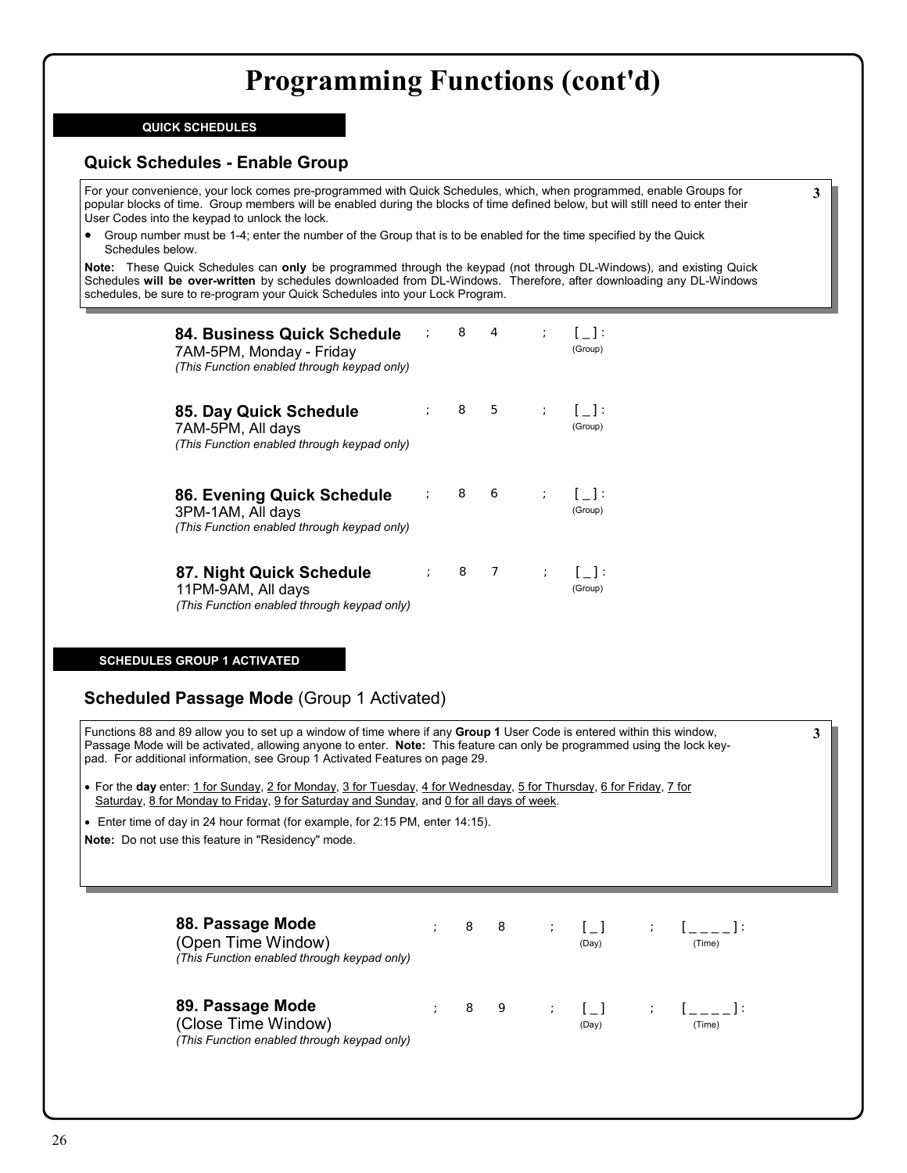### **QUICK SCHEDULES**

## **Quick Schedules - Enable Group**

For your convenience, your lock comes pre-programmed with Quick Schedules, which, when programmed, enable Groups for popular blocks of time. Group members will be enabled during the blocks of time defined below, but will still need to enter their User Codes into the keypad to unlock the lock.

• Group number must be 1-4; enter the number of the Group that is to be enabled for the time specified by the Quick Schedules below.

**Note:** These Quick Schedules can **only** be programmed through the keypad (not through DL-Windows), and existing Quick Schedules **will be over-written** by schedules downloaded from DL-Windows. Therefore, after downloading any DL-Windows schedules, be sure to re-program your Quick Schedules into your Lock Program.

| 84. Business Quick Schedule<br>7AM-5PM, Monday - Friday<br>(This Function enabled through keypad only) |  | $\begin{array}{ccc} \cdot & 8 & 4 \end{array}$ | $\mathcal{L}$ | $\mathbf{1}$ $\mathbf{1}$ :<br>(Group) |
|--------------------------------------------------------------------------------------------------------|--|------------------------------------------------|---------------|----------------------------------------|
| 85. Day Quick Schedule<br>7AM-5PM, All days<br>(This Function enabled through keypad only)             |  | 8 5 ; []:                                      |               | (Group)                                |
| 86. Evening Quick Schedule<br>3PM-1AM, All days<br>(This Function enabled through keypad only)         |  | $\mathbf{R}$ 8 6 $\mathbf{S}$ 1 $\mathbf{R}$   |               | (Group)                                |
| 87. Night Quick Schedule<br>11PM-9AM, All days<br>(This Function enabled through keypad only)          |  | 8 7                                            | $\mathcal{L}$ | $\mathbf{1}$ $\mathbf{1}$ :<br>(Group) |

### **SCHEDULES GROUP 1 ACTIVATED**

## **Scheduled Passage Mode** (Group 1 Activated)

Functions 88 and 89 allow you to set up a window of time where if any **Group 1** User Code is entered within this window, Passage Mode will be activated, allowing anyone to enter. **Note:** This feature can only be programmed using the lock keypad. For additional information, see Group 1 Activated Features on page 29.

• For the **day** enter: 1 for Sunday, 2 for Monday, 3 for Tuesday, 4 for Wednesday, 5 for Thursday, 6 for Friday, 7 for Saturday, 8 for Monday to Friday, 9 for Saturday and Sunday, and 0 for all days of week.

• Enter time of day in 24 hour format (for example, for 2:15 PM, enter 14:15).

**Note:** Do not use this feature in "Residency" mode.

| 88. Passage Mode<br>(Open Time Window)<br>(This Function enabled through keypad only)  | 8 | - 8 | $\mathcal{L}$ | $\Box$<br>(Day)                                                            | (Time)                                                                    |
|----------------------------------------------------------------------------------------|---|-----|---------------|----------------------------------------------------------------------------|---------------------------------------------------------------------------|
| 89. Passage Mode<br>(Close Time Window)<br>(This Function enabled through keypad only) | 8 | - 9 |               | $\mathcal{L} = \mathcal{L} \mathcal{L} = \mathcal{L} \mathcal{L}$<br>(Day) | $\mathbf{y} = \mathbf{y}$ is a set of $\mathbf{y} = \mathbf{y}$<br>(Time) |

**3**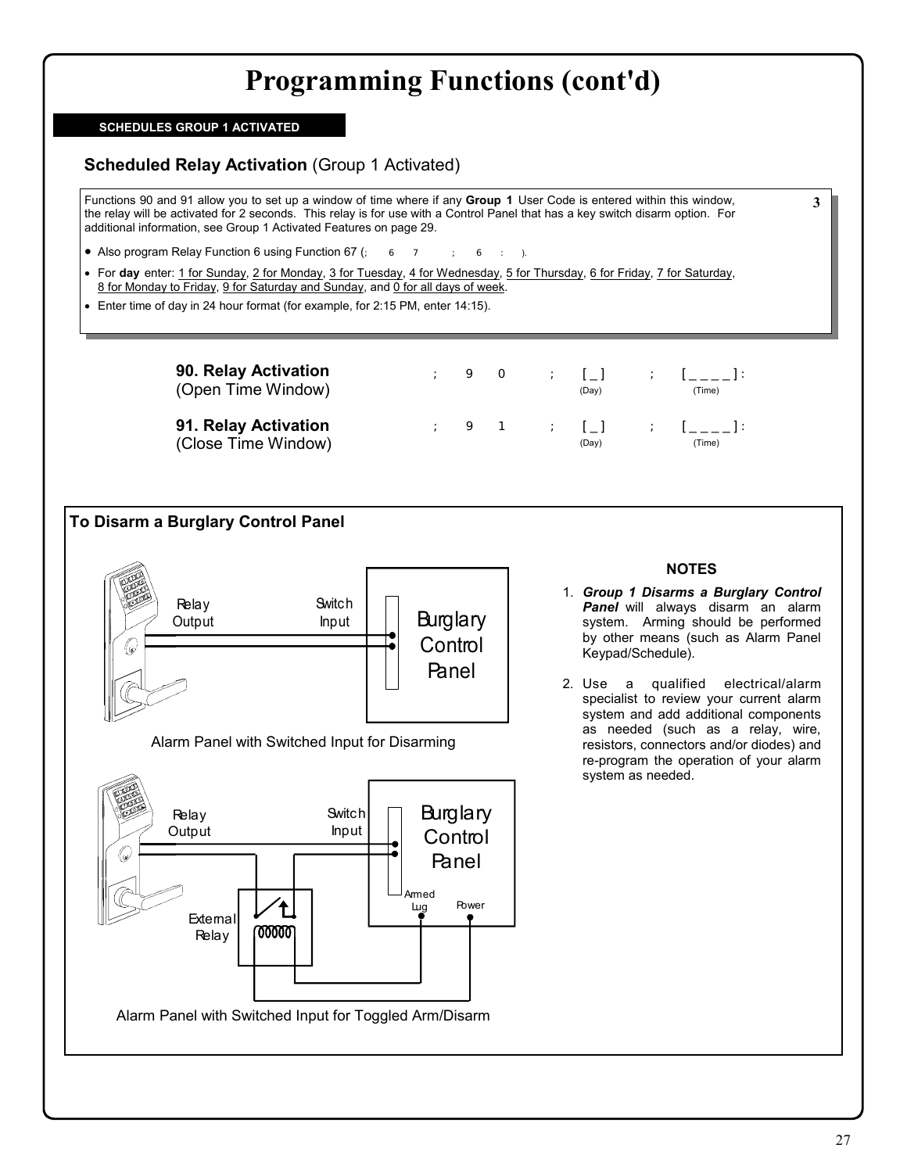### **SCHEDULES GROUP 1 ACTIVATED**

## **Scheduled Relay Activation** (Group 1 Activated)

Functions 90 and 91 allow you to set up a window of time where if any **Group 1** User Code is entered within this window, the relay will be activated for 2 seconds. This relay is for use with a Control Panel that has a key switch disarm option. For additional information, see Group 1 Activated Features on page 29.

- Also program Relay Function 6 using Function 67  $($ ; 6  $\frac{1}{2}$  6  $\frac{1}{2}$  6  $\frac{1}{2}$  9
- For **day** enter: 1 for Sunday, 2 for Monday, 3 for Tuesday, 4 for Wednesday, 5 for Thursday, 6 for Friday, 7 for Saturday, 8 for Monday to Friday, 9 for Saturday and Sunday, and 0 for all days of week.
- Enter time of day in 24 hour format (for example, for 2:15 PM, enter 14:15).

**90. Relay Activation**  (Open Time Window)

**91. Relay Activation**  (Close Time Window)

| ٠<br>ı         |  | $\cdot$ :     | - 1<br>(Day) | $\sim$ $\sim$ $\sim$ | $-1.1$<br>(Time)                |
|----------------|--|---------------|--------------|----------------------|---------------------------------|
| ٠<br>$\lambda$ |  | $\mathcal{L}$ | Γl<br>(Day)  | $\sim$ $\sim$ $\sim$ | $\Gamma$ and $\Gamma$<br>(Time) |



Alarm Panel with Switched Input for Disarming



### **NOTES**

- 1. *Group 1 Disarms a Burglary Control*  **Panel** will always disarm an alarm system. Arming should be performed by other means (such as Alarm Panel Keypad/Schedule).
- 2. Use a qualified electrical/alarm specialist to review your current alarm system and add additional components as needed (such as a relay, wire, resistors, connectors and/or diodes) and re-program the operation of your alarm system as needed.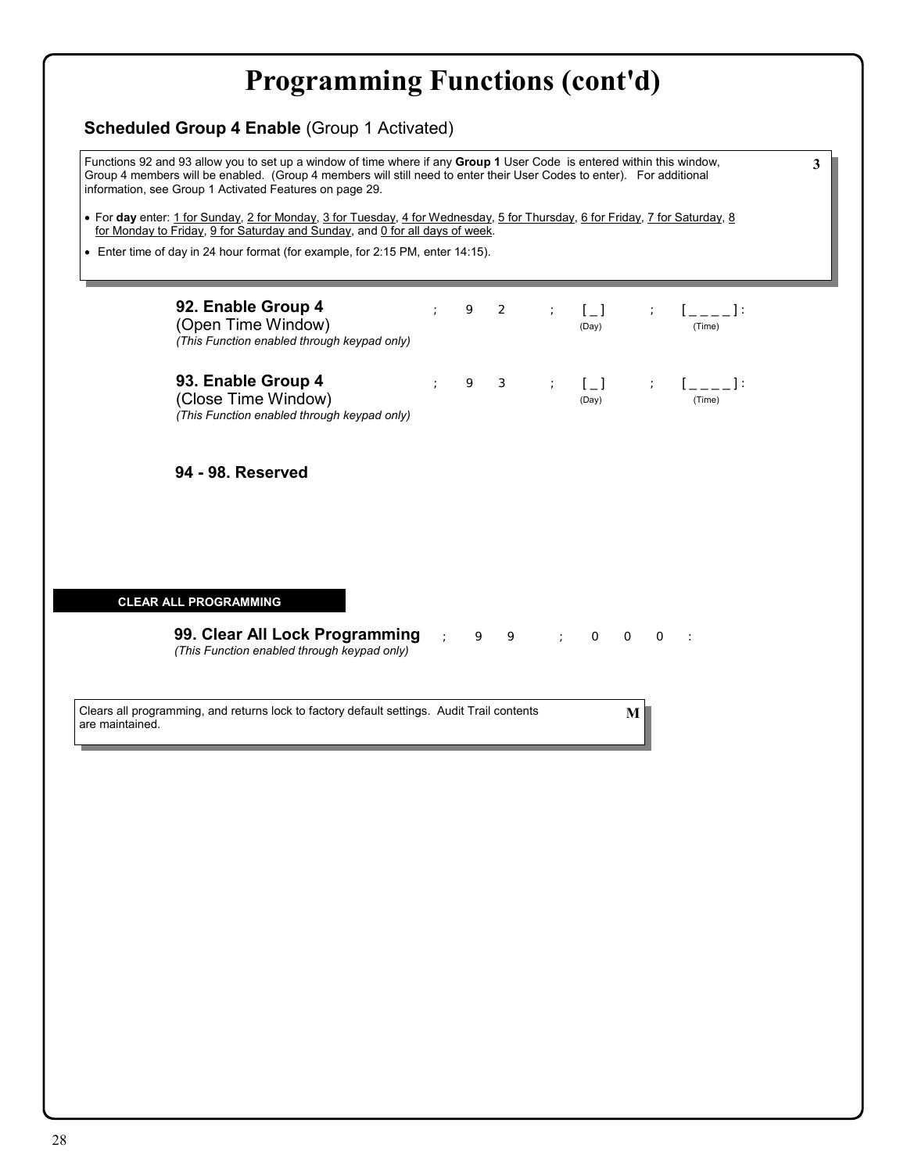| • For day enter: 1 for Sunday, 2 for Monday, 3 for Tuesday, 4 for Wednesday, 5 for Thursday, 6 for Friday, 7 for Saturday, 8<br>for Monday to Friday, 9 for Saturday and Sunday, and 0 for all days of week.<br>• Enter time of day in 24 hour format (for example, for 2:15 PM, enter 14:15). |  |   |                |            |                     |         |            |                      |  |
|------------------------------------------------------------------------------------------------------------------------------------------------------------------------------------------------------------------------------------------------------------------------------------------------|--|---|----------------|------------|---------------------|---------|------------|----------------------|--|
|                                                                                                                                                                                                                                                                                                |  |   |                |            |                     |         |            |                      |  |
|                                                                                                                                                                                                                                                                                                |  |   |                |            |                     |         |            |                      |  |
|                                                                                                                                                                                                                                                                                                |  |   |                |            |                     |         |            |                      |  |
| 92. Enable Group 4<br>(Open Time Window)<br>(This Function enabled through keypad only)                                                                                                                                                                                                        |  | 9 | $\overline{2}$ |            | $\sqrt{1}$<br>(Day) |         |            | $[- -1]$ :<br>(Time) |  |
| 93. Enable Group 4<br>(Close Time Window)<br>(This Function enabled through keypad only)                                                                                                                                                                                                       |  | 9 | З              |            | $[-]$<br>(Day)      |         | $\ddot{ }$ | $[-]$ :<br>(Time)    |  |
| 94 - 98. Reserved                                                                                                                                                                                                                                                                              |  |   |                |            |                     |         |            |                      |  |
|                                                                                                                                                                                                                                                                                                |  |   |                |            |                     |         |            |                      |  |
| <b>CLEAR ALL PROGRAMMING</b>                                                                                                                                                                                                                                                                   |  |   |                |            |                     |         |            |                      |  |
| 99. Clear All Lock Programming<br>(This Function enabled through keypad only)                                                                                                                                                                                                                  |  | 9 | 9              | $\ddot{ }$ | $\circ$             | $\circ$ | $\circ$    | $\sim$ 10            |  |
| Clears all programming, and returns lock to factory default settings. Audit Trail contents<br>are maintained.                                                                                                                                                                                  |  |   |                |            |                     | M       |            |                      |  |
|                                                                                                                                                                                                                                                                                                |  |   |                |            |                     |         |            |                      |  |
|                                                                                                                                                                                                                                                                                                |  |   |                |            |                     |         |            |                      |  |
|                                                                                                                                                                                                                                                                                                |  |   |                |            |                     |         |            |                      |  |
|                                                                                                                                                                                                                                                                                                |  |   |                |            |                     |         |            |                      |  |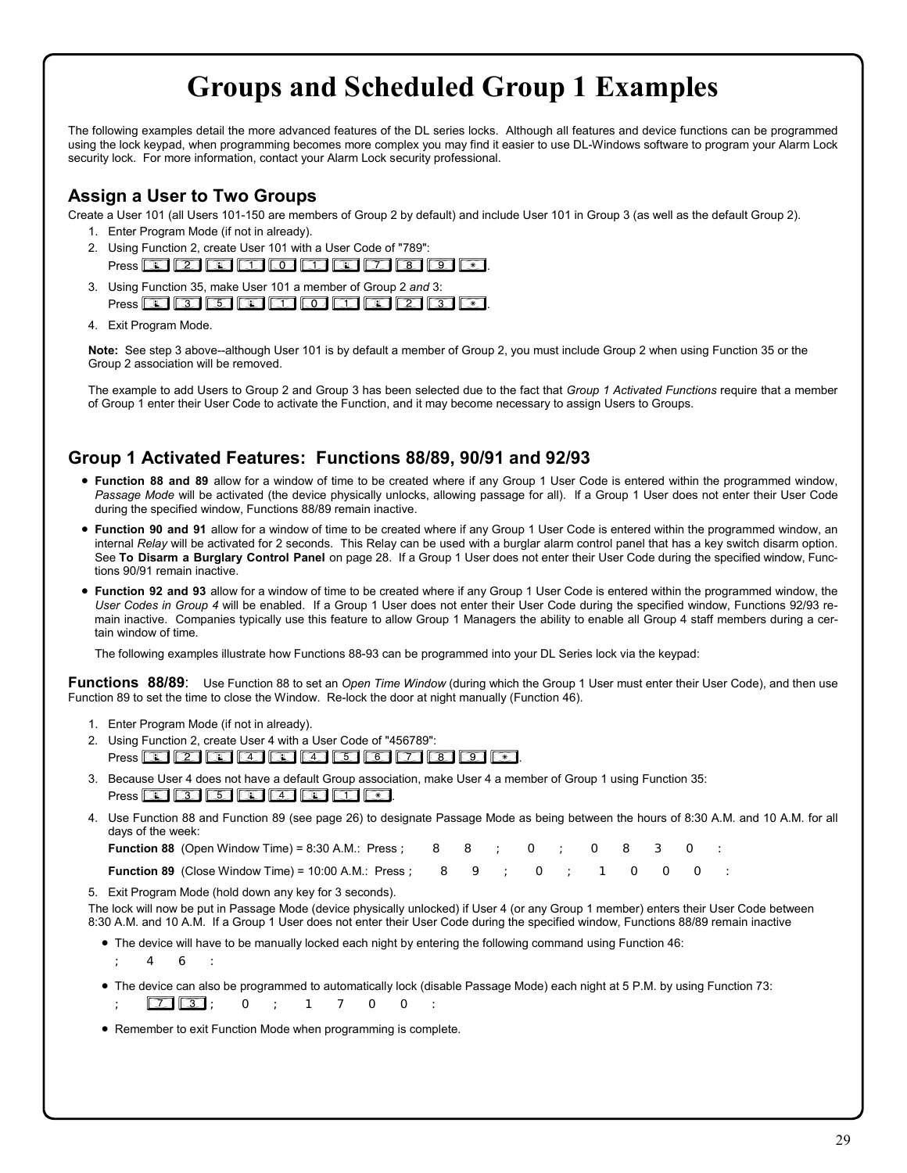# **Groups and Scheduled Group 1 Examples**

The following examples detail the more advanced features of the DL series locks. Although all features and device functions can be programmed using the lock keypad, when programming becomes more complex you may find it easier to use DL-Windows software to program your Alarm Lock security lock. For more information, contact your Alarm Lock security professional.

## **Assign a User to Two Groups**

Create a User 101 (all Users 101-150 are members of Group 2 by default) and include User 101 in Group 3 (as well as the default Group 2).

- 1. Enter Program Mode (if not in already).
- 2. Using Function 2, create User 101 with a User Code of "789": Press *;2;101;789:*.
- 3. Using Function 35, make User 101 a member of Group 2 *and* 3: Press **@ 33 @ @ @ @ @ @ @ @** @
- 4. Exit Program Mode.

**Note:** See step 3 above--although User 101 is by default a member of Group 2, you must include Group 2 when using Function 35 or the Group 2 association will be removed.

The example to add Users to Group 2 and Group 3 has been selected due to the fact that *Group 1 Activated Functions* require that a member of Group 1 enter their User Code to activate the Function, and it may become necessary to assign Users to Groups.

## **Group 1 Activated Features: Functions 88/89, 90/91 and 92/93**

- **Function 88 and 89** allow for a window of time to be created where if any Group 1 User Code is entered within the programmed window, *Passage Mode* will be activated (the device physically unlocks, allowing passage for all). If a Group 1 User does not enter their User Code during the specified window, Functions 88/89 remain inactive.
- **Function 90 and 91** allow for a window of time to be created where if any Group 1 User Code is entered within the programmed window, an internal *Relay* will be activated for 2 seconds. This Relay can be used with a burglar alarm control panel that has a key switch disarm option. See **To Disarm a Burglary Control Panel** on page 28. If a Group 1 User does not enter their User Code during the specified window, Functions 90/91 remain inactive.
- **Function 92 and 93** allow for a window of time to be created where if any Group 1 User Code is entered within the programmed window, the *User Codes in Group 4* will be enabled. If a Group 1 User does not enter their User Code during the specified window, Functions 92/93 remain inactive. Companies typically use this feature to allow Group 1 Managers the ability to enable all Group 4 staff members during a certain window of time.

The following examples illustrate how Functions 88-93 can be programmed into your DL Series lock via the keypad:

**Functions 88/89**: Use Function 88 to set an *Open Time Window* (during which the Group 1 User must enter their User Code), and then use Function 89 to set the time to close the Window. Re-lock the door at night manually (Function 46).

- 1. Enter Program Mode (if not in already).
- 2. Using Function 2, create User 4 with a User Code of "456789": Press *;2;4;456789:*.
- 3. Because User 4 does not have a default Group association, make User 4 a member of Group 1 using Function 35: Press **<b>35** 35 36 45 45 45 46.
- 4. Use Function 88 and Function 89 (see page 26) to designate Passage Mode as being between the hours of 8:30 A.M. and 10 A.M. for all days of the week:

| <b>Function 88</b> (Open Window Time) = 8:30 A.M.: Press; 8 8 ; O ; O 8 3 O : |  |  |  |  |  |  |
|-------------------------------------------------------------------------------|--|--|--|--|--|--|
|                                                                               |  |  |  |  |  |  |

| <b>Function 89 (Close Window Time) = 10:00 A.M.: Press ;   8   9   ;   O   ;   1   O   O   O   :</b> |  |  |  |  |  |  |  |  |  |  |  |
|------------------------------------------------------------------------------------------------------|--|--|--|--|--|--|--|--|--|--|--|
|------------------------------------------------------------------------------------------------------|--|--|--|--|--|--|--|--|--|--|--|

5. Exit Program Mode (hold down any key for 3 seconds).

The lock will now be put in Passage Mode (device physically unlocked) if User 4 (or any Group 1 member) enters their User Code between 8:30 A.M. and 10 A.M. If a Group 1 User does not enter their User Code during the specified window, Functions 88/89 remain inactive

• The device will have to be manually locked each night by entering the following command using Function 46:

;46:

- The device can also be programmed to automatically lock (disable Passage Mode) each night at 5 P.M. by using Function 73: ;*73*;0;1700:
- Remember to exit Function Mode when programming is complete.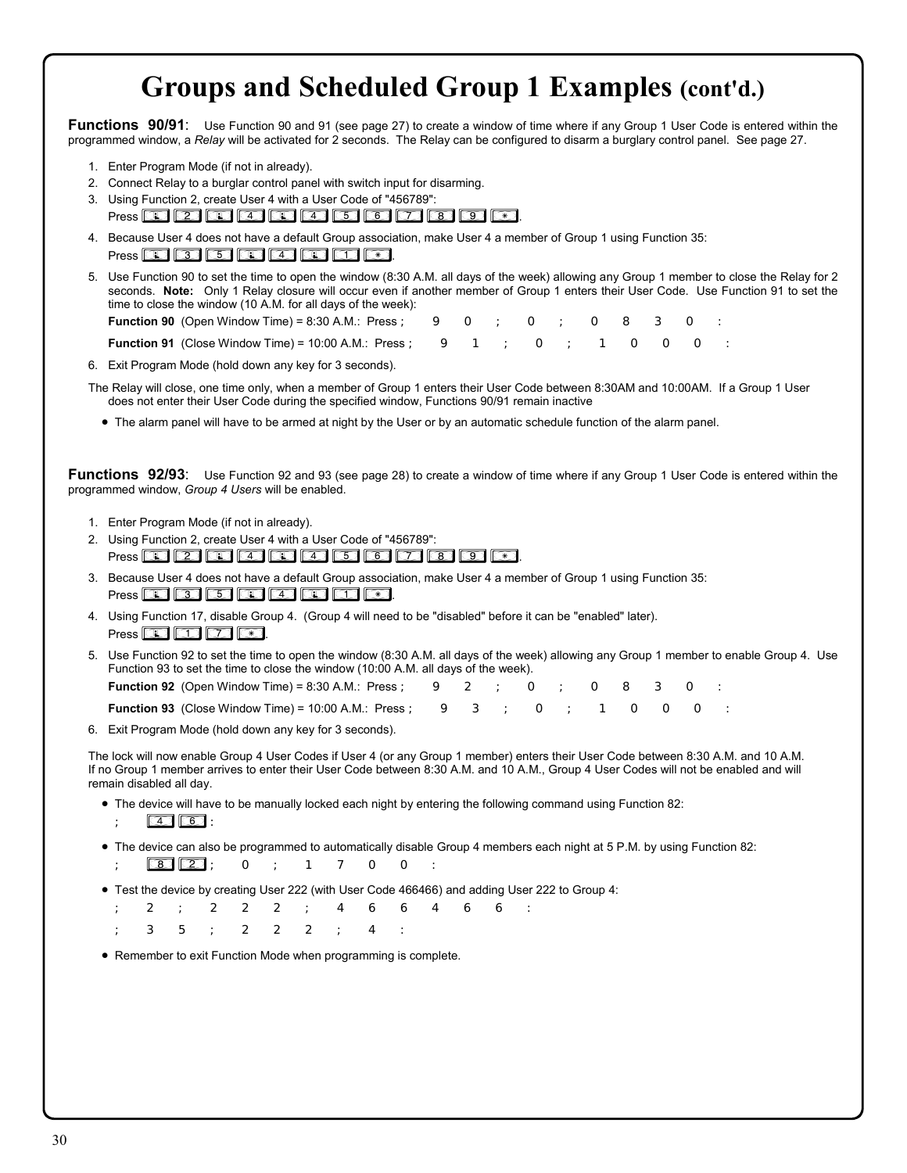# **Groups and Scheduled Group 1 Examples (cont'd.)**

**Functions 90/91**: Use Function 90 and 91 (see page 27) to create a window of time where if any Group 1 User Code is entered within the programmed window, a *Relay* will be activated for 2 seconds. The Relay can be configured to disarm a burglary control panel. See page 27.

- 1. Enter Program Mode (if not in already).
- 2. Connect Relay to a burglar control panel with switch input for disarming.
- 3. Using Function 2, create User 4 with a User Code of "456789": Press *;2;4;456789:*.
- 4. Because User 4 does not have a default Group association, make User 4 a member of Group 1 using Function 35:
- Press **43** 63 65 40 40 40 65.

5. Use Function 90 to set the time to open the window (8:30 A.M. all days of the week) allowing any Group 1 member to close the Relay for 2 seconds. **Note:** Only 1 Relay closure will occur even if another member of Group 1 enters their User Code. Use Function 91 to set the time to close the window (10 A.M. for all days of the week):

**Function 90** (Open Window Time) = 8:30 A.M.: Press ;  $\Theta$  O ; O ; O  $\Theta$  3 0

**Function 91** (Close Window Time) = 10:00 A.M.: Press ;  $\begin{array}{cccc} 9 & 1 & ; & \begin{array}{ccc} 0 & ; & 1 & \begin{array}{ccc} 0 & \end{array} & \begin{array}{ccc} 0 & \end{array} & 0 & \begin{array}{ccc} 0 & \end{array} & 0 \\ \end{array}$ 

6. Exit Program Mode (hold down any key for 3 seconds).

- The Relay will close, one time only, when a member of Group 1 enters their User Code between 8:30AM and 10:00AM. If a Group 1 User does not enter their User Code during the specified window, Functions 90/91 remain inactive
	- The alarm panel will have to be armed at night by the User or by an automatic schedule function of the alarm panel.

**Functions 92/93**: Use Function 92 and 93 (see page 28) to create a window of time where if any Group 1 User Code is entered within the programmed window, *Group 4 Users* will be enabled.

- 1. Enter Program Mode (if not in already).
- 2. Using Function 2, create User 4 with a User Code of "456789": Press *;2;4;456789:*.
- 3. Because User 4 does not have a default Group association, make User 4 a member of Group 1 using Function 35: Press **35** 35 36 36 36 36 36 36 36 37
- 4. Using Function 17, disable Group 4. (Group 4 will need to be "disabled" before it can be "enabled" later). Press  $\circled{1}$   $\circled{7}$   $\circled{7}$   $\circled{8}$ .
- 5. Use Function 92 to set the time to open the window (8:30 A.M. all days of the week) allowing any Group 1 member to enable Group 4. Use Function 93 to set the time to close the window (10:00 A.M. all days of the week).

**Function 92** (Open Window Time) = 8:30 A.M.: Press ; 9 2 ; 0 ; 0 8 3 0

**Function 93** (Close Window Time) = 10:00 A.M.: Press ; 9 3 ; 0 ; 1 0 0 0 0

6. Exit Program Mode (hold down any key for 3 seconds).

The lock will now enable Group 4 User Codes if User 4 (or any Group 1 member) enters their User Code between 8:30 A.M. and 10 A.M. If no Group 1 member arrives to enter their User Code between 8:30 A.M. and 10 A.M., Group 4 User Codes will not be enabled and will remain disabled all day.

- The device will have to be manually locked each night by entering the following command using Function 82:  $\boxed{4}$  $\boxed{6}$ :
- The device can also be programmed to automatically disable Group 4 members each night at 5 P.M. by using Function 82:

;*82*;0;1700:

• Test the device by creating User 222 (with User Code 466466) and adding User 222 to Group 4:

;2;222;466466: ;35;222;4:

• Remember to exit Function Mode when programming is complete.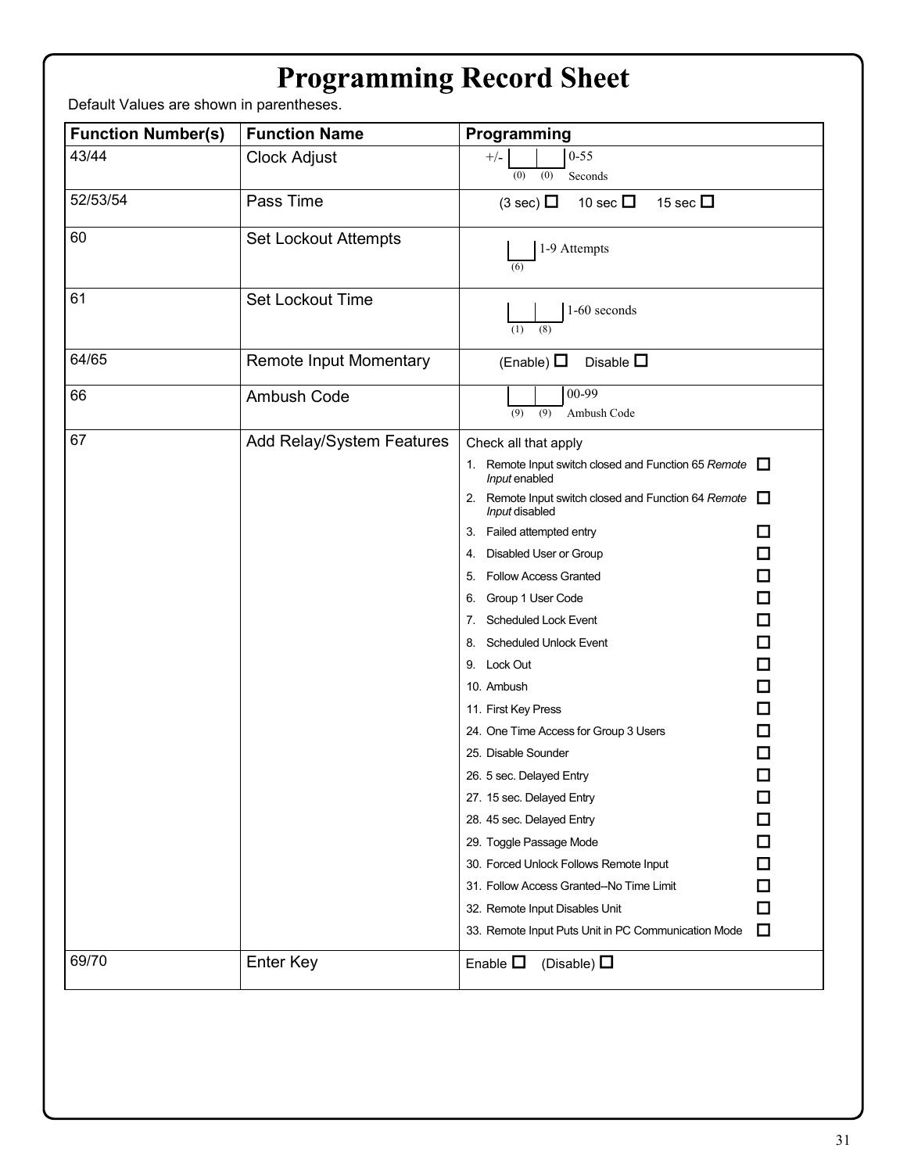| <b>Programming Record Sheet</b> |  |  |
|---------------------------------|--|--|
|---------------------------------|--|--|

Default Values are shown in parentheses.

| <b>Function Number(s)</b> | <b>Function Name</b>        | Programming                                                            |                          |
|---------------------------|-----------------------------|------------------------------------------------------------------------|--------------------------|
| 43/44                     | <b>Clock Adjust</b>         | $0 - 55$<br>$+/-$                                                      |                          |
|                           |                             | (0)<br>(0)<br>Seconds                                                  |                          |
| 52/53/54                  | Pass Time                   | 15 sec $\Box$<br>$(3 \text{ sec})$<br>10 sec $\Box$                    |                          |
| 60                        | <b>Set Lockout Attempts</b> | 1-9 Attempts<br>(6)                                                    |                          |
| 61                        | Set Lockout Time            | 1-60 seconds<br>(8)<br>(1)                                             |                          |
| 64/65                     | Remote Input Momentary      | Disable $\square$<br>(Enable) $\Box$                                   |                          |
| 66                        | Ambush Code                 | 00-99<br>(9)<br>(9)<br>Ambush Code                                     |                          |
| 67                        | Add Relay/System Features   | Check all that apply                                                   |                          |
|                           |                             | 1. Remote Input switch closed and Function 65 Remote<br>Input enabled  |                          |
|                           |                             | 2. Remote Input switch closed and Function 64 Remote<br>Input disabled |                          |
|                           |                             | 3. Failed attempted entry                                              | □                        |
|                           |                             | 4. Disabled User or Group                                              | $\Box$                   |
|                           |                             | 5. Follow Access Granted                                               | 口                        |
|                           |                             | 6. Group 1 User Code                                                   | 囗                        |
|                           |                             | 7. Scheduled Lock Event                                                | $\Box$                   |
|                           |                             | 8. Scheduled Unlock Event                                              | $\Box$                   |
|                           |                             | 9. Lock Out                                                            | $\Box$                   |
|                           |                             | 10. Ambush                                                             | $\Box$                   |
|                           |                             | 11. First Key Press                                                    | $\Box$                   |
|                           |                             | 24. One Time Access for Group 3 Users                                  | □                        |
|                           |                             | 25. Disable Sounder                                                    | $\Box$                   |
|                           |                             | 26. 5 sec. Delayed Entry                                               | $\overline{\phantom{a}}$ |
|                           |                             | 27. 15 sec. Delayed Entry                                              | T.                       |
|                           |                             | 28. 45 sec. Delayed Entry                                              | $\Box$                   |
|                           |                             | 29. Toggle Passage Mode                                                | $\Box$                   |
|                           |                             | 30. Forced Unlock Follows Remote Input                                 | $\Box$                   |
|                           |                             | 31. Follow Access Granted--No Time Limit                               | $\Box$                   |
|                           |                             | 32. Remote Input Disables Unit                                         | □                        |
|                           |                             | 33. Remote Input Puts Unit in PC Communication Mode                    | $\Box$                   |
| 69/70                     | Enter Key                   | Enable $\square$<br>(Disable) $\Box$                                   |                          |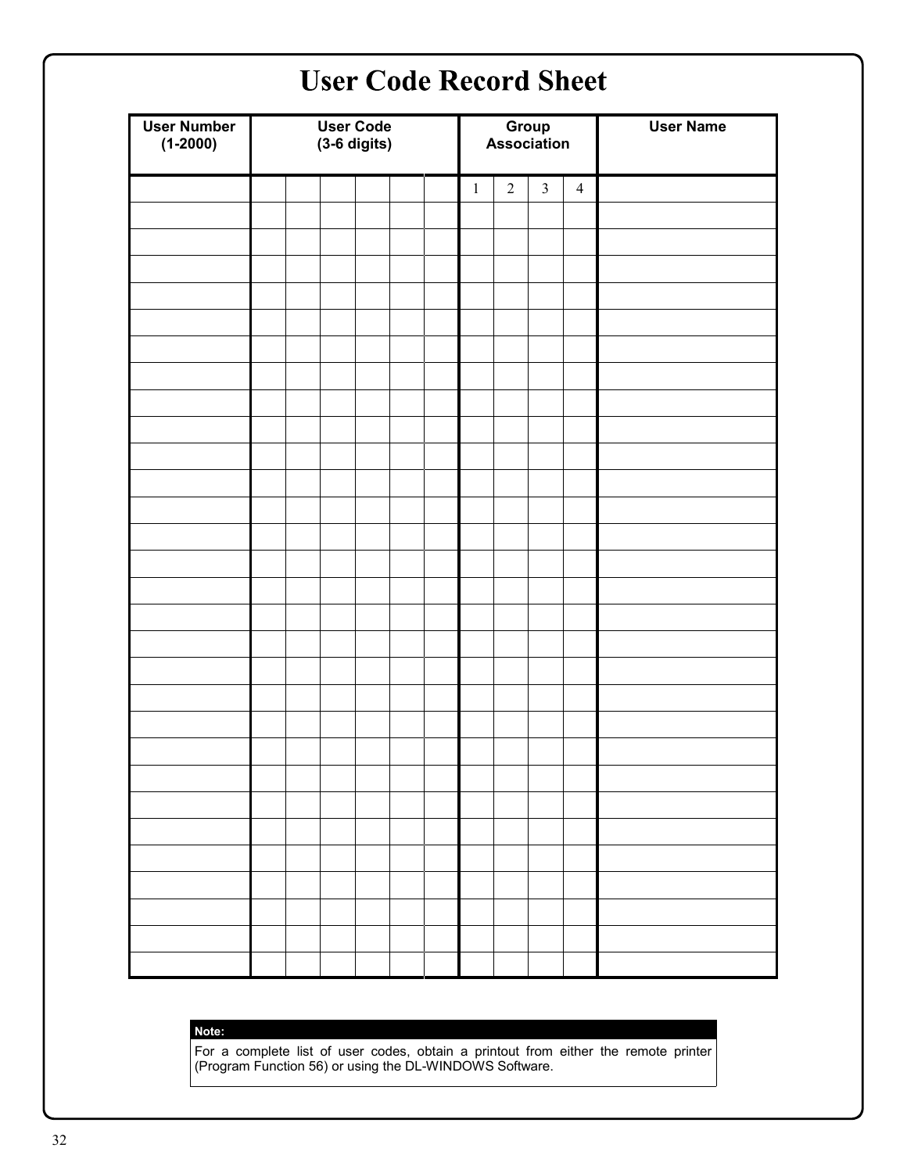| <b>User Number</b><br>$(1 - 2000)$ | <b>User Code</b><br>$(3-6$ digits) |  | Group<br>Association |              |                |                | <b>User Name</b> |  |
|------------------------------------|------------------------------------|--|----------------------|--------------|----------------|----------------|------------------|--|
|                                    |                                    |  |                      | $\mathbf{1}$ | $\overline{2}$ | $\overline{3}$ | $\overline{4}$   |  |
|                                    |                                    |  |                      |              |                |                |                  |  |
|                                    |                                    |  |                      |              |                |                |                  |  |
|                                    |                                    |  |                      |              |                |                |                  |  |
|                                    |                                    |  |                      |              |                |                |                  |  |
|                                    |                                    |  |                      |              |                |                |                  |  |
|                                    |                                    |  |                      |              |                |                |                  |  |
|                                    |                                    |  |                      |              |                |                |                  |  |
|                                    |                                    |  |                      |              |                |                |                  |  |
|                                    |                                    |  |                      |              |                |                |                  |  |
|                                    |                                    |  |                      |              |                |                |                  |  |
|                                    |                                    |  |                      |              |                |                |                  |  |
|                                    |                                    |  |                      |              |                |                |                  |  |
|                                    |                                    |  |                      |              |                |                |                  |  |
|                                    |                                    |  |                      |              |                |                |                  |  |
|                                    |                                    |  |                      |              |                |                |                  |  |
|                                    |                                    |  |                      |              |                |                |                  |  |
|                                    |                                    |  |                      |              |                |                |                  |  |
|                                    |                                    |  |                      |              |                |                |                  |  |
|                                    |                                    |  |                      |              |                |                |                  |  |
|                                    |                                    |  |                      |              |                |                |                  |  |
|                                    |                                    |  |                      |              |                |                |                  |  |
|                                    |                                    |  |                      |              |                |                |                  |  |
|                                    |                                    |  |                      |              |                |                |                  |  |
|                                    |                                    |  |                      |              |                |                |                  |  |
|                                    |                                    |  |                      |              |                |                |                  |  |
|                                    |                                    |  |                      |              |                |                |                  |  |
|                                    |                                    |  |                      |              |                |                |                  |  |

### **Note:**

For a complete list of user codes, obtain a printout from either the remote printer (Program Function 56) or using the DL-WINDOWS Software.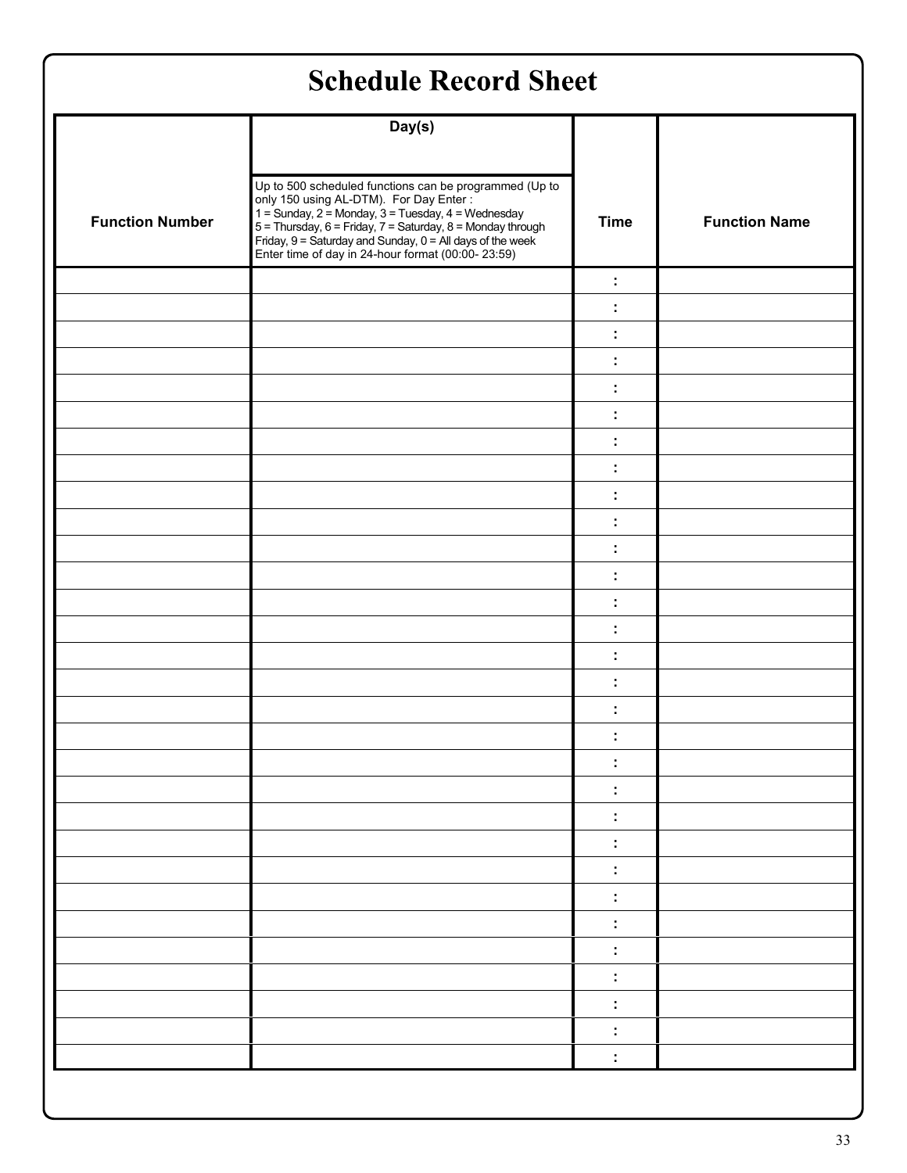| <b>Schedule Record Sheet</b> |                                                                                                                                                                                                                                                                                                      |             |                      |  |  |
|------------------------------|------------------------------------------------------------------------------------------------------------------------------------------------------------------------------------------------------------------------------------------------------------------------------------------------------|-------------|----------------------|--|--|
|                              | Day(s)                                                                                                                                                                                                                                                                                               |             |                      |  |  |
| <b>Function Number</b>       | Up to 500 scheduled functions can be programmed (Up to<br>op to 300 scientifications can be programmed (op-<br>only 150 using AL-DTM). For Day Enter :<br>1 = Sunday, 2 = Monday, 3 = Tuesday, 4 = Wednesday<br>5 = Thursday, 6 = Friday, 7 = Saturday, 8 = Monday through<br>Friday, 9 = Saturday a | <b>Time</b> | <b>Function Name</b> |  |  |
|                              |                                                                                                                                                                                                                                                                                                      | ÷           |                      |  |  |
|                              |                                                                                                                                                                                                                                                                                                      | ÷           |                      |  |  |
|                              |                                                                                                                                                                                                                                                                                                      | ÷           |                      |  |  |
|                              |                                                                                                                                                                                                                                                                                                      | ÷           |                      |  |  |
|                              |                                                                                                                                                                                                                                                                                                      | ÷           |                      |  |  |
|                              |                                                                                                                                                                                                                                                                                                      | ÷           |                      |  |  |
|                              |                                                                                                                                                                                                                                                                                                      | ÷           |                      |  |  |
|                              |                                                                                                                                                                                                                                                                                                      | ÷           |                      |  |  |
|                              |                                                                                                                                                                                                                                                                                                      | ÷<br>÷      |                      |  |  |
|                              |                                                                                                                                                                                                                                                                                                      | ÷           |                      |  |  |
|                              |                                                                                                                                                                                                                                                                                                      | ÷           |                      |  |  |
|                              |                                                                                                                                                                                                                                                                                                      | ÷           |                      |  |  |
|                              |                                                                                                                                                                                                                                                                                                      | ÷           |                      |  |  |
|                              |                                                                                                                                                                                                                                                                                                      | ÷           |                      |  |  |
|                              |                                                                                                                                                                                                                                                                                                      | ÷           |                      |  |  |
|                              |                                                                                                                                                                                                                                                                                                      | ÷           |                      |  |  |
|                              |                                                                                                                                                                                                                                                                                                      |             |                      |  |  |
|                              |                                                                                                                                                                                                                                                                                                      |             |                      |  |  |
|                              |                                                                                                                                                                                                                                                                                                      |             |                      |  |  |
|                              |                                                                                                                                                                                                                                                                                                      |             |                      |  |  |
|                              |                                                                                                                                                                                                                                                                                                      |             |                      |  |  |
|                              |                                                                                                                                                                                                                                                                                                      |             |                      |  |  |
|                              |                                                                                                                                                                                                                                                                                                      |             |                      |  |  |
|                              |                                                                                                                                                                                                                                                                                                      |             |                      |  |  |
|                              |                                                                                                                                                                                                                                                                                                      |             |                      |  |  |
|                              |                                                                                                                                                                                                                                                                                                      |             |                      |  |  |
|                              |                                                                                                                                                                                                                                                                                                      |             |                      |  |  |
|                              |                                                                                                                                                                                                                                                                                                      |             |                      |  |  |
|                              |                                                                                                                                                                                                                                                                                                      |             |                      |  |  |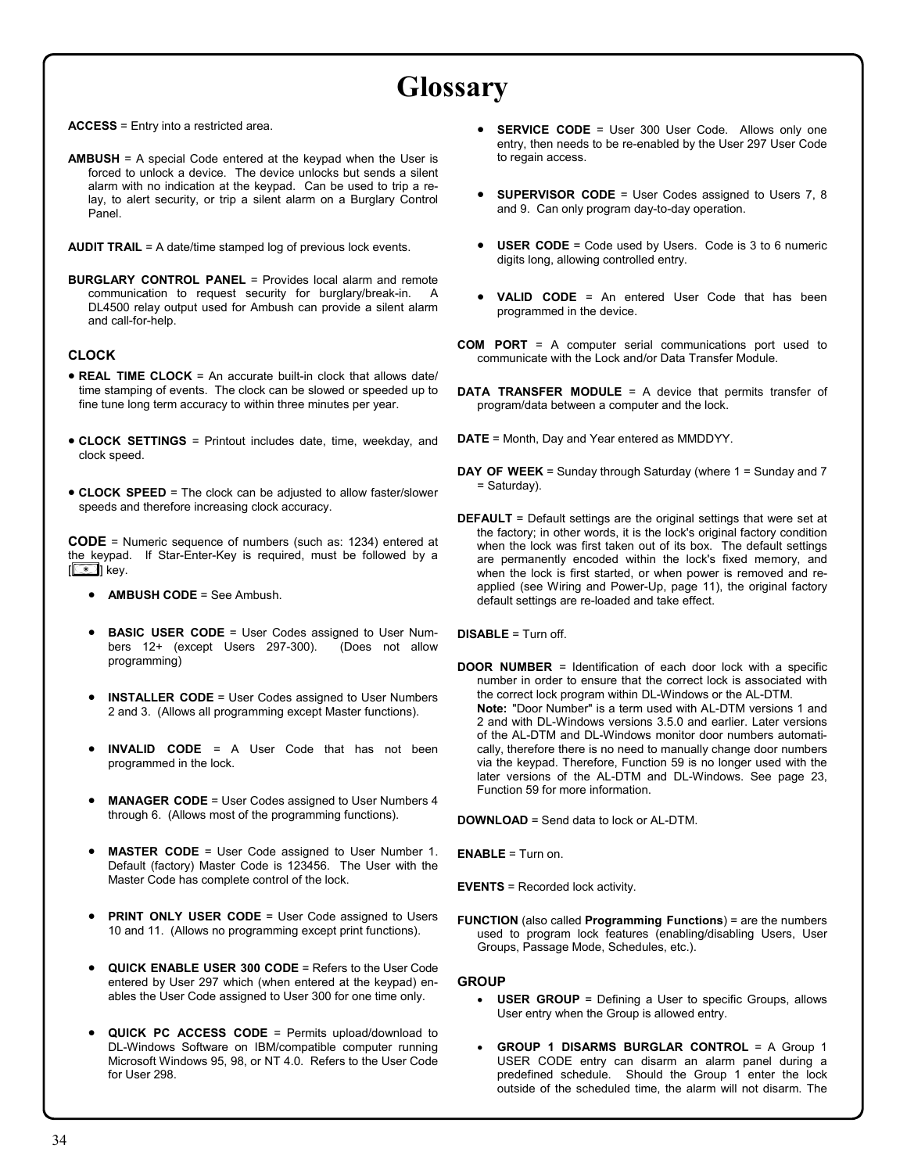# **Glossary**

**ACCESS** = Entry into a restricted area.

**AMBUSH** = A special Code entered at the keypad when the User is forced to unlock a device. The device unlocks but sends a silent alarm with no indication at the keypad. Can be used to trip a relay, to alert security, or trip a silent alarm on a Burglary Control Panel.

**AUDIT TRAIL** = A date/time stamped log of previous lock events.

**BURGLARY CONTROL PANEL** = Provides local alarm and remote communication to request security for burglary/break-in. A DL4500 relay output used for Ambush can provide a silent alarm and call-for-help.

### **CLOCK**

- **REAL TIME CLOCK** = An accurate built-in clock that allows date/ time stamping of events. The clock can be slowed or speeded up to fine tune long term accuracy to within three minutes per year.
- **CLOCK SETTINGS** = Printout includes date, time, weekday, and clock speed.
- **CLOCK SPEED** = The clock can be adjusted to allow faster/slower speeds and therefore increasing clock accuracy.

**CODE** = Numeric sequence of numbers (such as: 1234) entered at the keypad. If Star-Enter-Key is required, must be followed by a **[** $\bigcirc$ **]** key.

- **AMBUSH CODE** = See Ambush.
- **BASIC USER CODE** = User Codes assigned to User Numbers 12+ (except Users 297-300). (Does not allow programming)
- **INSTALLER CODE** = User Codes assigned to User Numbers 2 and 3. (Allows all programming except Master functions).
- **INVALID CODE** = A User Code that has not been programmed in the lock.
- **MANAGER CODE** = User Codes assigned to User Numbers 4 through 6. (Allows most of the programming functions).
- **MASTER CODE** = User Code assigned to User Number 1. Default (factory) Master Code is 123456. The User with the Master Code has complete control of the lock.
- **PRINT ONLY USER CODE** = User Code assigned to Users 10 and 11. (Allows no programming except print functions).
- **QUICK ENABLE USER 300 CODE** = Refers to the User Code entered by User 297 which (when entered at the keypad) enables the User Code assigned to User 300 for one time only.
- **QUICK PC ACCESS CODE** = Permits upload/download to DL-Windows Software on IBM/compatible computer running Microsoft Windows 95, 98, or NT 4.0. Refers to the User Code for User 298.
- **SERVICE CODE** = User 300 User Code. Allows only one entry, then needs to be re-enabled by the User 297 User Code to regain access.
- **SUPERVISOR CODE** = User Codes assigned to Users 7, 8 and 9. Can only program day-to-day operation.
- **USER CODE** = Code used by Users. Code is 3 to 6 numeric digits long, allowing controlled entry.
- **VALID CODE** = An entered User Code that has been programmed in the device.
- **COM PORT** = A computer serial communications port used to communicate with the Lock and/or Data Transfer Module.
- **DATA TRANSFER MODULE** = A device that permits transfer of program/data between a computer and the lock.
- **DATE** = Month, Day and Year entered as MMDDYY.
- **DAY OF WEEK** = Sunday through Saturday (where 1 = Sunday and 7 = Saturday).
- **DEFAULT** = Default settings are the original settings that were set at the factory; in other words, it is the lock's original factory condition when the lock was first taken out of its box. The default settings are permanently encoded within the lock's fixed memory, and when the lock is first started, or when power is removed and reapplied (see Wiring and Power-Up, page 11), the original factory default settings are re-loaded and take effect.

**DISABLE** = Turn off.

**DOOR NUMBER** = Identification of each door lock with a specific number in order to ensure that the correct lock is associated with the correct lock program within DL-Windows or the AL-DTM.  **Note:** "Door Number" is a term used with AL-DTM versions 1 and 2 and with DL-Windows versions 3.5.0 and earlier. Later versions of the AL-DTM and DL-Windows monitor door numbers automatically, therefore there is no need to manually change door numbers via the keypad. Therefore, Function 59 is no longer used with the later versions of the AL-DTM and DL-Windows. See page 23, Function 59 for more information.

**DOWNLOAD** = Send data to lock or AL-DTM.

**ENABLE** = Turn on.

**EVENTS** = Recorded lock activity.

**FUNCTION** (also called **Programming Functions**) = are the numbers used to program lock features (enabling/disabling Users, User Groups, Passage Mode, Schedules, etc.).

### **GROUP**

- **USER GROUP** = Defining a User to specific Groups, allows User entry when the Group is allowed entry.
- **GROUP 1 DISARMS BURGLAR CONTROL** = A Group 1 USER CODE entry can disarm an alarm panel during a predefined schedule. Should the Group 1 enter the lock outside of the scheduled time, the alarm will not disarm. The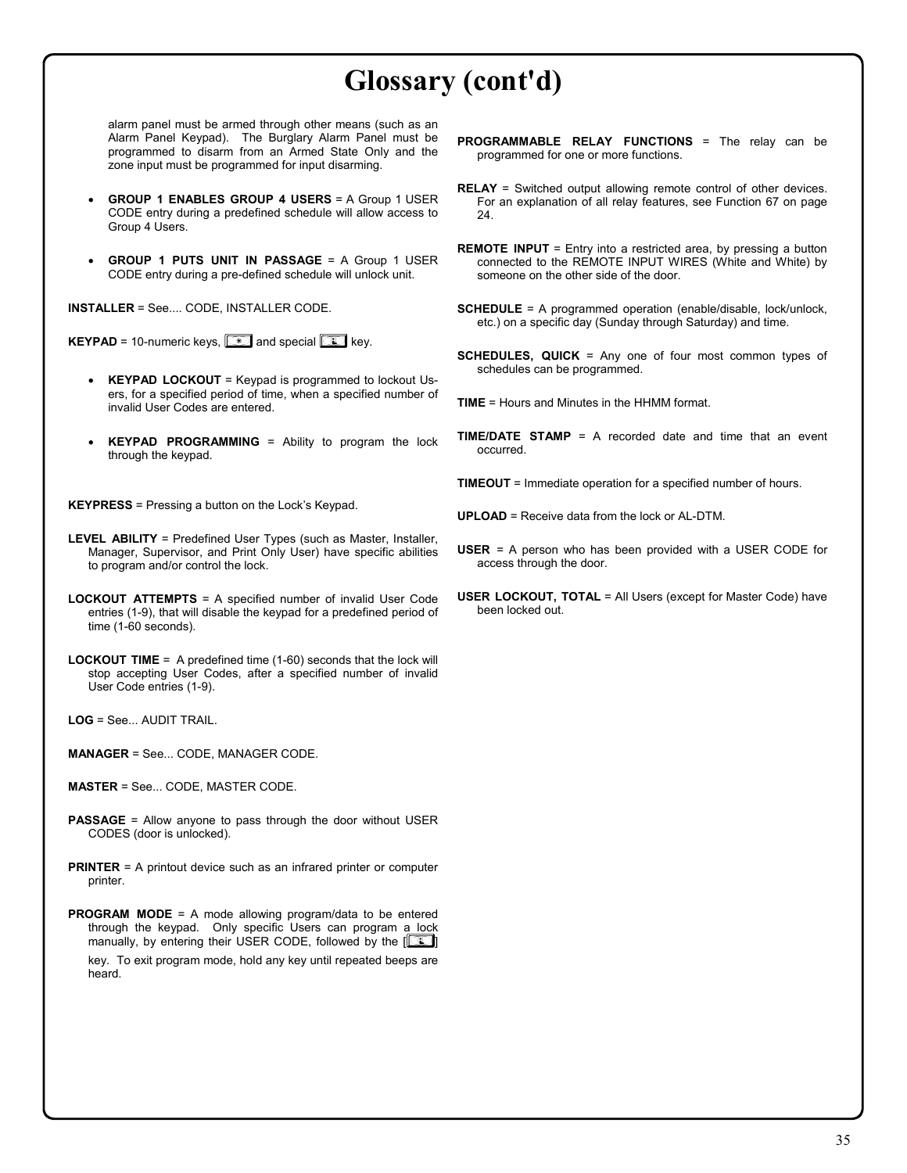# **Glossary (cont'd)**

alarm panel must be armed through other means (such as an Alarm Panel Keypad). The Burglary Alarm Panel must be programmed to disarm from an Armed State Only and the zone input must be programmed for input disarming.

- **GROUP 1 ENABLES GROUP 4 USERS** = A Group 1 USER CODE entry during a predefined schedule will allow access to Group 4 Users.
- **GROUP 1 PUTS UNIT IN PASSAGE** = A Group 1 USER CODE entry during a pre-defined schedule will unlock unit.

**INSTALLER** = See.... CODE, INSTALLER CODE.

**KEYPAD** = 10-numeric keys, **in the Section Section** EVP key.

- **KEYPAD LOCKOUT** = Keypad is programmed to lockout Users, for a specified period of time, when a specified number of invalid User Codes are entered.
- **KEYPAD PROGRAMMING** = Ability to program the lock through the keypad.

**KEYPRESS** = Pressing a button on the Lock's Keypad.

- **LEVEL ABILITY** = Predefined User Types (such as Master, Installer, Manager, Supervisor, and Print Only User) have specific abilities to program and/or control the lock.
- **LOCKOUT ATTEMPTS** = A specified number of invalid User Code entries (1-9), that will disable the keypad for a predefined period of time (1-60 seconds).
- **LOCKOUT TIME** = A predefined time (1-60) seconds that the lock will stop accepting User Codes, after a specified number of invalid User Code entries (1-9).

**LOG** = See... AUDIT TRAIL.

**MANAGER** = See... CODE, MANAGER CODE.

**MASTER** = See... CODE, MASTER CODE.

- **PASSAGE** = Allow anyone to pass through the door without USER CODES (door is unlocked).
- **PRINTER** = A printout device such as an infrared printer or computer printer.
- **PROGRAM MODE** = A mode allowing program/data to be entered through the keypad. Only specific Users can program a lock manually, by entering their USER CODE, followed by the [*;*] key. To exit program mode, hold any key until repeated beeps are heard.
- **PROGRAMMABLE RELAY FUNCTIONS** = The relay can be programmed for one or more functions.
- **RELAY** = Switched output allowing remote control of other devices. For an explanation of all relay features, see Function 67 on page 24.
- **REMOTE INPUT** = Entry into a restricted area, by pressing a button connected to the REMOTE INPUT WIRES (White and White) by someone on the other side of the door.
- **SCHEDULE** = A programmed operation (enable/disable, lock/unlock, etc.) on a specific day (Sunday through Saturday) and time.
- **SCHEDULES, QUICK** = Any one of four most common types of schedules can be programmed.

**TIME** = Hours and Minutes in the HHMM format.

- **TIME/DATE STAMP** = A recorded date and time that an event occurred.
- **TIMEOUT** = Immediate operation for a specified number of hours.
- **UPLOAD** = Receive data from the lock or AL-DTM.
- **USER** = A person who has been provided with a USER CODE for access through the door.
- **USER LOCKOUT, TOTAL** = All Users (except for Master Code) have been locked out.